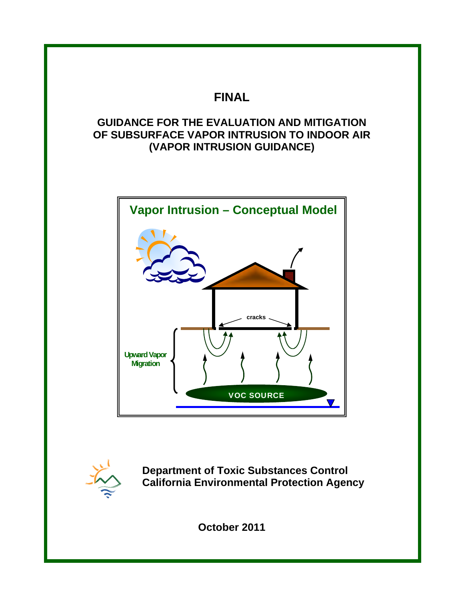# **FINAL**

# **GUIDANCE FOR THE EVALUATION AND MITIGATION OF SUBSURFACE VAPOR INTRUSION TO INDOOR AIR (VAPOR INTRUSION GUIDANCE)**





 **Department of Toxic Substances Control California Environmental Protection Agency**

**October 2011**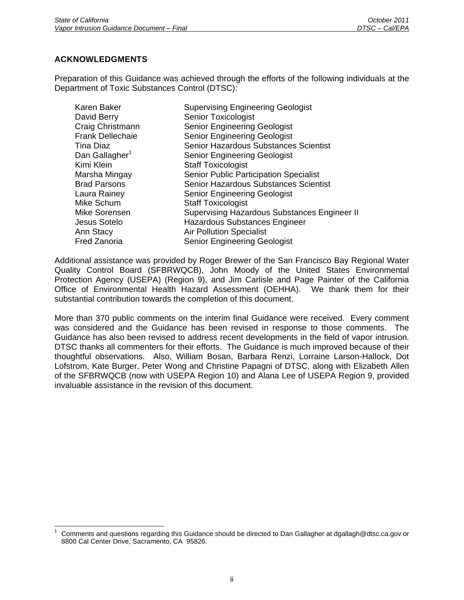# **ACKNOWLEDGMENTS**

 $\overline{a}$ 

Preparation of this Guidance was achieved through the efforts of the following individuals at the Department of Toxic Substances Control (DTSC):

| Karen Baker                | <b>Supervising Engineering Geologist</b>            |
|----------------------------|-----------------------------------------------------|
| David Berry                | <b>Senior Toxicologist</b>                          |
| Craig Christmann           | <b>Senior Engineering Geologist</b>                 |
| <b>Frank Dellechaie</b>    | <b>Senior Engineering Geologist</b>                 |
| Tina Diaz                  | Senior Hazardous Substances Scientist               |
| Dan Gallagher <sup>1</sup> | <b>Senior Engineering Geologist</b>                 |
| Kimi Klein                 | <b>Staff Toxicologist</b>                           |
| Marsha Mingay              | Senior Public Participation Specialist              |
| <b>Brad Parsons</b>        | Senior Hazardous Substances Scientist               |
| Laura Rainey               | <b>Senior Engineering Geologist</b>                 |
| Mike Schum                 | <b>Staff Toxicologist</b>                           |
| Mike Sorensen              | <b>Supervising Hazardous Substances Engineer II</b> |
| Jesus Sotelo               | <b>Hazardous Substances Engineer</b>                |
| Ann Stacy                  | <b>Air Pollution Specialist</b>                     |
| <b>Fred Zanoria</b>        | <b>Senior Engineering Geologist</b>                 |

Additional assistance was provided by Roger Brewer of the San Francisco Bay Regional Water Quality Control Board (SFBRWQCB), John Moody of the United States Environmental Protection Agency (USEPA) (Region 9), and Jim Carlisle and Page Painter of the California Office of Environmental Health Hazard Assessment (OEHHA). We thank them for their substantial contribution towards the completion of this document.

More than 370 public comments on the interim final Guidance were received. Every comment was considered and the Guidance has been revised in response to those comments. The Guidance has also been revised to address recent developments in the field of vapor intrusion. DTSC thanks all commenters for their efforts. The Guidance is much improved because of their thoughtful observations. Also, William Bosan, Barbara Renzi, Lorraine Larson-Hallock, Dot Lofstrom, Kate Burger, Peter Wong and Christine Papagni of DTSC, along with Elizabeth Allen of the SFBRWQCB (now with USEPA Region 10) and Alana Lee of USEPA Region 9, provided invaluable assistance in the revision of this document.

<sup>1</sup> Comments and questions regarding this Guidance should be directed to Dan Gallagher at dgallagh@dtsc.ca.gov or 8800 Cal Center Drive, Sacramento, CA 95826.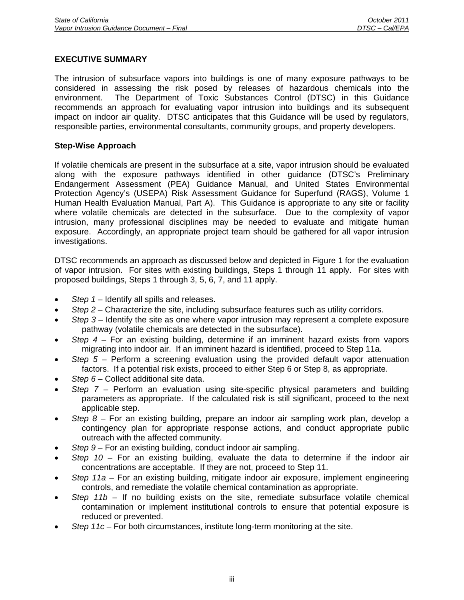## **EXECUTIVE SUMMARY**

The intrusion of subsurface vapors into buildings is one of many exposure pathways to be considered in assessing the risk posed by releases of hazardous chemicals into the environment. The Department of Toxic Substances Control (DTSC) in this Guidance recommends an approach for evaluating vapor intrusion into buildings and its subsequent impact on indoor air quality. DTSC anticipates that this Guidance will be used by regulators, responsible parties, environmental consultants, community groups, and property developers.

#### **Step-Wise Approach**

If volatile chemicals are present in the subsurface at a site, vapor intrusion should be evaluated along with the exposure pathways identified in other guidance (DTSC's Preliminary Endangerment Assessment (PEA) Guidance Manual, and United States Environmental Protection Agency's (USEPA) Risk Assessment Guidance for Superfund (RAGS), Volume 1 Human Health Evaluation Manual, Part A). This Guidance is appropriate to any site or facility where volatile chemicals are detected in the subsurface. Due to the complexity of vapor intrusion, many professional disciplines may be needed to evaluate and mitigate human exposure. Accordingly, an appropriate project team should be gathered for all vapor intrusion investigations.

DTSC recommends an approach as discussed below and depicted in Figure 1 for the evaluation of vapor intrusion. For sites with existing buildings, Steps 1 through 11 apply. For sites with proposed buildings, Steps 1 through 3, 5, 6, 7, and 11 apply.

- *Step 1* Identify all spills and releases.
- *Step 2* Characterize the site, including subsurface features such as utility corridors.
- *Step 3* Identify the site as one where vapor intrusion may represent a complete exposure pathway (volatile chemicals are detected in the subsurface).
- *Step 4* For an existing building, determine if an imminent hazard exists from vapors migrating into indoor air. If an imminent hazard is identified, proceed to Step 11a.
- *Step 5* Perform a screening evaluation using the provided default vapor attenuation factors. If a potential risk exists, proceed to either Step 6 or Step 8, as appropriate.
- *Step 6* Collect additional site data.
- *Step 7* Perform an evaluation using site-specific physical parameters and building parameters as appropriate. If the calculated risk is still significant, proceed to the next applicable step.
- *Step 8* For an existing building, prepare an indoor air sampling work plan, develop a contingency plan for appropriate response actions, and conduct appropriate public outreach with the affected community.
- *Step 9* For an existing building, conduct indoor air sampling.
- *Step 10* For an existing building, evaluate the data to determine if the indoor air concentrations are acceptable. If they are not, proceed to Step 11.
- *Step 11a* For an existing building, mitigate indoor air exposure, implement engineering controls, and remediate the volatile chemical contamination as appropriate.
- *Step 11b* If no building exists on the site, remediate subsurface volatile chemical contamination or implement institutional controls to ensure that potential exposure is reduced or prevented.
- *Step 11c* For both circumstances, institute long-term monitoring at the site.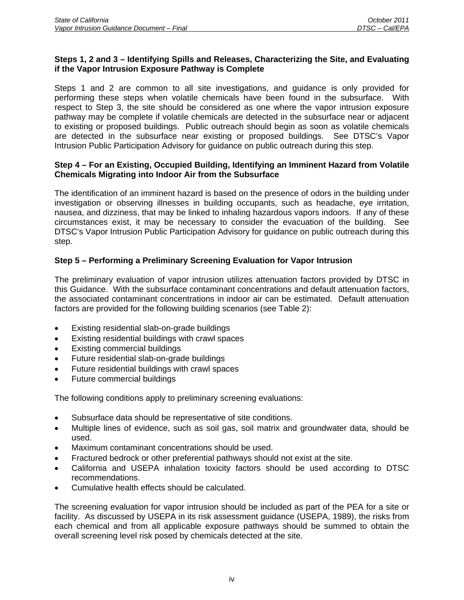# **Steps 1, 2 and 3 – Identifying Spills and Releases, Characterizing the Site, and Evaluating if the Vapor Intrusion Exposure Pathway is Complete**

Steps 1 and 2 are common to all site investigations, and guidance is only provided for performing these steps when volatile chemicals have been found in the subsurface. With respect to Step 3, the site should be considered as one where the vapor intrusion exposure pathway may be complete if volatile chemicals are detected in the subsurface near or adjacent to existing or proposed buildings. Public outreach should begin as soon as volatile chemicals are detected in the subsurface near existing or proposed buildings. See DTSC's Vapor Intrusion Public Participation Advisory for guidance on public outreach during this step.

# **Step 4 – For an Existing, Occupied Building, Identifying an Imminent Hazard from Volatile Chemicals Migrating into Indoor Air from the Subsurface**

The identification of an imminent hazard is based on the presence of odors in the building under investigation or observing illnesses in building occupants, such as headache, eye irritation, nausea, and dizziness, that may be linked to inhaling hazardous vapors indoors. If any of these circumstances exist, it may be necessary to consider the evacuation of the building. See DTSC's Vapor Intrusion Public Participation Advisory for guidance on public outreach during this step.

# **Step 5 – Performing a Preliminary Screening Evaluation for Vapor Intrusion**

The preliminary evaluation of vapor intrusion utilizes attenuation factors provided by DTSC in this Guidance. With the subsurface contaminant concentrations and default attenuation factors, the associated contaminant concentrations in indoor air can be estimated. Default attenuation factors are provided for the following building scenarios (see Table 2):

- Existing residential slab-on-grade buildings
- Existing residential buildings with crawl spaces
- Existing commercial buildings
- Future residential slab-on-grade buildings
- Future residential buildings with crawl spaces
- Future commercial buildings

The following conditions apply to preliminary screening evaluations:

- Subsurface data should be representative of site conditions.
- Multiple lines of evidence, such as soil gas, soil matrix and groundwater data, should be used.
- Maximum contaminant concentrations should be used.
- Fractured bedrock or other preferential pathways should not exist at the site.
- California and USEPA inhalation toxicity factors should be used according to DTSC recommendations.
- Cumulative health effects should be calculated.

The screening evaluation for vapor intrusion should be included as part of the PEA for a site or facility. As discussed by USEPA in its risk assessment guidance (USEPA, 1989), the risks from each chemical and from all applicable exposure pathways should be summed to obtain the overall screening level risk posed by chemicals detected at the site.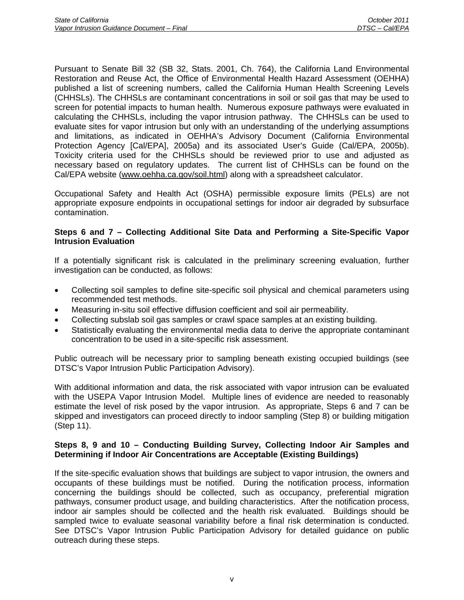Pursuant to Senate Bill 32 (SB 32, Stats. 2001, Ch. 764), the California Land Environmental Restoration and Reuse Act, the Office of Environmental Health Hazard Assessment (OEHHA) published a list of screening numbers, called the California Human Health Screening Levels (CHHSLs). The CHHSLs are contaminant concentrations in soil or soil gas that may be used to screen for potential impacts to human health. Numerous exposure pathways were evaluated in calculating the CHHSLs, including the vapor intrusion pathway. The CHHSLs can be used to evaluate sites for vapor intrusion but only with an understanding of the underlying assumptions and limitations, as indicated in OEHHA's Advisory Document (California Environmental Protection Agency [Cal/EPA], 2005a) and its associated User's Guide (Cal/EPA, 2005b). Toxicity criteria used for the CHHSLs should be reviewed prior to use and adjusted as necessary based on regulatory updates. The current list of CHHSLs can be found on the Cal/EPA website (www.oehha.ca.gov/soil.html) along with a spreadsheet calculator.

Occupational Safety and Health Act (OSHA) permissible exposure limits (PELs) are not appropriate exposure endpoints in occupational settings for indoor air degraded by subsurface contamination.

## **Steps 6 and 7 – Collecting Additional Site Data and Performing a Site-Specific Vapor Intrusion Evaluation**

If a potentially significant risk is calculated in the preliminary screening evaluation, further investigation can be conducted, as follows:

- Collecting soil samples to define site-specific soil physical and chemical parameters using recommended test methods.
- Measuring in-situ soil effective diffusion coefficient and soil air permeability.
- Collecting subslab soil gas samples or crawl space samples at an existing building.
- Statistically evaluating the environmental media data to derive the appropriate contaminant concentration to be used in a site-specific risk assessment.

Public outreach will be necessary prior to sampling beneath existing occupied buildings (see DTSC's Vapor Intrusion Public Participation Advisory).

With additional information and data, the risk associated with vapor intrusion can be evaluated with the USEPA Vapor Intrusion Model. Multiple lines of evidence are needed to reasonably estimate the level of risk posed by the vapor intrusion. As appropriate, Steps 6 and 7 can be skipped and investigators can proceed directly to indoor sampling (Step 8) or building mitigation (Step 11).

# **Steps 8, 9 and 10 – Conducting Building Survey, Collecting Indoor Air Samples and Determining if Indoor Air Concentrations are Acceptable (Existing Buildings)**

If the site-specific evaluation shows that buildings are subject to vapor intrusion, the owners and occupants of these buildings must be notified. During the notification process, information concerning the buildings should be collected, such as occupancy, preferential migration pathways, consumer product usage, and building characteristics. After the notification process, indoor air samples should be collected and the health risk evaluated. Buildings should be sampled twice to evaluate seasonal variability before a final risk determination is conducted. See DTSC's Vapor Intrusion Public Participation Advisory for detailed guidance on public outreach during these steps.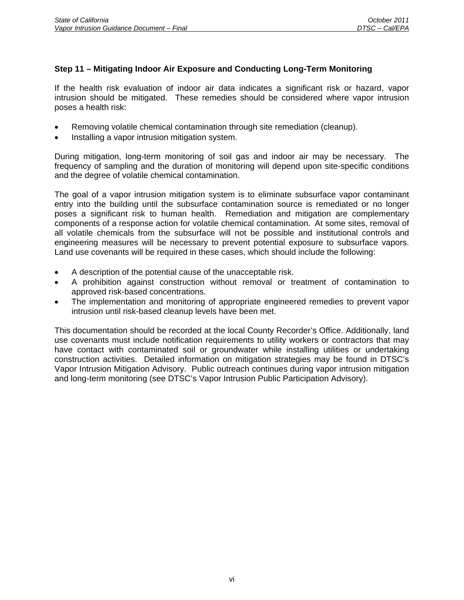# **Step 11 – Mitigating Indoor Air Exposure and Conducting Long-Term Monitoring**

If the health risk evaluation of indoor air data indicates a significant risk or hazard, vapor intrusion should be mitigated. These remedies should be considered where vapor intrusion poses a health risk:

- Removing volatile chemical contamination through site remediation (cleanup).
- Installing a vapor intrusion mitigation system.

During mitigation, long-term monitoring of soil gas and indoor air may be necessary. The frequency of sampling and the duration of monitoring will depend upon site-specific conditions and the degree of volatile chemical contamination.

The goal of a vapor intrusion mitigation system is to eliminate subsurface vapor contaminant entry into the building until the subsurface contamination source is remediated or no longer poses a significant risk to human health. Remediation and mitigation are complementary components of a response action for volatile chemical contamination. At some sites, removal of all volatile chemicals from the subsurface will not be possible and institutional controls and engineering measures will be necessary to prevent potential exposure to subsurface vapors. Land use covenants will be required in these cases, which should include the following:

- A description of the potential cause of the unacceptable risk.
- A prohibition against construction without removal or treatment of contamination to approved risk-based concentrations.
- The implementation and monitoring of appropriate engineered remedies to prevent vapor intrusion until risk-based cleanup levels have been met.

This documentation should be recorded at the local County Recorder's Office. Additionally, land use covenants must include notification requirements to utility workers or contractors that may have contact with contaminated soil or groundwater while installing utilities or undertaking construction activities. Detailed information on mitigation strategies may be found in DTSC's Vapor Intrusion Mitigation Advisory. Public outreach continues during vapor intrusion mitigation and long-term monitoring (see DTSC's Vapor Intrusion Public Participation Advisory).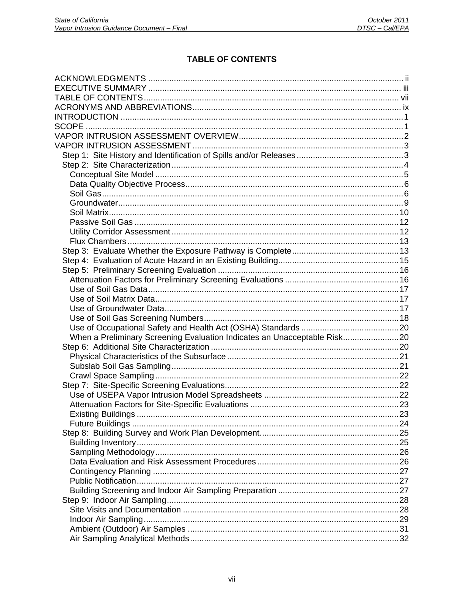# **TABLE OF CONTENTS**

| When a Preliminary Screening Evaluation Indicates an Unacceptable Risk20 |  |
|--------------------------------------------------------------------------|--|
|                                                                          |  |
|                                                                          |  |
|                                                                          |  |
|                                                                          |  |
|                                                                          |  |
|                                                                          |  |
|                                                                          |  |
|                                                                          |  |
|                                                                          |  |
|                                                                          |  |
|                                                                          |  |
|                                                                          |  |
|                                                                          |  |
|                                                                          |  |
|                                                                          |  |
|                                                                          |  |
|                                                                          |  |
|                                                                          |  |
|                                                                          |  |
|                                                                          |  |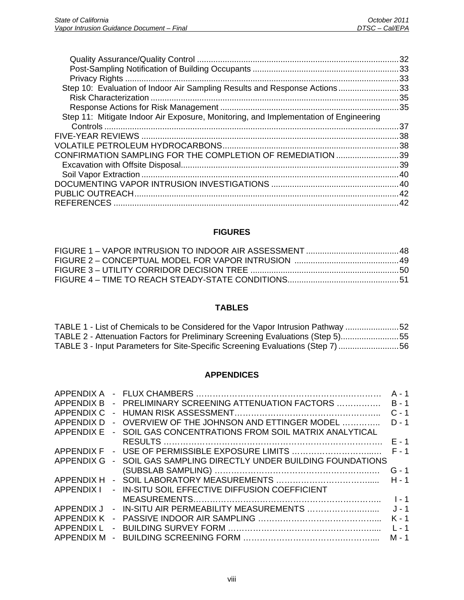|                                                                                      | .33 |
|--------------------------------------------------------------------------------------|-----|
| Step 10: Evaluation of Indoor Air Sampling Results and Response Actions33            |     |
|                                                                                      |     |
|                                                                                      |     |
| Step 11: Mitigate Indoor Air Exposure, Monitoring, and Implementation of Engineering |     |
|                                                                                      | .37 |
|                                                                                      |     |
|                                                                                      |     |
| CONFIRMATION SAMPLING FOR THE COMPLETION OF REMEDIATION 39                           |     |
|                                                                                      |     |
|                                                                                      |     |
|                                                                                      |     |
|                                                                                      | 42  |
|                                                                                      |     |
|                                                                                      |     |

# **FIGURES**

# **TABLES**

| TABLE 1 - List of Chemicals to be Considered for the Vapor Intrusion Pathway 52 |  |
|---------------------------------------------------------------------------------|--|
| TABLE 2 - Attenuation Factors for Preliminary Screening Evaluations (Step 5)55  |  |
| TABLE 3 - Input Parameters for Site-Specific Screening Evaluations (Step 7) 56  |  |

#### **APPENDICES**

| <b>APPENDIX A</b> |                |                                                         | $A - 1$ |
|-------------------|----------------|---------------------------------------------------------|---------|
| APPENDIX B        | $\sim$         | PRELIMINARY SCREENING ATTENUATION FACTORS               | $B - 1$ |
| APPENDIX C        |                |                                                         | $C - 1$ |
| <b>APPENDIX D</b> |                | - OVERVIEW OF THE JOHNSON AND ETTINGER MODEL            | $D - 1$ |
| <b>APPENDIX E</b> | $\sim$         | SOIL GAS CONCENTRATIONS FROM SOIL MATRIX ANALYTICAL     |         |
|                   |                |                                                         | $F - 1$ |
|                   |                | APPENDIX F - USE OF PERMISSIBLE EXPOSURE LIMITS         | $F - 1$ |
| <b>APPENDIX G</b> |                | - SOIL GAS SAMPLING DIRECTLY UNDER BUILDING FOUNDATIONS |         |
|                   |                |                                                         | $G - 1$ |
| <b>APPENDIX H</b> |                |                                                         | $H - 1$ |
| APPENDIX I        |                | - IN-SITU SOIL EFFECTIVE DIFFUSION COEFFICIENT          |         |
|                   |                |                                                         | $1 - 1$ |
| APPENDIX J        |                |                                                         | $J - 1$ |
| APPENDIX K        |                |                                                         | $K - 1$ |
| APPENDIX L        | $\blacksquare$ |                                                         | $L - 1$ |
| <b>APPENDIX M</b> |                |                                                         | M - 1   |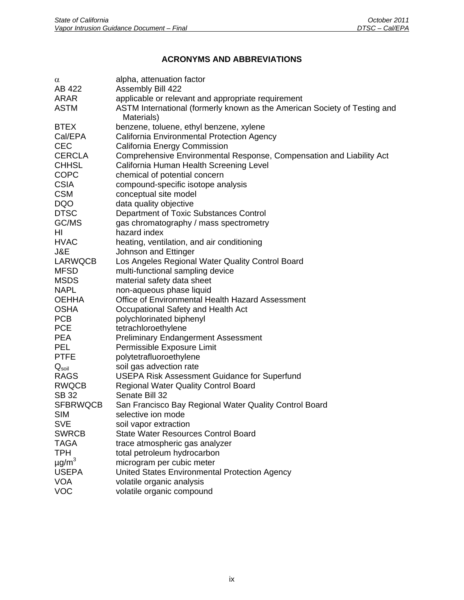# **ACRONYMS AND ABBREVIATIONS**

| $\alpha$               | alpha, attenuation factor                                                 |
|------------------------|---------------------------------------------------------------------------|
| AB 422                 | Assembly Bill 422                                                         |
| ARAR                   | applicable or relevant and appropriate requirement                        |
| <b>ASTM</b>            | ASTM International (formerly known as the American Society of Testing and |
|                        | Materials)                                                                |
| <b>BTEX</b>            | benzene, toluene, ethyl benzene, xylene                                   |
| Cal/EPA                | California Environmental Protection Agency                                |
| <b>CEC</b>             | California Energy Commission                                              |
| <b>CERCLA</b>          | Comprehensive Environmental Response, Compensation and Liability Act      |
| <b>CHHSL</b>           | California Human Health Screening Level                                   |
| <b>COPC</b>            | chemical of potential concern                                             |
| <b>CSIA</b>            |                                                                           |
| <b>CSM</b>             | compound-specific isotope analysis                                        |
|                        | conceptual site model                                                     |
| <b>DQO</b>             | data quality objective                                                    |
| <b>DTSC</b>            | Department of Toxic Substances Control                                    |
| GC/MS                  | gas chromatography / mass spectrometry                                    |
| НI                     | hazard index                                                              |
| <b>HVAC</b>            | heating, ventilation, and air conditioning                                |
| J&E                    | Johnson and Ettinger                                                      |
| <b>LARWQCB</b>         | Los Angeles Regional Water Quality Control Board                          |
| <b>MFSD</b>            | multi-functional sampling device                                          |
| <b>MSDS</b>            | material safety data sheet                                                |
| <b>NAPL</b>            | non-aqueous phase liquid                                                  |
| <b>OEHHA</b>           | Office of Environmental Health Hazard Assessment                          |
| <b>OSHA</b>            | Occupational Safety and Health Act                                        |
| <b>PCB</b>             | polychlorinated biphenyl                                                  |
| <b>PCE</b>             | tetrachloroethylene                                                       |
| <b>PEA</b>             | <b>Preliminary Endangerment Assessment</b>                                |
| <b>PEL</b>             | Permissible Exposure Limit                                                |
| <b>PTFE</b>            | polytetrafluoroethylene                                                   |
| $Q_{\text{soil}}$      | soil gas advection rate                                                   |
| <b>RAGS</b>            | <b>USEPA Risk Assessment Guidance for Superfund</b>                       |
| <b>RWQCB</b>           | <b>Regional Water Quality Control Board</b>                               |
| <b>SB 32</b>           | Senate Bill 32                                                            |
| <b>SFBRWQCB</b>        | San Francisco Bay Regional Water Quality Control Board                    |
| SIM                    | selective ion mode                                                        |
| <b>SVE</b>             | soil vapor extraction                                                     |
| <b>SWRCB</b>           | <b>State Water Resources Control Board</b>                                |
| <b>TAGA</b>            | trace atmospheric gas analyzer                                            |
| <b>TPH</b>             | total petroleum hydrocarbon                                               |
| $\mu$ g/m <sup>3</sup> | microgram per cubic meter                                                 |
| <b>USEPA</b>           | United States Environmental Protection Agency                             |
| <b>VOA</b>             | volatile organic analysis                                                 |
| <b>VOC</b>             | volatile organic compound                                                 |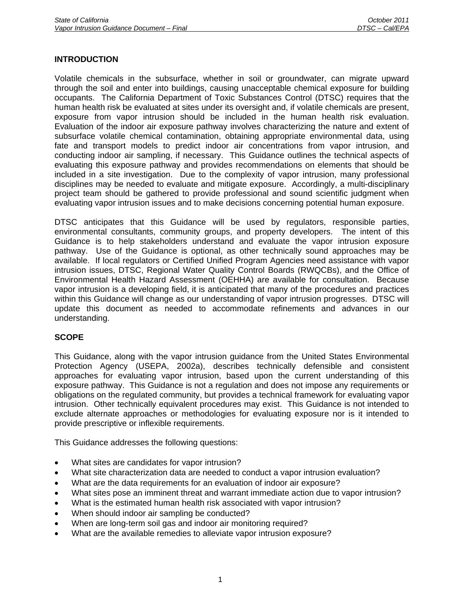# **INTRODUCTION**

Volatile chemicals in the subsurface, whether in soil or groundwater, can migrate upward through the soil and enter into buildings, causing unacceptable chemical exposure for building occupants. The California Department of Toxic Substances Control (DTSC) requires that the human health risk be evaluated at sites under its oversight and, if volatile chemicals are present, exposure from vapor intrusion should be included in the human health risk evaluation. Evaluation of the indoor air exposure pathway involves characterizing the nature and extent of subsurface volatile chemical contamination, obtaining appropriate environmental data, using fate and transport models to predict indoor air concentrations from vapor intrusion, and conducting indoor air sampling, if necessary. This Guidance outlines the technical aspects of evaluating this exposure pathway and provides recommendations on elements that should be included in a site investigation. Due to the complexity of vapor intrusion, many professional disciplines may be needed to evaluate and mitigate exposure. Accordingly, a multi-disciplinary project team should be gathered to provide professional and sound scientific judgment when evaluating vapor intrusion issues and to make decisions concerning potential human exposure.

DTSC anticipates that this Guidance will be used by regulators, responsible parties, environmental consultants, community groups, and property developers. The intent of this Guidance is to help stakeholders understand and evaluate the vapor intrusion exposure pathway. Use of the Guidance is optional, as other technically sound approaches may be available. If local regulators or Certified Unified Program Agencies need assistance with vapor intrusion issues, DTSC, Regional Water Quality Control Boards (RWQCBs), and the Office of Environmental Health Hazard Assessment (OEHHA) are available for consultation. Because vapor intrusion is a developing field, it is anticipated that many of the procedures and practices within this Guidance will change as our understanding of vapor intrusion progresses. DTSC will update this document as needed to accommodate refinements and advances in our understanding.

# **SCOPE**

This Guidance, along with the vapor intrusion guidance from the United States Environmental Protection Agency (USEPA, 2002a), describes technically defensible and consistent approaches for evaluating vapor intrusion, based upon the current understanding of this exposure pathway. This Guidance is not a regulation and does not impose any requirements or obligations on the regulated community, but provides a technical framework for evaluating vapor intrusion. Other technically equivalent procedures may exist. This Guidance is not intended to exclude alternate approaches or methodologies for evaluating exposure nor is it intended to provide prescriptive or inflexible requirements.

This Guidance addresses the following questions:

- What sites are candidates for vapor intrusion?
- What site characterization data are needed to conduct a vapor intrusion evaluation?
- What are the data requirements for an evaluation of indoor air exposure?
- What sites pose an imminent threat and warrant immediate action due to vapor intrusion?
- What is the estimated human health risk associated with vapor intrusion?
- When should indoor air sampling be conducted?
- When are long-term soil gas and indoor air monitoring required?
- What are the available remedies to alleviate vapor intrusion exposure?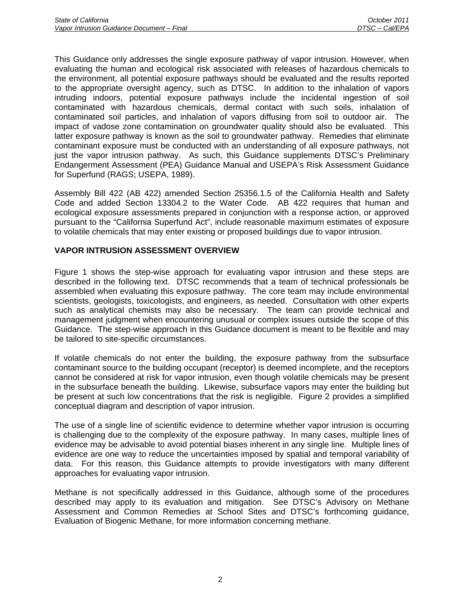This Guidance only addresses the single exposure pathway of vapor intrusion. However, when evaluating the human and ecological risk associated with releases of hazardous chemicals to the environment, all potential exposure pathways should be evaluated and the results reported to the appropriate oversight agency, such as DTSC. In addition to the inhalation of vapors intruding indoors, potential exposure pathways include the incidental ingestion of soil contaminated with hazardous chemicals, dermal contact with such soils, inhalation of contaminated soil particles, and inhalation of vapors diffusing from soil to outdoor air. The impact of vadose zone contamination on groundwater quality should also be evaluated. This latter exposure pathway is known as the soil to groundwater pathway. Remedies that eliminate contaminant exposure must be conducted with an understanding of all exposure pathways, not just the vapor intrusion pathway. As such, this Guidance supplements DTSC's Preliminary Endangerment Assessment (PEA) Guidance Manual and USEPA's Risk Assessment Guidance for Superfund (RAGS; USEPA, 1989).

Assembly Bill 422 (AB 422) amended Section 25356.1.5 of the California Health and Safety Code and added Section 13304.2 to the Water Code. AB 422 requires that human and ecological exposure assessments prepared in conjunction with a response action, or approved pursuant to the "California Superfund Act", include reasonable maximum estimates of exposure to volatile chemicals that may enter existing or proposed buildings due to vapor intrusion.

# **VAPOR INTRUSION ASSESSMENT OVERVIEW**

Figure 1 shows the step-wise approach for evaluating vapor intrusion and these steps are described in the following text. DTSC recommends that a team of technical professionals be assembled when evaluating this exposure pathway. The core team may include environmental scientists, geologists, toxicologists, and engineers, as needed. Consultation with other experts such as analytical chemists may also be necessary. The team can provide technical and management judgment when encountering unusual or complex issues outside the scope of this Guidance. The step-wise approach in this Guidance document is meant to be flexible and may be tailored to site-specific circumstances.

If volatile chemicals do not enter the building, the exposure pathway from the subsurface contaminant source to the building occupant (receptor) is deemed incomplete, and the receptors cannot be considered at risk for vapor intrusion, even though volatile chemicals may be present in the subsurface beneath the building. Likewise, subsurface vapors may enter the building but be present at such low concentrations that the risk is negligible. Figure 2 provides a simplified conceptual diagram and description of vapor intrusion.

The use of a single line of scientific evidence to determine whether vapor intrusion is occurring is challenging due to the complexity of the exposure pathway. In many cases, multiple lines of evidence may be advisable to avoid potential biases inherent in any single line. Multiple lines of evidence are one way to reduce the uncertainties imposed by spatial and temporal variability of data. For this reason, this Guidance attempts to provide investigators with many different approaches for evaluating vapor intrusion.

Methane is not specifically addressed in this Guidance, although some of the procedures described may apply to its evaluation and mitigation. See DTSC's Advisory on Methane Assessment and Common Remedies at School Sites and DTSC's forthcoming guidance, Evaluation of Biogenic Methane, for more information concerning methane.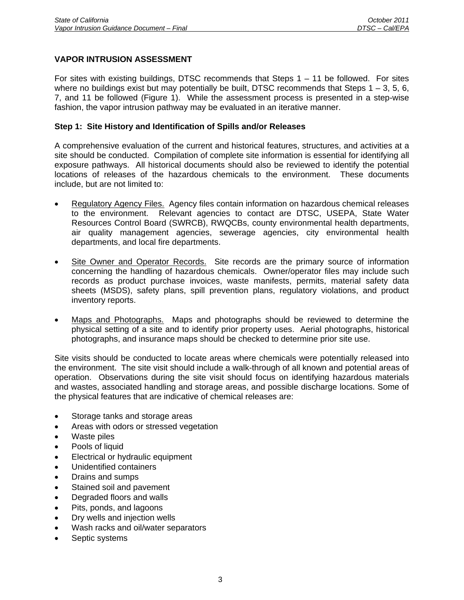# **VAPOR INTRUSION ASSESSMENT**

For sites with existing buildings, DTSC recommends that Steps  $1 - 11$  be followed. For sites where no buildings exist but may potentially be built, DTSC recommends that Steps  $1 - 3$ , 5, 6, 7, and 11 be followed (Figure 1). While the assessment process is presented in a step-wise fashion, the vapor intrusion pathway may be evaluated in an iterative manner.

#### **Step 1: Site History and Identification of Spills and/or Releases**

A comprehensive evaluation of the current and historical features, structures, and activities at a site should be conducted. Compilation of complete site information is essential for identifying all exposure pathways. All historical documents should also be reviewed to identify the potential locations of releases of the hazardous chemicals to the environment. These documents include, but are not limited to:

- Regulatory Agency Files. Agency files contain information on hazardous chemical releases to the environment. Relevant agencies to contact are DTSC, USEPA, State Water Resources Control Board (SWRCB), RWQCBs, county environmental health departments, air quality management agencies, sewerage agencies, city environmental health departments, and local fire departments.
- Site Owner and Operator Records. Site records are the primary source of information concerning the handling of hazardous chemicals. Owner/operator files may include such records as product purchase invoices, waste manifests, permits, material safety data sheets (MSDS), safety plans, spill prevention plans, regulatory violations, and product inventory reports.
- Maps and Photographs. Maps and photographs should be reviewed to determine the physical setting of a site and to identify prior property uses. Aerial photographs, historical photographs, and insurance maps should be checked to determine prior site use.

Site visits should be conducted to locate areas where chemicals were potentially released into the environment. The site visit should include a walk-through of all known and potential areas of operation. Observations during the site visit should focus on identifying hazardous materials and wastes, associated handling and storage areas, and possible discharge locations. Some of the physical features that are indicative of chemical releases are:

- Storage tanks and storage areas
- Areas with odors or stressed vegetation
- Waste piles
- Pools of liquid
- Electrical or hydraulic equipment
- Unidentified containers
- Drains and sumps
- Stained soil and pavement
- Degraded floors and walls
- Pits, ponds, and lagoons
- Dry wells and injection wells
- Wash racks and oil/water separators
- Septic systems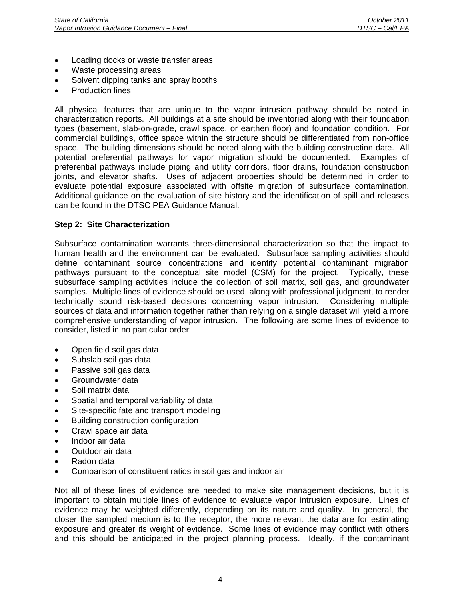- Loading docks or waste transfer areas
- Waste processing areas
- Solvent dipping tanks and spray booths
- Production lines

All physical features that are unique to the vapor intrusion pathway should be noted in characterization reports. All buildings at a site should be inventoried along with their foundation types (basement, slab-on-grade, crawl space, or earthen floor) and foundation condition. For commercial buildings, office space within the structure should be differentiated from non-office space. The building dimensions should be noted along with the building construction date. All potential preferential pathways for vapor migration should be documented. Examples of preferential pathways include piping and utility corridors, floor drains, foundation construction joints, and elevator shafts. Uses of adjacent properties should be determined in order to evaluate potential exposure associated with offsite migration of subsurface contamination. Additional guidance on the evaluation of site history and the identification of spill and releases can be found in the DTSC PEA Guidance Manual.

#### **Step 2: Site Characterization**

Subsurface contamination warrants three-dimensional characterization so that the impact to human health and the environment can be evaluated. Subsurface sampling activities should define contaminant source concentrations and identify potential contaminant migration pathways pursuant to the conceptual site model (CSM) for the project. Typically, these subsurface sampling activities include the collection of soil matrix, soil gas, and groundwater samples. Multiple lines of evidence should be used, along with professional judgment, to render technically sound risk-based decisions concerning vapor intrusion. Considering multiple sources of data and information together rather than relying on a single dataset will yield a more comprehensive understanding of vapor intrusion. The following are some lines of evidence to consider, listed in no particular order:

- Open field soil gas data
- Subslab soil gas data
- Passive soil gas data
- Groundwater data
- Soil matrix data
- Spatial and temporal variability of data
- Site-specific fate and transport modeling
- Building construction configuration
- Crawl space air data
- Indoor air data
- Outdoor air data
- Radon data
- Comparison of constituent ratios in soil gas and indoor air

Not all of these lines of evidence are needed to make site management decisions, but it is important to obtain multiple lines of evidence to evaluate vapor intrusion exposure. Lines of evidence may be weighted differently, depending on its nature and quality. In general, the closer the sampled medium is to the receptor, the more relevant the data are for estimating exposure and greater its weight of evidence. Some lines of evidence may conflict with others and this should be anticipated in the project planning process. Ideally, if the contaminant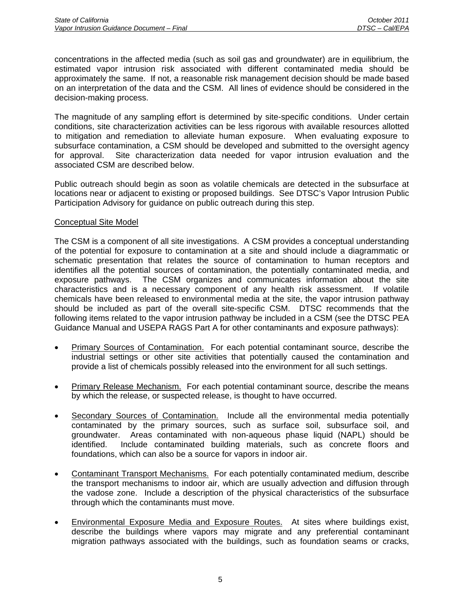concentrations in the affected media (such as soil gas and groundwater) are in equilibrium, the estimated vapor intrusion risk associated with different contaminated media should be approximately the same. If not, a reasonable risk management decision should be made based on an interpretation of the data and the CSM. All lines of evidence should be considered in the decision-making process.

The magnitude of any sampling effort is determined by site-specific conditions. Under certain conditions, site characterization activities can be less rigorous with available resources allotted to mitigation and remediation to alleviate human exposure. When evaluating exposure to subsurface contamination, a CSM should be developed and submitted to the oversight agency for approval. Site characterization data needed for vapor intrusion evaluation and the associated CSM are described below.

Public outreach should begin as soon as volatile chemicals are detected in the subsurface at locations near or adjacent to existing or proposed buildings. See DTSC's Vapor Intrusion Public Participation Advisory for guidance on public outreach during this step.

#### Conceptual Site Model

The CSM is a component of all site investigations. A CSM provides a conceptual understanding of the potential for exposure to contamination at a site and should include a diagrammatic or schematic presentation that relates the source of contamination to human receptors and identifies all the potential sources of contamination, the potentially contaminated media, and exposure pathways. The CSM organizes and communicates information about the site characteristics and is a necessary component of any health risk assessment. If volatile chemicals have been released to environmental media at the site, the vapor intrusion pathway should be included as part of the overall site-specific CSM. DTSC recommends that the following items related to the vapor intrusion pathway be included in a CSM (see the DTSC PEA Guidance Manual and USEPA RAGS Part A for other contaminants and exposure pathways):

- **Primary Sources of Contamination.** For each potential contaminant source, describe the industrial settings or other site activities that potentially caused the contamination and provide a list of chemicals possibly released into the environment for all such settings.
- Primary Release Mechanism. For each potential contaminant source, describe the means by which the release, or suspected release, is thought to have occurred.
- Secondary Sources of Contamination. Include all the environmental media potentially contaminated by the primary sources, such as surface soil, subsurface soil, and groundwater. Areas contaminated with non-aqueous phase liquid (NAPL) should be identified. Include contaminated building materials, such as concrete floors and foundations, which can also be a source for vapors in indoor air.
- Contaminant Transport Mechanisms. For each potentially contaminated medium, describe the transport mechanisms to indoor air, which are usually advection and diffusion through the vadose zone. Include a description of the physical characteristics of the subsurface through which the contaminants must move.
- Environmental Exposure Media and Exposure Routes. At sites where buildings exist, describe the buildings where vapors may migrate and any preferential contaminant migration pathways associated with the buildings, such as foundation seams or cracks,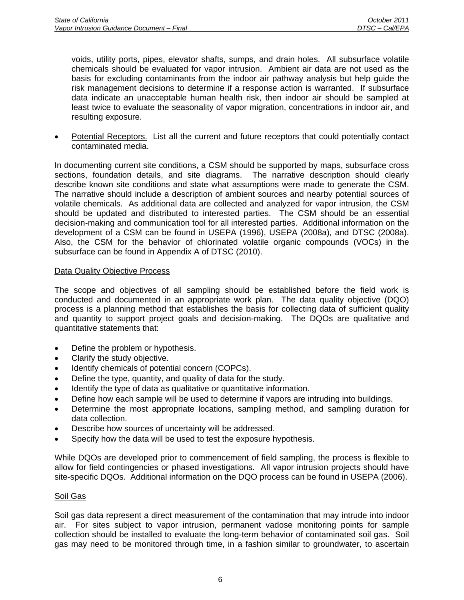voids, utility ports, pipes, elevator shafts, sumps, and drain holes. All subsurface volatile chemicals should be evaluated for vapor intrusion. Ambient air data are not used as the basis for excluding contaminants from the indoor air pathway analysis but help guide the risk management decisions to determine if a response action is warranted. If subsurface data indicate an unacceptable human health risk, then indoor air should be sampled at least twice to evaluate the seasonality of vapor migration, concentrations in indoor air, and resulting exposure.

• Potential Receptors. List all the current and future receptors that could potentially contact contaminated media.

In documenting current site conditions, a CSM should be supported by maps, subsurface cross sections, foundation details, and site diagrams. The narrative description should clearly describe known site conditions and state what assumptions were made to generate the CSM. The narrative should include a description of ambient sources and nearby potential sources of volatile chemicals. As additional data are collected and analyzed for vapor intrusion, the CSM should be updated and distributed to interested parties. The CSM should be an essential decision-making and communication tool for all interested parties. Additional information on the development of a CSM can be found in USEPA (1996), USEPA (2008a), and DTSC (2008a). Also, the CSM for the behavior of chlorinated volatile organic compounds (VOCs) in the subsurface can be found in Appendix A of DTSC (2010).

#### Data Quality Objective Process

The scope and objectives of all sampling should be established before the field work is conducted and documented in an appropriate work plan. The data quality objective (DQO) process is a planning method that establishes the basis for collecting data of sufficient quality and quantity to support project goals and decision-making. The DQOs are qualitative and quantitative statements that:

- Define the problem or hypothesis.
- Clarify the study objective.
- Identify chemicals of potential concern (COPCs).
- Define the type, quantity, and quality of data for the study.
- Identify the type of data as qualitative or quantitative information.
- Define how each sample will be used to determine if vapors are intruding into buildings.
- Determine the most appropriate locations, sampling method, and sampling duration for data collection.
- Describe how sources of uncertainty will be addressed.
- Specify how the data will be used to test the exposure hypothesis.

While DQOs are developed prior to commencement of field sampling, the process is flexible to allow for field contingencies or phased investigations. All vapor intrusion projects should have site-specific DQOs. Additional information on the DQO process can be found in USEPA (2006).

#### Soil Gas

Soil gas data represent a direct measurement of the contamination that may intrude into indoor air. For sites subject to vapor intrusion, permanent vadose monitoring points for sample collection should be installed to evaluate the long-term behavior of contaminated soil gas. Soil gas may need to be monitored through time, in a fashion similar to groundwater, to ascertain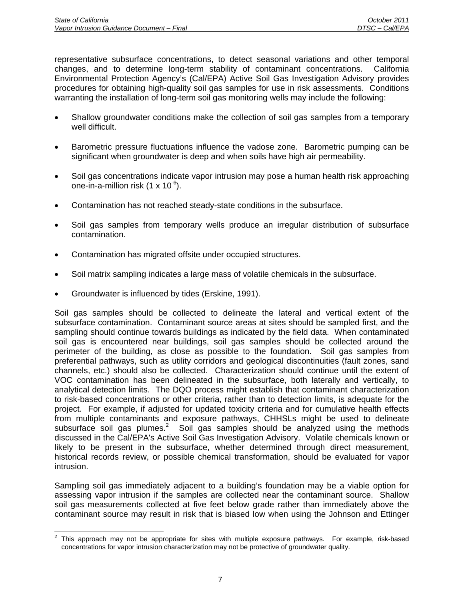representative subsurface concentrations, to detect seasonal variations and other temporal changes, and to determine long-term stability of contaminant concentrations. California Environmental Protection Agency's (Cal/EPA) Active Soil Gas Investigation Advisory provides procedures for obtaining high-quality soil gas samples for use in risk assessments. Conditions warranting the installation of long-term soil gas monitoring wells may include the following:

- Shallow groundwater conditions make the collection of soil gas samples from a temporary well difficult.
- Barometric pressure fluctuations influence the vadose zone. Barometric pumping can be significant when groundwater is deep and when soils have high air permeability.
- Soil gas concentrations indicate vapor intrusion may pose a human health risk approaching one-in-a-million risk  $(1 \times 10^{-6})$ .
- Contamination has not reached steady-state conditions in the subsurface.
- Soil gas samples from temporary wells produce an irregular distribution of subsurface contamination.
- Contamination has migrated offsite under occupied structures.
- Soil matrix sampling indicates a large mass of volatile chemicals in the subsurface.
- Groundwater is influenced by tides (Erskine, 1991).

Soil gas samples should be collected to delineate the lateral and vertical extent of the subsurface contamination. Contaminant source areas at sites should be sampled first, and the sampling should continue towards buildings as indicated by the field data. When contaminated soil gas is encountered near buildings, soil gas samples should be collected around the perimeter of the building, as close as possible to the foundation. Soil gas samples from preferential pathways, such as utility corridors and geological discontinuities (fault zones, sand channels, etc.) should also be collected. Characterization should continue until the extent of VOC contamination has been delineated in the subsurface, both laterally and vertically, to analytical detection limits. The DQO process might establish that contaminant characterization to risk-based concentrations or other criteria, rather than to detection limits, is adequate for the project. For example, if adjusted for updated toxicity criteria and for cumulative health effects from multiple contaminants and exposure pathways, CHHSLs might be used to delineate subsurface soil gas plumes.<sup>2</sup> Soil gas samples should be analyzed using the methods discussed in the Cal/EPA's Active Soil Gas Investigation Advisory. Volatile chemicals known or likely to be present in the subsurface, whether determined through direct measurement, historical records review, or possible chemical transformation, should be evaluated for vapor intrusion.

Sampling soil gas immediately adjacent to a building's foundation may be a viable option for assessing vapor intrusion if the samples are collected near the contaminant source. Shallow soil gas measurements collected at five feet below grade rather than immediately above the contaminant source may result in risk that is biased low when using the Johnson and Ettinger

<sup>&</sup>lt;sup>2</sup> This approach may not be appropriate for sites with multiple exposure pathways. For example, risk-based concentrations for vapor intrusion characterization may not be protective of groundwater quality.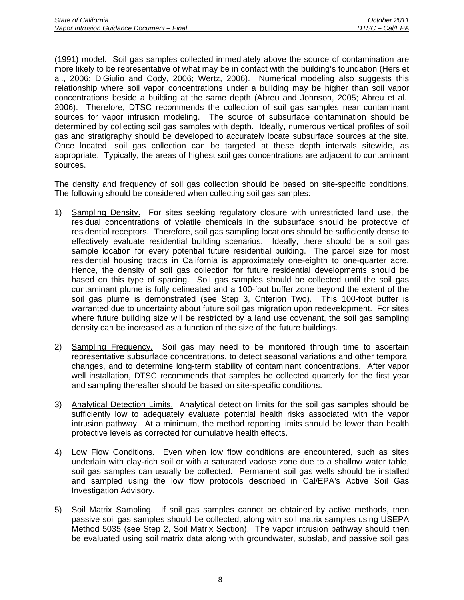(1991) model. Soil gas samples collected immediately above the source of contamination are more likely to be representative of what may be in contact with the building's foundation (Hers et al., 2006; DiGiulio and Cody, 2006; Wertz, 2006). Numerical modeling also suggests this relationship where soil vapor concentrations under a building may be higher than soil vapor concentrations beside a building at the same depth (Abreu and Johnson, 2005; Abreu et al., 2006). Therefore, DTSC recommends the collection of soil gas samples near contaminant sources for vapor intrusion modeling. The source of subsurface contamination should be determined by collecting soil gas samples with depth. Ideally, numerous vertical profiles of soil gas and stratigraphy should be developed to accurately locate subsurface sources at the site. Once located, soil gas collection can be targeted at these depth intervals sitewide, as appropriate. Typically, the areas of highest soil gas concentrations are adjacent to contaminant sources.

The density and frequency of soil gas collection should be based on site-specific conditions. The following should be considered when collecting soil gas samples:

- 1) Sampling Density. For sites seeking regulatory closure with unrestricted land use, the residual concentrations of volatile chemicals in the subsurface should be protective of residential receptors. Therefore, soil gas sampling locations should be sufficiently dense to effectively evaluate residential building scenarios. Ideally, there should be a soil gas sample location for every potential future residential building. The parcel size for most residential housing tracts in California is approximately one-eighth to one-quarter acre. Hence, the density of soil gas collection for future residential developments should be based on this type of spacing. Soil gas samples should be collected until the soil gas contaminant plume is fully delineated and a 100-foot buffer zone beyond the extent of the soil gas plume is demonstrated (see Step 3, Criterion Two). This 100-foot buffer is warranted due to uncertainty about future soil gas migration upon redevelopment. For sites where future building size will be restricted by a land use covenant, the soil gas sampling density can be increased as a function of the size of the future buildings.
- 2) Sampling Frequency. Soil gas may need to be monitored through time to ascertain representative subsurface concentrations, to detect seasonal variations and other temporal changes, and to determine long-term stability of contaminant concentrations. After vapor well installation, DTSC recommends that samples be collected quarterly for the first year and sampling thereafter should be based on site-specific conditions.
- 3) Analytical Detection Limits. Analytical detection limits for the soil gas samples should be sufficiently low to adequately evaluate potential health risks associated with the vapor intrusion pathway. At a minimum, the method reporting limits should be lower than health protective levels as corrected for cumulative health effects.
- 4) Low Flow Conditions. Even when low flow conditions are encountered, such as sites underlain with clay-rich soil or with a saturated vadose zone due to a shallow water table, soil gas samples can usually be collected. Permanent soil gas wells should be installed and sampled using the low flow protocols described in Cal/EPA's Active Soil Gas Investigation Advisory.
- 5) Soil Matrix Sampling. If soil gas samples cannot be obtained by active methods, then passive soil gas samples should be collected, along with soil matrix samples using USEPA Method 5035 (see Step 2, Soil Matrix Section). The vapor intrusion pathway should then be evaluated using soil matrix data along with groundwater, subslab, and passive soil gas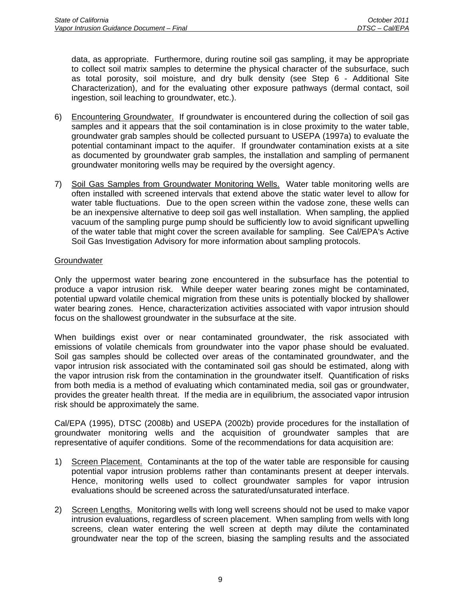data, as appropriate. Furthermore, during routine soil gas sampling, it may be appropriate to collect soil matrix samples to determine the physical character of the subsurface, such as total porosity, soil moisture, and dry bulk density (see Step 6 - Additional Site Characterization), and for the evaluating other exposure pathways (dermal contact, soil ingestion, soil leaching to groundwater, etc.).

- 6) Encountering Groundwater. If groundwater is encountered during the collection of soil gas samples and it appears that the soil contamination is in close proximity to the water table, groundwater grab samples should be collected pursuant to USEPA (1997a) to evaluate the potential contaminant impact to the aquifer. If groundwater contamination exists at a site as documented by groundwater grab samples, the installation and sampling of permanent groundwater monitoring wells may be required by the oversight agency.
- 7) Soil Gas Samples from Groundwater Monitoring Wells. Water table monitoring wells are often installed with screened intervals that extend above the static water level to allow for water table fluctuations. Due to the open screen within the vadose zone, these wells can be an inexpensive alternative to deep soil gas well installation. When sampling, the applied vacuum of the sampling purge pump should be sufficiently low to avoid significant upwelling of the water table that might cover the screen available for sampling. See Cal/EPA's Active Soil Gas Investigation Advisory for more information about sampling protocols.

# **Groundwater**

Only the uppermost water bearing zone encountered in the subsurface has the potential to produce a vapor intrusion risk. While deeper water bearing zones might be contaminated, potential upward volatile chemical migration from these units is potentially blocked by shallower water bearing zones. Hence, characterization activities associated with vapor intrusion should focus on the shallowest groundwater in the subsurface at the site.

When buildings exist over or near contaminated groundwater, the risk associated with emissions of volatile chemicals from groundwater into the vapor phase should be evaluated. Soil gas samples should be collected over areas of the contaminated groundwater, and the vapor intrusion risk associated with the contaminated soil gas should be estimated, along with the vapor intrusion risk from the contamination in the groundwater itself. Quantification of risks from both media is a method of evaluating which contaminated media, soil gas or groundwater, provides the greater health threat. If the media are in equilibrium, the associated vapor intrusion risk should be approximately the same.

Cal/EPA (1995), DTSC (2008b) and USEPA (2002b) provide procedures for the installation of groundwater monitoring wells and the acquisition of groundwater samples that are representative of aquifer conditions. Some of the recommendations for data acquisition are:

- 1) Screen Placement. Contaminants at the top of the water table are responsible for causing potential vapor intrusion problems rather than contaminants present at deeper intervals. Hence, monitoring wells used to collect groundwater samples for vapor intrusion evaluations should be screened across the saturated/unsaturated interface.
- 2) Screen Lengths. Monitoring wells with long well screens should not be used to make vapor intrusion evaluations, regardless of screen placement. When sampling from wells with long screens, clean water entering the well screen at depth may dilute the contaminated groundwater near the top of the screen, biasing the sampling results and the associated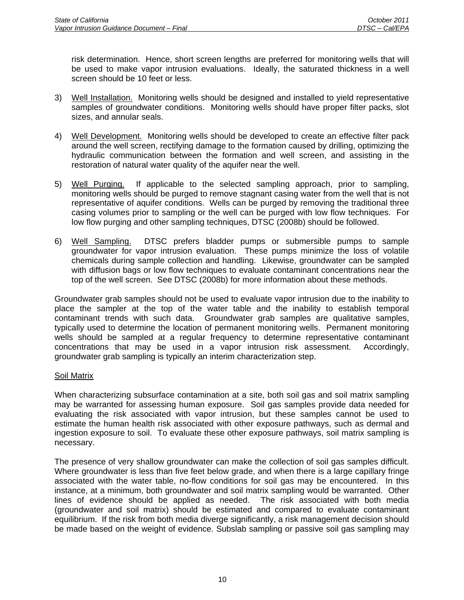risk determination. Hence, short screen lengths are preferred for monitoring wells that will be used to make vapor intrusion evaluations. Ideally, the saturated thickness in a well screen should be 10 feet or less.

- 3) Well Installation. Monitoring wells should be designed and installed to yield representative samples of groundwater conditions. Monitoring wells should have proper filter packs, slot sizes, and annular seals.
- 4) Well Development. Monitoring wells should be developed to create an effective filter pack around the well screen, rectifying damage to the formation caused by drilling, optimizing the hydraulic communication between the formation and well screen, and assisting in the restoration of natural water quality of the aquifer near the well.
- 5) Well Purging. If applicable to the selected sampling approach, prior to sampling, monitoring wells should be purged to remove stagnant casing water from the well that is not representative of aquifer conditions. Wells can be purged by removing the traditional three casing volumes prior to sampling or the well can be purged with low flow techniques. For low flow purging and other sampling techniques, DTSC (2008b) should be followed.
- 6) Well Sampling. DTSC prefers bladder pumps or submersible pumps to sample groundwater for vapor intrusion evaluation. These pumps minimize the loss of volatile chemicals during sample collection and handling. Likewise, groundwater can be sampled with diffusion bags or low flow techniques to evaluate contaminant concentrations near the top of the well screen. See DTSC (2008b) for more information about these methods.

Groundwater grab samples should not be used to evaluate vapor intrusion due to the inability to place the sampler at the top of the water table and the inability to establish temporal contaminant trends with such data. Groundwater grab samples are qualitative samples, typically used to determine the location of permanent monitoring wells. Permanent monitoring wells should be sampled at a regular frequency to determine representative contaminant concentrations that may be used in a vapor intrusion risk assessment. Accordingly, groundwater grab sampling is typically an interim characterization step.

# Soil Matrix

When characterizing subsurface contamination at a site, both soil gas and soil matrix sampling may be warranted for assessing human exposure. Soil gas samples provide data needed for evaluating the risk associated with vapor intrusion, but these samples cannot be used to estimate the human health risk associated with other exposure pathways, such as dermal and ingestion exposure to soil. To evaluate these other exposure pathways, soil matrix sampling is necessary.

The presence of very shallow groundwater can make the collection of soil gas samples difficult. Where groundwater is less than five feet below grade, and when there is a large capillary fringe associated with the water table, no-flow conditions for soil gas may be encountered. In this instance, at a minimum, both groundwater and soil matrix sampling would be warranted. Other lines of evidence should be applied as needed. The risk associated with both media (groundwater and soil matrix) should be estimated and compared to evaluate contaminant equilibrium. If the risk from both media diverge significantly, a risk management decision should be made based on the weight of evidence. Subslab sampling or passive soil gas sampling may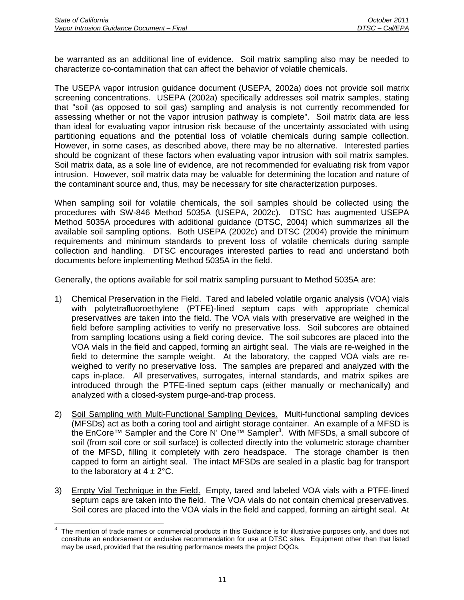be warranted as an additional line of evidence. Soil matrix sampling also may be needed to characterize co-contamination that can affect the behavior of volatile chemicals.

The USEPA vapor intrusion guidance document (USEPA, 2002a) does not provide soil matrix screening concentrations. USEPA (2002a) specifically addresses soil matrix samples, stating that "soil (as opposed to soil gas) sampling and analysis is not currently recommended for assessing whether or not the vapor intrusion pathway is complete". Soil matrix data are less than ideal for evaluating vapor intrusion risk because of the uncertainty associated with using partitioning equations and the potential loss of volatile chemicals during sample collection. However, in some cases, as described above, there may be no alternative. Interested parties should be cognizant of these factors when evaluating vapor intrusion with soil matrix samples. Soil matrix data, as a sole line of evidence, are not recommended for evaluating risk from vapor intrusion. However, soil matrix data may be valuable for determining the location and nature of the contaminant source and, thus, may be necessary for site characterization purposes.

When sampling soil for volatile chemicals, the soil samples should be collected using the procedures with SW-846 Method 5035A (USEPA, 2002c). DTSC has augmented USEPA Method 5035A procedures with additional guidance (DTSC, 2004) which summarizes all the available soil sampling options. Both USEPA (2002c) and DTSC (2004) provide the minimum requirements and minimum standards to prevent loss of volatile chemicals during sample collection and handling. DTSC encourages interested parties to read and understand both documents before implementing Method 5035A in the field.

Generally, the options available for soil matrix sampling pursuant to Method 5035A are:

- 1) Chemical Preservation in the Field. Tared and labeled volatile organic analysis (VOA) vials with polytetrafluoroethylene (PTFE)-lined septum caps with appropriate chemical preservatives are taken into the field. The VOA vials with preservative are weighed in the field before sampling activities to verify no preservative loss. Soil subcores are obtained from sampling locations using a field coring device. The soil subcores are placed into the VOA vials in the field and capped, forming an airtight seal. The vials are re-weighed in the field to determine the sample weight. At the laboratory, the capped VOA vials are reweighed to verify no preservative loss. The samples are prepared and analyzed with the caps in-place. All preservatives, surrogates, internal standards, and matrix spikes are introduced through the PTFE-lined septum caps (either manually or mechanically) and analyzed with a closed-system purge-and-trap process.
- 2) Soil Sampling with Multi-Functional Sampling Devices. Multi-functional sampling devices (MFSDs) act as both a coring tool and airtight storage container. An example of a MFSD is the EnCore™ Sampler and the Core N' One™ Sampler<sup>3</sup>. With MFSDs, a small subcore of soil (from soil core or soil surface) is collected directly into the volumetric storage chamber of the MFSD, filling it completely with zero headspace. The storage chamber is then capped to form an airtight seal. The intact MFSDs are sealed in a plastic bag for transport to the laboratory at  $4 \pm 2^{\circ}$ C.
- 3) Empty Vial Technique in the Field. Empty, tared and labeled VOA vials with a PTFE-lined septum caps are taken into the field. The VOA vials do not contain chemical preservatives. Soil cores are placed into the VOA vials in the field and capped, forming an airtight seal. At

<sup>-&</sup>lt;br>3 The mention of trade names or commercial products in this Guidance is for illustrative purposes only, and does not constitute an endorsement or exclusive recommendation for use at DTSC sites. Equipment other than that listed may be used, provided that the resulting performance meets the project DQOs.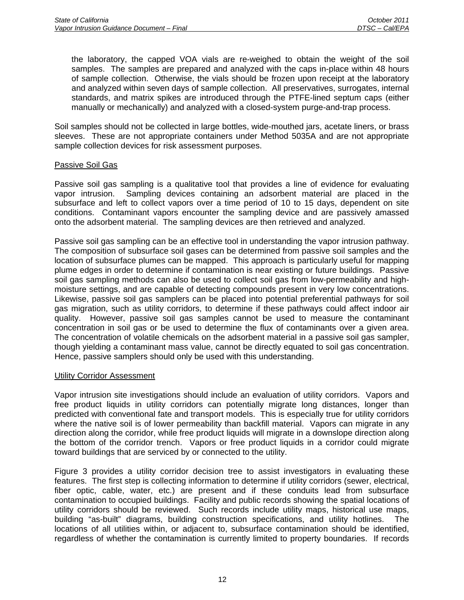the laboratory, the capped VOA vials are re-weighed to obtain the weight of the soil samples. The samples are prepared and analyzed with the caps in-place within 48 hours of sample collection. Otherwise, the vials should be frozen upon receipt at the laboratory and analyzed within seven days of sample collection. All preservatives, surrogates, internal standards, and matrix spikes are introduced through the PTFE-lined septum caps (either manually or mechanically) and analyzed with a closed-system purge-and-trap process.

Soil samples should not be collected in large bottles, wide-mouthed jars, acetate liners, or brass sleeves. These are not appropriate containers under Method 5035A and are not appropriate sample collection devices for risk assessment purposes.

#### Passive Soil Gas

Passive soil gas sampling is a qualitative tool that provides a line of evidence for evaluating vapor intrusion. Sampling devices containing an adsorbent material are placed in the subsurface and left to collect vapors over a time period of 10 to 15 days, dependent on site conditions. Contaminant vapors encounter the sampling device and are passively amassed onto the adsorbent material. The sampling devices are then retrieved and analyzed.

Passive soil gas sampling can be an effective tool in understanding the vapor intrusion pathway. The composition of subsurface soil gases can be determined from passive soil samples and the location of subsurface plumes can be mapped. This approach is particularly useful for mapping plume edges in order to determine if contamination is near existing or future buildings. Passive soil gas sampling methods can also be used to collect soil gas from low-permeability and highmoisture settings, and are capable of detecting compounds present in very low concentrations. Likewise, passive soil gas samplers can be placed into potential preferential pathways for soil gas migration, such as utility corridors, to determine if these pathways could affect indoor air quality. However, passive soil gas samples cannot be used to measure the contaminant concentration in soil gas or be used to determine the flux of contaminants over a given area. The concentration of volatile chemicals on the adsorbent material in a passive soil gas sampler, though yielding a contaminant mass value, cannot be directly equated to soil gas concentration. Hence, passive samplers should only be used with this understanding.

#### Utility Corridor Assessment

Vapor intrusion site investigations should include an evaluation of utility corridors. Vapors and free product liquids in utility corridors can potentially migrate long distances, longer than predicted with conventional fate and transport models. This is especially true for utility corridors where the native soil is of lower permeability than backfill material. Vapors can migrate in any direction along the corridor, while free product liquids will migrate in a downslope direction along the bottom of the corridor trench. Vapors or free product liquids in a corridor could migrate toward buildings that are serviced by or connected to the utility.

Figure 3 provides a utility corridor decision tree to assist investigators in evaluating these features. The first step is collecting information to determine if utility corridors (sewer, electrical, fiber optic, cable, water, etc.) are present and if these conduits lead from subsurface contamination to occupied buildings. Facility and public records showing the spatial locations of utility corridors should be reviewed. Such records include utility maps, historical use maps, building "as-built" diagrams, building construction specifications, and utility hotlines. The locations of all utilities within, or adjacent to, subsurface contamination should be identified, regardless of whether the contamination is currently limited to property boundaries. If records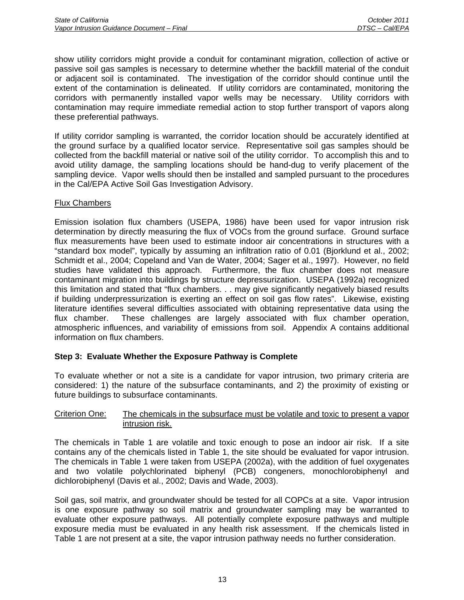show utility corridors might provide a conduit for contaminant migration, collection of active or passive soil gas samples is necessary to determine whether the backfill material of the conduit or adjacent soil is contaminated. The investigation of the corridor should continue until the extent of the contamination is delineated. If utility corridors are contaminated, monitoring the corridors with permanently installed vapor wells may be necessary. Utility corridors with contamination may require immediate remedial action to stop further transport of vapors along these preferential pathways.

If utility corridor sampling is warranted, the corridor location should be accurately identified at the ground surface by a qualified locator service. Representative soil gas samples should be collected from the backfill material or native soil of the utility corridor. To accomplish this and to avoid utility damage, the sampling locations should be hand-dug to verify placement of the sampling device. Vapor wells should then be installed and sampled pursuant to the procedures in the Cal/EPA Active Soil Gas Investigation Advisory.

# Flux Chambers

Emission isolation flux chambers (USEPA, 1986) have been used for vapor intrusion risk determination by directly measuring the flux of VOCs from the ground surface. Ground surface flux measurements have been used to estimate indoor air concentrations in structures with a "standard box model", typically by assuming an infiltration ratio of 0.01 (Bjorklund et al., 2002; Schmidt et al., 2004; Copeland and Van de Water, 2004; Sager et al., 1997). However, no field studies have validated this approach. Furthermore, the flux chamber does not measure contaminant migration into buildings by structure depressurization. USEPA (1992a) recognized this limitation and stated that "flux chambers. . . may give significantly negatively biased results if building underpressurization is exerting an effect on soil gas flow rates". Likewise, existing literature identifies several difficulties associated with obtaining representative data using the flux chamber. These challenges are largely associated with flux chamber operation, atmospheric influences, and variability of emissions from soil. Appendix A contains additional information on flux chambers.

# **Step 3: Evaluate Whether the Exposure Pathway is Complete**

To evaluate whether or not a site is a candidate for vapor intrusion, two primary criteria are considered: 1) the nature of the subsurface contaminants, and 2) the proximity of existing or future buildings to subsurface contaminants.

#### Criterion One: The chemicals in the subsurface must be volatile and toxic to present a vapor intrusion risk.

The chemicals in Table 1 are volatile and toxic enough to pose an indoor air risk. If a site contains any of the chemicals listed in Table 1, the site should be evaluated for vapor intrusion. The chemicals in Table 1 were taken from USEPA (2002a), with the addition of fuel oxygenates and two volatile polychlorinated biphenyl (PCB) congeners, monochlorobiphenyl and dichlorobiphenyl (Davis et al., 2002; Davis and Wade, 2003).

Soil gas, soil matrix, and groundwater should be tested for all COPCs at a site. Vapor intrusion is one exposure pathway so soil matrix and groundwater sampling may be warranted to evaluate other exposure pathways. All potentially complete exposure pathways and multiple exposure media must be evaluated in any health risk assessment. If the chemicals listed in Table 1 are not present at a site, the vapor intrusion pathway needs no further consideration.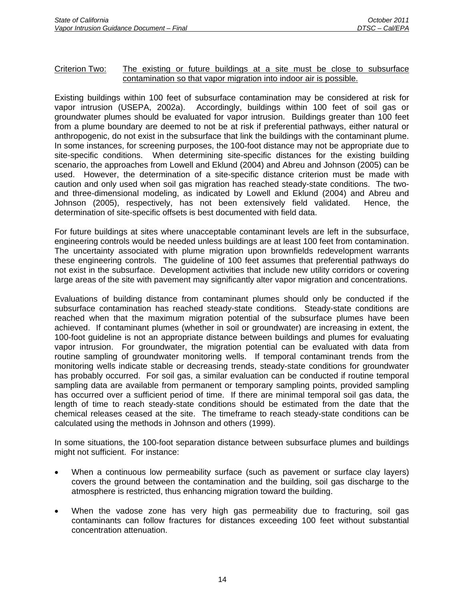#### Criterion Two: The existing or future buildings at a site must be close to subsurface contamination so that vapor migration into indoor air is possible.

Existing buildings within 100 feet of subsurface contamination may be considered at risk for vapor intrusion (USEPA, 2002a). Accordingly, buildings within 100 feet of soil gas or groundwater plumes should be evaluated for vapor intrusion. Buildings greater than 100 feet from a plume boundary are deemed to not be at risk if preferential pathways, either natural or anthropogenic, do not exist in the subsurface that link the buildings with the contaminant plume. In some instances, for screening purposes, the 100-foot distance may not be appropriate due to site-specific conditions. When determining site-specific distances for the existing building scenario, the approaches from Lowell and Eklund (2004) and Abreu and Johnson (2005) can be used. However, the determination of a site-specific distance criterion must be made with caution and only used when soil gas migration has reached steady-state conditions. The twoand three-dimensional modeling, as indicated by Lowell and Eklund (2004) and Abreu and Johnson (2005), respectively, has not been extensively field validated. Hence, the determination of site-specific offsets is best documented with field data.

For future buildings at sites where unacceptable contaminant levels are left in the subsurface, engineering controls would be needed unless buildings are at least 100 feet from contamination. The uncertainty associated with plume migration upon brownfields redevelopment warrants these engineering controls. The guideline of 100 feet assumes that preferential pathways do not exist in the subsurface. Development activities that include new utility corridors or covering large areas of the site with pavement may significantly alter vapor migration and concentrations.

Evaluations of building distance from contaminant plumes should only be conducted if the subsurface contamination has reached steady-state conditions. Steady-state conditions are reached when that the maximum migration potential of the subsurface plumes have been achieved. If contaminant plumes (whether in soil or groundwater) are increasing in extent, the 100-foot guideline is not an appropriate distance between buildings and plumes for evaluating vapor intrusion. For groundwater, the migration potential can be evaluated with data from routine sampling of groundwater monitoring wells. If temporal contaminant trends from the monitoring wells indicate stable or decreasing trends, steady-state conditions for groundwater has probably occurred. For soil gas, a similar evaluation can be conducted if routine temporal sampling data are available from permanent or temporary sampling points, provided sampling has occurred over a sufficient period of time. If there are minimal temporal soil gas data, the length of time to reach steady-state conditions should be estimated from the date that the chemical releases ceased at the site. The timeframe to reach steady-state conditions can be calculated using the methods in Johnson and others (1999).

In some situations, the 100-foot separation distance between subsurface plumes and buildings might not sufficient. For instance:

- When a continuous low permeability surface (such as pavement or surface clay layers) covers the ground between the contamination and the building, soil gas discharge to the atmosphere is restricted, thus enhancing migration toward the building.
- When the vadose zone has very high gas permeability due to fracturing, soil gas contaminants can follow fractures for distances exceeding 100 feet without substantial concentration attenuation.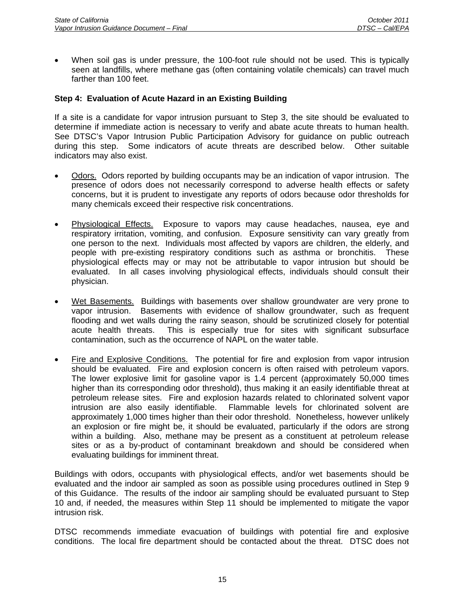• When soil gas is under pressure, the 100-foot rule should not be used. This is typically seen at landfills, where methane gas (often containing volatile chemicals) can travel much farther than 100 feet.

# **Step 4: Evaluation of Acute Hazard in an Existing Building**

If a site is a candidate for vapor intrusion pursuant to Step 3, the site should be evaluated to determine if immediate action is necessary to verify and abate acute threats to human health. See DTSC's Vapor Intrusion Public Participation Advisory for guidance on public outreach during this step. Some indicators of acute threats are described below. Other suitable indicators may also exist.

- Odors. Odors reported by building occupants may be an indication of vapor intrusion. The presence of odors does not necessarily correspond to adverse health effects or safety concerns, but it is prudent to investigate any reports of odors because odor thresholds for many chemicals exceed their respective risk concentrations.
- Physiological Effects. Exposure to vapors may cause headaches, nausea, eye and respiratory irritation, vomiting, and confusion. Exposure sensitivity can vary greatly from one person to the next. Individuals most affected by vapors are children, the elderly, and people with pre-existing respiratory conditions such as asthma or bronchitis. These physiological effects may or may not be attributable to vapor intrusion but should be evaluated. In all cases involving physiological effects, individuals should consult their physician.
- Wet Basements. Buildings with basements over shallow groundwater are very prone to vapor intrusion. Basements with evidence of shallow groundwater, such as frequent flooding and wet walls during the rainy season, should be scrutinized closely for potential acute health threats. This is especially true for sites with significant subsurface contamination, such as the occurrence of NAPL on the water table.
- Fire and Explosive Conditions. The potential for fire and explosion from vapor intrusion should be evaluated. Fire and explosion concern is often raised with petroleum vapors. The lower explosive limit for gasoline vapor is 1.4 percent (approximately 50,000 times higher than its corresponding odor threshold), thus making it an easily identifiable threat at petroleum release sites. Fire and explosion hazards related to chlorinated solvent vapor intrusion are also easily identifiable. Flammable levels for chlorinated solvent are approximately 1,000 times higher than their odor threshold. Nonetheless, however unlikely an explosion or fire might be, it should be evaluated, particularly if the odors are strong within a building. Also, methane may be present as a constituent at petroleum release sites or as a by-product of contaminant breakdown and should be considered when evaluating buildings for imminent threat.

Buildings with odors, occupants with physiological effects, and/or wet basements should be evaluated and the indoor air sampled as soon as possible using procedures outlined in Step 9 of this Guidance. The results of the indoor air sampling should be evaluated pursuant to Step 10 and, if needed, the measures within Step 11 should be implemented to mitigate the vapor intrusion risk.

DTSC recommends immediate evacuation of buildings with potential fire and explosive conditions. The local fire department should be contacted about the threat. DTSC does not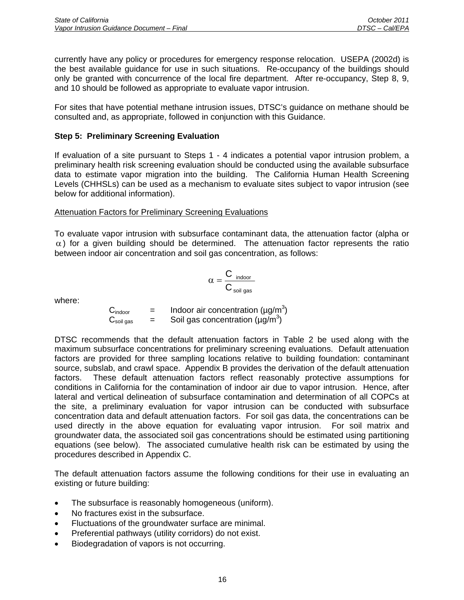currently have any policy or procedures for emergency response relocation. USEPA (2002d) is the best available guidance for use in such situations. Re-occupancy of the buildings should only be granted with concurrence of the local fire department. After re-occupancy, Step 8, 9, and 10 should be followed as appropriate to evaluate vapor intrusion.

For sites that have potential methane intrusion issues, DTSC's guidance on methane should be consulted and, as appropriate, followed in conjunction with this Guidance.

# **Step 5: Preliminary Screening Evaluation**

If evaluation of a site pursuant to Steps 1 - 4 indicates a potential vapor intrusion problem, a preliminary health risk screening evaluation should be conducted using the available subsurface data to estimate vapor migration into the building. The California Human Health Screening Levels (CHHSLs) can be used as a mechanism to evaluate sites subject to vapor intrusion (see below for additional information).

# Attenuation Factors for Preliminary Screening Evaluations

To evaluate vapor intrusion with subsurface contaminant data, the attenuation factor (alpha or  $\alpha$ ) for a given building should be determined. The attenuation factor represents the ratio between indoor air concentration and soil gas concentration, as follows:

$$
\alpha = \frac{C_{\text{ indoor}}}{C_{\text{ soil gas}}}
$$

where:

$$
C_{indoor}
$$
 = Indoor air concentration (µg/m<sup>3</sup>)  
\n $C_{soil gas}$  = Soil gas concentration (µg/m<sup>3</sup>)

DTSC recommends that the default attenuation factors in Table 2 be used along with the maximum subsurface concentrations for preliminary screening evaluations. Default attenuation factors are provided for three sampling locations relative to building foundation: contaminant source, subslab, and crawl space. Appendix B provides the derivation of the default attenuation factors. These default attenuation factors reflect reasonably protective assumptions for conditions in California for the contamination of indoor air due to vapor intrusion. Hence, after lateral and vertical delineation of subsurface contamination and determination of all COPCs at the site, a preliminary evaluation for vapor intrusion can be conducted with subsurface concentration data and default attenuation factors. For soil gas data, the concentrations can be used directly in the above equation for evaluating vapor intrusion. For soil matrix and groundwater data, the associated soil gas concentrations should be estimated using partitioning equations (see below). The associated cumulative health risk can be estimated by using the procedures described in Appendix C.

The default attenuation factors assume the following conditions for their use in evaluating an existing or future building:

- The subsurface is reasonably homogeneous (uniform).
- No fractures exist in the subsurface.
- Fluctuations of the groundwater surface are minimal.
- Preferential pathways (utility corridors) do not exist.
- Biodegradation of vapors is not occurring.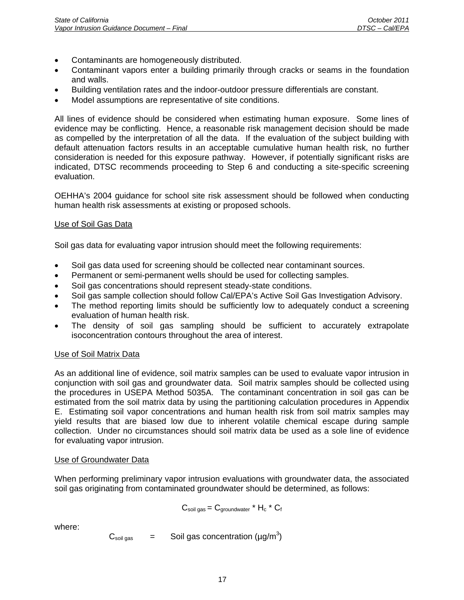- Contaminants are homogeneously distributed.
- Contaminant vapors enter a building primarily through cracks or seams in the foundation and walls.
- Building ventilation rates and the indoor-outdoor pressure differentials are constant.
- Model assumptions are representative of site conditions.

All lines of evidence should be considered when estimating human exposure. Some lines of evidence may be conflicting. Hence, a reasonable risk management decision should be made as compelled by the interpretation of all the data. If the evaluation of the subject building with default attenuation factors results in an acceptable cumulative human health risk, no further consideration is needed for this exposure pathway. However, if potentially significant risks are indicated, DTSC recommends proceeding to Step 6 and conducting a site-specific screening evaluation.

OEHHA's 2004 guidance for school site risk assessment should be followed when conducting human health risk assessments at existing or proposed schools.

# Use of Soil Gas Data

Soil gas data for evaluating vapor intrusion should meet the following requirements:

- Soil gas data used for screening should be collected near contaminant sources.
- Permanent or semi-permanent wells should be used for collecting samples.
- Soil gas concentrations should represent steady-state conditions.
- Soil gas sample collection should follow Cal/EPA's Active Soil Gas Investigation Advisory.
- The method reporting limits should be sufficiently low to adequately conduct a screening evaluation of human health risk.
- The density of soil gas sampling should be sufficient to accurately extrapolate isoconcentration contours throughout the area of interest.

# Use of Soil Matrix Data

As an additional line of evidence, soil matrix samples can be used to evaluate vapor intrusion in conjunction with soil gas and groundwater data. Soil matrix samples should be collected using the procedures in USEPA Method 5035A. The contaminant concentration in soil gas can be estimated from the soil matrix data by using the partitioning calculation procedures in Appendix E. Estimating soil vapor concentrations and human health risk from soil matrix samples may yield results that are biased low due to inherent volatile chemical escape during sample collection. Under no circumstances should soil matrix data be used as a sole line of evidence for evaluating vapor intrusion.

# Use of Groundwater Data

When performing preliminary vapor intrusion evaluations with groundwater data, the associated soil gas originating from contaminated groundwater should be determined, as follows:

$$
C_{\text{soil gas}} = C_{\text{groundwater}} \cdot H_c \cdot C_f
$$

where:

 $C_{\text{soil gas}}$  = Soil gas concentration (µg/m<sup>3</sup>)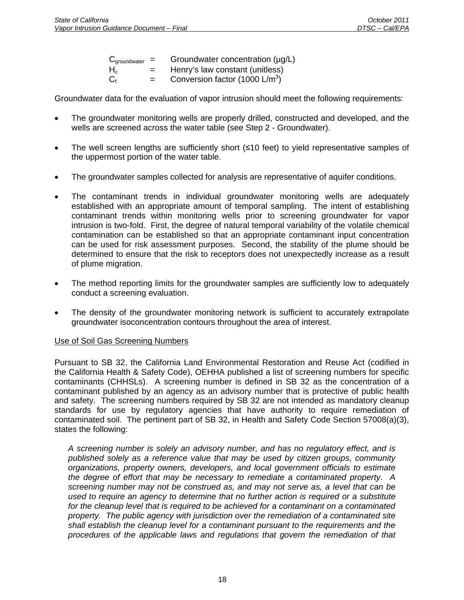| $C_{\text{groundwater}} =$ |     | Groundwater concentration (µg/L)  |
|----------------------------|-----|-----------------------------------|
| $\mathsf{H}_{\mathrm{c}}$  | $=$ | Henry's law constant (unitless)   |
| $C_{\mathrm{f}}$           | $=$ | Conversion factor (1000 $L/m^3$ ) |

Groundwater data for the evaluation of vapor intrusion should meet the following requirements:

- The groundwater monitoring wells are properly drilled, constructed and developed, and the wells are screened across the water table (see Step 2 - Groundwater).
- The well screen lengths are sufficiently short (≤10 feet) to yield representative samples of the uppermost portion of the water table.
- The groundwater samples collected for analysis are representative of aquifer conditions.
- The contaminant trends in individual groundwater monitoring wells are adequately established with an appropriate amount of temporal sampling. The intent of establishing contaminant trends within monitoring wells prior to screening groundwater for vapor intrusion is two-fold. First, the degree of natural temporal variability of the volatile chemical contamination can be established so that an appropriate contaminant input concentration can be used for risk assessment purposes. Second, the stability of the plume should be determined to ensure that the risk to receptors does not unexpectedly increase as a result of plume migration.
- The method reporting limits for the groundwater samples are sufficiently low to adequately conduct a screening evaluation.
- The density of the groundwater monitoring network is sufficient to accurately extrapolate groundwater isoconcentration contours throughout the area of interest.

#### Use of Soil Gas Screening Numbers

Pursuant to SB 32, the California Land Environmental Restoration and Reuse Act (codified in the California Health & Safety Code), OEHHA published a list of screening numbers for specific contaminants (CHHSLs). A screening number is defined in SB 32 as the concentration of a contaminant published by an agency as an advisory number that is protective of public health and safety. The screening numbers required by SB 32 are not intended as mandatory cleanup standards for use by regulatory agencies that have authority to require remediation of contaminated soil. The pertinent part of SB 32, in Health and Safety Code Section 57008(a)(3), states the following:

*A screening number is solely an advisory number, and has no regulatory effect, and is published solely as a reference value that may be used by citizen groups, community organizations, property owners, developers, and local government officials to estimate the degree of effort that may be necessary to remediate a contaminated property. A screening number may not be construed as, and may not serve as, a level that can be used to require an agency to determine that no further action is required or a substitute for the cleanup level that is required to be achieved for a contaminant on a contaminated property. The public agency with jurisdiction over the remediation of a contaminated site shall establish the cleanup level for a contaminant pursuant to the requirements and the procedures of the applicable laws and regulations that govern the remediation of that*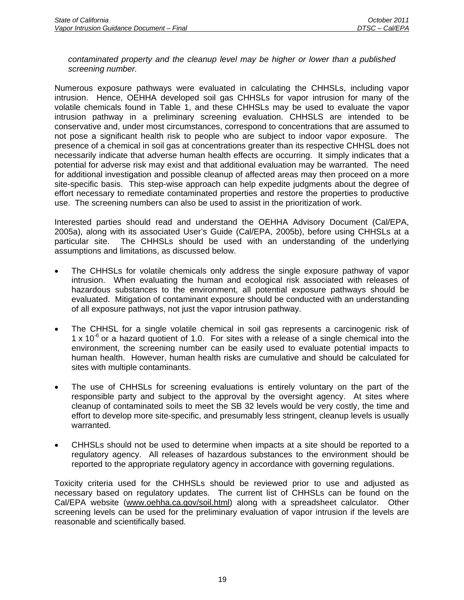#### *contaminated property and the cleanup level may be higher or lower than a published screening number.*

Numerous exposure pathways were evaluated in calculating the CHHSLs, including vapor intrusion. Hence, OEHHA developed soil gas CHHSLs for vapor intrusion for many of the volatile chemicals found in Table 1, and these CHHSLs may be used to evaluate the vapor intrusion pathway in a preliminary screening evaluation. CHHSLS are intended to be conservative and, under most circumstances, correspond to concentrations that are assumed to not pose a significant health risk to people who are subject to indoor vapor exposure. The presence of a chemical in soil gas at concentrations greater than its respective CHHSL does not necessarily indicate that adverse human health effects are occurring. It simply indicates that a potential for adverse risk may exist and that additional evaluation may be warranted. The need for additional investigation and possible cleanup of affected areas may then proceed on a more site-specific basis. This step-wise approach can help expedite judgments about the degree of effort necessary to remediate contaminated properties and restore the properties to productive use. The screening numbers can also be used to assist in the prioritization of work.

Interested parties should read and understand the OEHHA Advisory Document (Cal/EPA, 2005a), along with its associated User's Guide (Cal/EPA, 2005b), before using CHHSLs at a particular site. The CHHSLs should be used with an understanding of the underlying assumptions and limitations, as discussed below.

- The CHHSLs for volatile chemicals only address the single exposure pathway of vapor intrusion. When evaluating the human and ecological risk associated with releases of hazardous substances to the environment, all potential exposure pathways should be evaluated. Mitigation of contaminant exposure should be conducted with an understanding of all exposure pathways, not just the vapor intrusion pathway.
- The CHHSL for a single volatile chemical in soil gas represents a carcinogenic risk of 1 x 10<sup>-6</sup> or a hazard quotient of 1.0. For sites with a release of a single chemical into the environment, the screening number can be easily used to evaluate potential impacts to human health. However, human health risks are cumulative and should be calculated for sites with multiple contaminants.
- The use of CHHSLs for screening evaluations is entirely voluntary on the part of the responsible party and subject to the approval by the oversight agency. At sites where cleanup of contaminated soils to meet the SB 32 levels would be very costly, the time and effort to develop more site-specific, and presumably less stringent, cleanup levels is usually warranted.
- CHHSLs should not be used to determine when impacts at a site should be reported to a regulatory agency. All releases of hazardous substances to the environment should be reported to the appropriate regulatory agency in accordance with governing regulations.

Toxicity criteria used for the CHHSLs should be reviewed prior to use and adjusted as necessary based on regulatory updates. The current list of CHHSLs can be found on the Cal/EPA website (www.oehha.ca.gov/soil.html) along with a spreadsheet calculator. Other screening levels can be used for the preliminary evaluation of vapor intrusion if the levels are reasonable and scientifically based.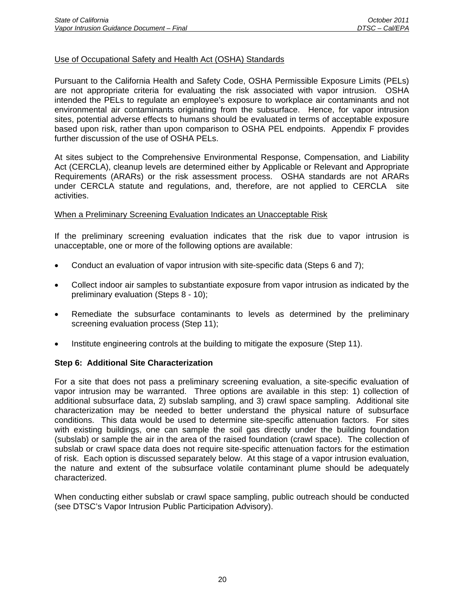## Use of Occupational Safety and Health Act (OSHA) Standards

Pursuant to the California Health and Safety Code, OSHA Permissible Exposure Limits (PELs) are not appropriate criteria for evaluating the risk associated with vapor intrusion. OSHA intended the PELs to regulate an employee's exposure to workplace air contaminants and not environmental air contaminants originating from the subsurface. Hence, for vapor intrusion sites, potential adverse effects to humans should be evaluated in terms of acceptable exposure based upon risk, rather than upon comparison to OSHA PEL endpoints. Appendix F provides further discussion of the use of OSHA PELs.

At sites subject to the Comprehensive Environmental Response, Compensation, and Liability Act (CERCLA), cleanup levels are determined either by Applicable or Relevant and Appropriate Requirements (ARARs) or the risk assessment process. OSHA standards are not ARARs under CERCLA statute and regulations, and, therefore, are not applied to CERCLA site activities.

#### When a Preliminary Screening Evaluation Indicates an Unacceptable Risk

If the preliminary screening evaluation indicates that the risk due to vapor intrusion is unacceptable, one or more of the following options are available:

- Conduct an evaluation of vapor intrusion with site-specific data (Steps 6 and 7);
- Collect indoor air samples to substantiate exposure from vapor intrusion as indicated by the preliminary evaluation (Steps 8 - 10);
- Remediate the subsurface contaminants to levels as determined by the preliminary screening evaluation process (Step 11);
- Institute engineering controls at the building to mitigate the exposure (Step 11).

#### **Step 6: Additional Site Characterization**

For a site that does not pass a preliminary screening evaluation, a site-specific evaluation of vapor intrusion may be warranted. Three options are available in this step: 1) collection of additional subsurface data, 2) subslab sampling, and 3) crawl space sampling. Additional site characterization may be needed to better understand the physical nature of subsurface conditions. This data would be used to determine site-specific attenuation factors. For sites with existing buildings, one can sample the soil gas directly under the building foundation (subslab) or sample the air in the area of the raised foundation (crawl space). The collection of subslab or crawl space data does not require site-specific attenuation factors for the estimation of risk. Each option is discussed separately below. At this stage of a vapor intrusion evaluation, the nature and extent of the subsurface volatile contaminant plume should be adequately characterized.

When conducting either subslab or crawl space sampling, public outreach should be conducted (see DTSC's Vapor Intrusion Public Participation Advisory).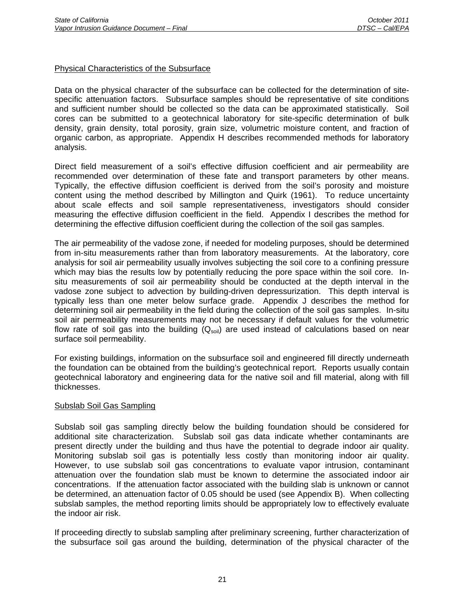## Physical Characteristics of the Subsurface

Data on the physical character of the subsurface can be collected for the determination of sitespecific attenuation factors. Subsurface samples should be representative of site conditions and sufficient number should be collected so the data can be approximated statistically. Soil cores can be submitted to a geotechnical laboratory for site-specific determination of bulk density, grain density, total porosity, grain size, volumetric moisture content, and fraction of organic carbon, as appropriate. Appendix H describes recommended methods for laboratory analysis.

Direct field measurement of a soil's effective diffusion coefficient and air permeability are recommended over determination of these fate and transport parameters by other means. Typically, the effective diffusion coefficient is derived from the soil's porosity and moisture content using the method described by Millington and Quirk (1961). To reduce uncertainty about scale effects and soil sample representativeness, investigators should consider measuring the effective diffusion coefficient in the field. Appendix I describes the method for determining the effective diffusion coefficient during the collection of the soil gas samples.

The air permeability of the vadose zone, if needed for modeling purposes, should be determined from in-situ measurements rather than from laboratory measurements. At the laboratory, core analysis for soil air permeability usually involves subjecting the soil core to a confining pressure which may bias the results low by potentially reducing the pore space within the soil core. Insitu measurements of soil air permeability should be conducted at the depth interval in the vadose zone subject to advection by building-driven depressurization. This depth interval is typically less than one meter below surface grade. Appendix J describes the method for determining soil air permeability in the field during the collection of the soil gas samples. In-situ soil air permeability measurements may not be necessary if default values for the volumetric flow rate of soil gas into the building  $(Q_{soli})$  are used instead of calculations based on near surface soil permeability.

For existing buildings, information on the subsurface soil and engineered fill directly underneath the foundation can be obtained from the building's geotechnical report. Reports usually contain geotechnical laboratory and engineering data for the native soil and fill material, along with fill thicknesses.

# Subslab Soil Gas Sampling

Subslab soil gas sampling directly below the building foundation should be considered for additional site characterization. Subslab soil gas data indicate whether contaminants are present directly under the building and thus have the potential to degrade indoor air quality. Monitoring subslab soil gas is potentially less costly than monitoring indoor air quality. However, to use subslab soil gas concentrations to evaluate vapor intrusion, contaminant attenuation over the foundation slab must be known to determine the associated indoor air concentrations. If the attenuation factor associated with the building slab is unknown or cannot be determined, an attenuation factor of 0.05 should be used (see Appendix B). When collecting subslab samples, the method reporting limits should be appropriately low to effectively evaluate the indoor air risk.

If proceeding directly to subslab sampling after preliminary screening, further characterization of the subsurface soil gas around the building, determination of the physical character of the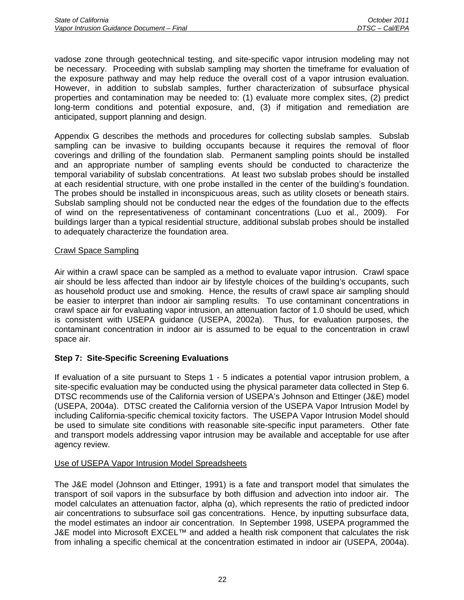vadose zone through geotechnical testing, and site-specific vapor intrusion modeling may not be necessary. Proceeding with subslab sampling may shorten the timeframe for evaluation of the exposure pathway and may help reduce the overall cost of a vapor intrusion evaluation. However, in addition to subslab samples, further characterization of subsurface physical properties and contamination may be needed to: (1) evaluate more complex sites, (2) predict long-term conditions and potential exposure, and, (3) if mitigation and remediation are anticipated, support planning and design.

Appendix G describes the methods and procedures for collecting subslab samples. Subslab sampling can be invasive to building occupants because it requires the removal of floor coverings and drilling of the foundation slab. Permanent sampling points should be installed and an appropriate number of sampling events should be conducted to characterize the temporal variability of subslab concentrations. At least two subslab probes should be installed at each residential structure, with one probe installed in the center of the building's foundation. The probes should be installed in inconspicuous areas, such as utility closets or beneath stairs. Subslab sampling should not be conducted near the edges of the foundation due to the effects of wind on the representativeness of contaminant concentrations (Luo et al., 2009). For buildings larger than a typical residential structure, additional subslab probes should be installed to adequately characterize the foundation area.

#### Crawl Space Sampling

Air within a crawl space can be sampled as a method to evaluate vapor intrusion. Crawl space air should be less affected than indoor air by lifestyle choices of the building's occupants, such as household product use and smoking. Hence, the results of crawl space air sampling should be easier to interpret than indoor air sampling results. To use contaminant concentrations in crawl space air for evaluating vapor intrusion, an attenuation factor of 1.0 should be used, which is consistent with USEPA guidance (USEPA, 2002a). Thus, for evaluation purposes, the contaminant concentration in indoor air is assumed to be equal to the concentration in crawl space air.

# **Step 7: Site-Specific Screening Evaluations**

If evaluation of a site pursuant to Steps 1 - 5 indicates a potential vapor intrusion problem, a site-specific evaluation may be conducted using the physical parameter data collected in Step 6. DTSC recommends use of the California version of USEPA's Johnson and Ettinger (J&E) model (USEPA, 2004a). DTSC created the California version of the USEPA Vapor Intrusion Model by including California-specific chemical toxicity factors. The USEPA Vapor Intrusion Model should be used to simulate site conditions with reasonable site-specific input parameters. Other fate and transport models addressing vapor intrusion may be available and acceptable for use after agency review.

# Use of USEPA Vapor Intrusion Model Spreadsheets

The J&E model (Johnson and Ettinger, 1991) is a fate and transport model that simulates the transport of soil vapors in the subsurface by both diffusion and advection into indoor air. The model calculates an attenuation factor, alpha (α), which represents the ratio of predicted indoor air concentrations to subsurface soil gas concentrations. Hence, by inputting subsurface data, the model estimates an indoor air concentration. In September 1998, USEPA programmed the J&E model into Microsoft EXCEL™ and added a health risk component that calculates the risk from inhaling a specific chemical at the concentration estimated in indoor air (USEPA, 2004a).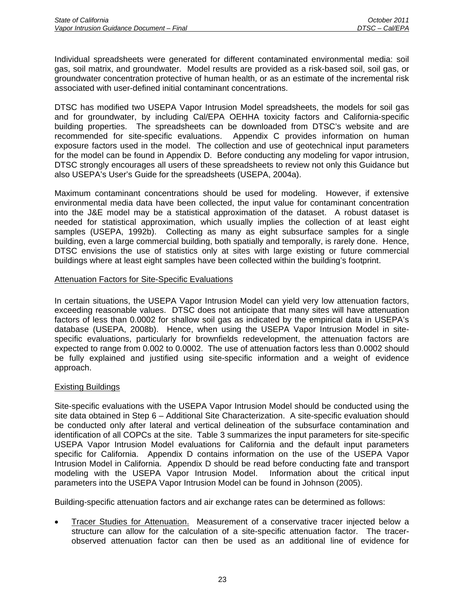Individual spreadsheets were generated for different contaminated environmental media: soil gas, soil matrix, and groundwater. Model results are provided as a risk-based soil, soil gas, or groundwater concentration protective of human health, or as an estimate of the incremental risk associated with user-defined initial contaminant concentrations.

DTSC has modified two USEPA Vapor Intrusion Model spreadsheets, the models for soil gas and for groundwater, by including Cal/EPA OEHHA toxicity factors and California-specific building properties. The spreadsheets can be downloaded from DTSC's website and are recommended for site-specific evaluations. Appendix C provides information on human exposure factors used in the model. The collection and use of geotechnical input parameters for the model can be found in Appendix D. Before conducting any modeling for vapor intrusion, DTSC strongly encourages all users of these spreadsheets to review not only this Guidance but also USEPA's User's Guide for the spreadsheets (USEPA, 2004a).

Maximum contaminant concentrations should be used for modeling. However, if extensive environmental media data have been collected, the input value for contaminant concentration into the J&E model may be a statistical approximation of the dataset. A robust dataset is needed for statistical approximation, which usually implies the collection of at least eight samples (USEPA, 1992b). Collecting as many as eight subsurface samples for a single building, even a large commercial building, both spatially and temporally, is rarely done. Hence, DTSC envisions the use of statistics only at sites with large existing or future commercial buildings where at least eight samples have been collected within the building's footprint.

#### Attenuation Factors for Site-Specific Evaluations

In certain situations, the USEPA Vapor Intrusion Model can yield very low attenuation factors, exceeding reasonable values. DTSC does not anticipate that many sites will have attenuation factors of less than 0.0002 for shallow soil gas as indicated by the empirical data in USEPA's database (USEPA, 2008b). Hence, when using the USEPA Vapor Intrusion Model in sitespecific evaluations, particularly for brownfields redevelopment, the attenuation factors are expected to range from 0.002 to 0.0002. The use of attenuation factors less than 0.0002 should be fully explained and justified using site-specific information and a weight of evidence approach.

# Existing Buildings

Site-specific evaluations with the USEPA Vapor Intrusion Model should be conducted using the site data obtained in Step 6 – Additional Site Characterization. A site-specific evaluation should be conducted only after lateral and vertical delineation of the subsurface contamination and identification of all COPCs at the site. Table 3 summarizes the input parameters for site-specific USEPA Vapor Intrusion Model evaluations for California and the default input parameters specific for California. Appendix D contains information on the use of the USEPA Vapor Intrusion Model in California. Appendix D should be read before conducting fate and transport modeling with the USEPA Vapor Intrusion Model. Information about the critical input parameters into the USEPA Vapor Intrusion Model can be found in Johnson (2005).

Building-specific attenuation factors and air exchange rates can be determined as follows:

• Tracer Studies for Attenuation. Measurement of a conservative tracer injected below a structure can allow for the calculation of a site-specific attenuation factor. The tracerobserved attenuation factor can then be used as an additional line of evidence for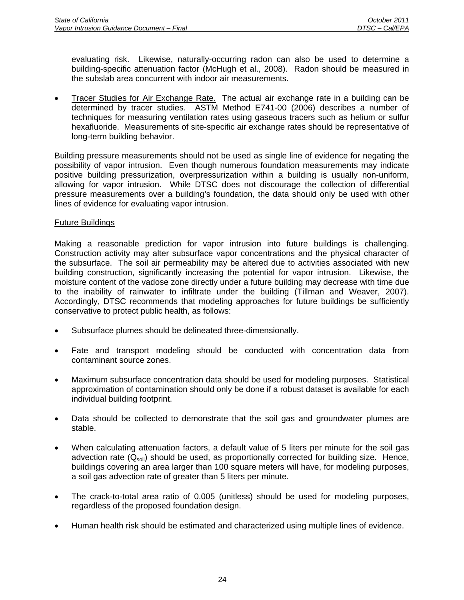evaluating risk. Likewise, naturally-occurring radon can also be used to determine a building-specific attenuation factor (McHugh et al., 2008). Radon should be measured in the subslab area concurrent with indoor air measurements.

• Tracer Studies for Air Exchange Rate. The actual air exchange rate in a building can be determined by tracer studies. ASTM Method E741-00 (2006) describes a number of techniques for measuring ventilation rates using gaseous tracers such as helium or sulfur hexafluoride. Measurements of site-specific air exchange rates should be representative of long-term building behavior.

Building pressure measurements should not be used as single line of evidence for negating the possibility of vapor intrusion. Even though numerous foundation measurements may indicate positive building pressurization, overpressurization within a building is usually non-uniform, allowing for vapor intrusion. While DTSC does not discourage the collection of differential pressure measurements over a building's foundation, the data should only be used with other lines of evidence for evaluating vapor intrusion.

# Future Buildings

Making a reasonable prediction for vapor intrusion into future buildings is challenging. Construction activity may alter subsurface vapor concentrations and the physical character of the subsurface. The soil air permeability may be altered due to activities associated with new building construction, significantly increasing the potential for vapor intrusion. Likewise, the moisture content of the vadose zone directly under a future building may decrease with time due to the inability of rainwater to infiltrate under the building (Tillman and Weaver, 2007). Accordingly, DTSC recommends that modeling approaches for future buildings be sufficiently conservative to protect public health, as follows:

- Subsurface plumes should be delineated three-dimensionally.
- Fate and transport modeling should be conducted with concentration data from contaminant source zones.
- Maximum subsurface concentration data should be used for modeling purposes. Statistical approximation of contamination should only be done if a robust dataset is available for each individual building footprint.
- Data should be collected to demonstrate that the soil gas and groundwater plumes are stable.
- When calculating attenuation factors, a default value of 5 liters per minute for the soil gas advection rate  $(Q<sub>soil</sub>)$  should be used, as proportionally corrected for building size. Hence, buildings covering an area larger than 100 square meters will have, for modeling purposes, a soil gas advection rate of greater than 5 liters per minute.
- The crack-to-total area ratio of 0.005 (unitless) should be used for modeling purposes, regardless of the proposed foundation design.
- Human health risk should be estimated and characterized using multiple lines of evidence.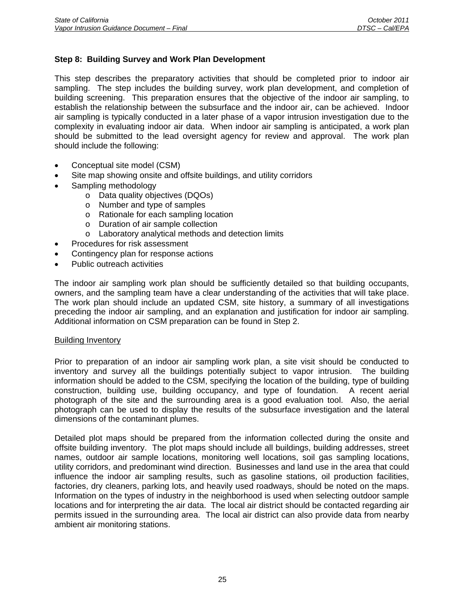## **Step 8: Building Survey and Work Plan Development**

This step describes the preparatory activities that should be completed prior to indoor air sampling. The step includes the building survey, work plan development, and completion of building screening. This preparation ensures that the objective of the indoor air sampling, to establish the relationship between the subsurface and the indoor air, can be achieved. Indoor air sampling is typically conducted in a later phase of a vapor intrusion investigation due to the complexity in evaluating indoor air data. When indoor air sampling is anticipated, a work plan should be submitted to the lead oversight agency for review and approval. The work plan should include the following:

- Conceptual site model (CSM)
- Site map showing onsite and offsite buildings, and utility corridors
- Sampling methodology
	- o Data quality objectives (DQOs)
		- o Number and type of samples
		- o Rationale for each sampling location
		- o Duration of air sample collection
		- o Laboratory analytical methods and detection limits
- Procedures for risk assessment
- Contingency plan for response actions
- Public outreach activities

The indoor air sampling work plan should be sufficiently detailed so that building occupants, owners, and the sampling team have a clear understanding of the activities that will take place. The work plan should include an updated CSM, site history, a summary of all investigations preceding the indoor air sampling, and an explanation and justification for indoor air sampling. Additional information on CSM preparation can be found in Step 2.

#### Building Inventory

Prior to preparation of an indoor air sampling work plan, a site visit should be conducted to inventory and survey all the buildings potentially subject to vapor intrusion. The building information should be added to the CSM, specifying the location of the building, type of building construction, building use, building occupancy, and type of foundation. A recent aerial photograph of the site and the surrounding area is a good evaluation tool. Also, the aerial photograph can be used to display the results of the subsurface investigation and the lateral dimensions of the contaminant plumes.

Detailed plot maps should be prepared from the information collected during the onsite and offsite building inventory. The plot maps should include all buildings, building addresses, street names, outdoor air sample locations, monitoring well locations, soil gas sampling locations, utility corridors, and predominant wind direction. Businesses and land use in the area that could influence the indoor air sampling results, such as gasoline stations, oil production facilities, factories, dry cleaners, parking lots, and heavily used roadways, should be noted on the maps. Information on the types of industry in the neighborhood is used when selecting outdoor sample locations and for interpreting the air data. The local air district should be contacted regarding air permits issued in the surrounding area. The local air district can also provide data from nearby ambient air monitoring stations.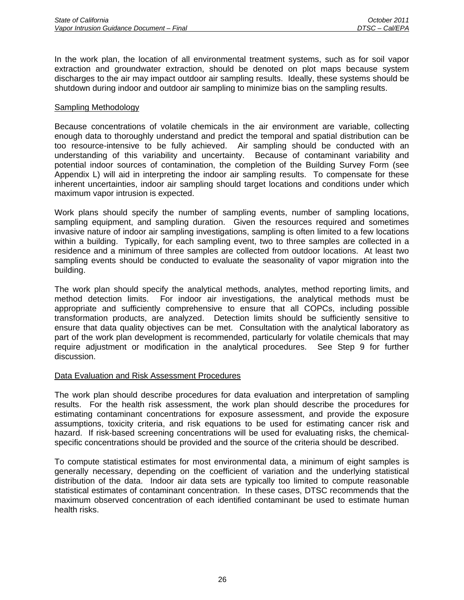In the work plan, the location of all environmental treatment systems, such as for soil vapor extraction and groundwater extraction, should be denoted on plot maps because system discharges to the air may impact outdoor air sampling results. Ideally, these systems should be shutdown during indoor and outdoor air sampling to minimize bias on the sampling results.

#### Sampling Methodology

Because concentrations of volatile chemicals in the air environment are variable, collecting enough data to thoroughly understand and predict the temporal and spatial distribution can be too resource-intensive to be fully achieved. Air sampling should be conducted with an understanding of this variability and uncertainty. Because of contaminant variability and potential indoor sources of contamination, the completion of the Building Survey Form (see Appendix L) will aid in interpreting the indoor air sampling results. To compensate for these inherent uncertainties, indoor air sampling should target locations and conditions under which maximum vapor intrusion is expected.

Work plans should specify the number of sampling events, number of sampling locations, sampling equipment, and sampling duration. Given the resources required and sometimes invasive nature of indoor air sampling investigations, sampling is often limited to a few locations within a building. Typically, for each sampling event, two to three samples are collected in a residence and a minimum of three samples are collected from outdoor locations. At least two sampling events should be conducted to evaluate the seasonality of vapor migration into the building.

The work plan should specify the analytical methods, analytes, method reporting limits, and method detection limits. For indoor air investigations, the analytical methods must be appropriate and sufficiently comprehensive to ensure that all COPCs, including possible transformation products, are analyzed. Detection limits should be sufficiently sensitive to ensure that data quality objectives can be met. Consultation with the analytical laboratory as part of the work plan development is recommended, particularly for volatile chemicals that may require adjustment or modification in the analytical procedures. See Step 9 for further discussion.

#### Data Evaluation and Risk Assessment Procedures

The work plan should describe procedures for data evaluation and interpretation of sampling results. For the health risk assessment, the work plan should describe the procedures for estimating contaminant concentrations for exposure assessment, and provide the exposure assumptions, toxicity criteria, and risk equations to be used for estimating cancer risk and hazard. If risk-based screening concentrations will be used for evaluating risks, the chemicalspecific concentrations should be provided and the source of the criteria should be described.

To compute statistical estimates for most environmental data, a minimum of eight samples is generally necessary, depending on the coefficient of variation and the underlying statistical distribution of the data. Indoor air data sets are typically too limited to compute reasonable statistical estimates of contaminant concentration. In these cases, DTSC recommends that the maximum observed concentration of each identified contaminant be used to estimate human health risks.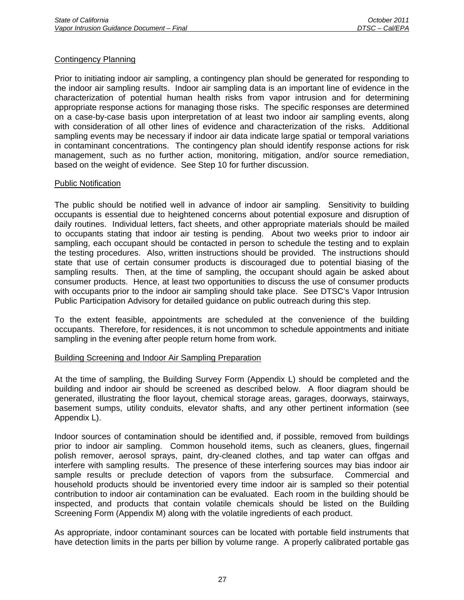#### Contingency Planning

Prior to initiating indoor air sampling, a contingency plan should be generated for responding to the indoor air sampling results. Indoor air sampling data is an important line of evidence in the characterization of potential human health risks from vapor intrusion and for determining appropriate response actions for managing those risks. The specific responses are determined on a case-by-case basis upon interpretation of at least two indoor air sampling events, along with consideration of all other lines of evidence and characterization of the risks. Additional sampling events may be necessary if indoor air data indicate large spatial or temporal variations in contaminant concentrations. The contingency plan should identify response actions for risk management, such as no further action, monitoring, mitigation, and/or source remediation, based on the weight of evidence. See Step 10 for further discussion.

#### Public Notification

The public should be notified well in advance of indoor air sampling. Sensitivity to building occupants is essential due to heightened concerns about potential exposure and disruption of daily routines. Individual letters, fact sheets, and other appropriate materials should be mailed to occupants stating that indoor air testing is pending. About two weeks prior to indoor air sampling, each occupant should be contacted in person to schedule the testing and to explain the testing procedures. Also, written instructions should be provided. The instructions should state that use of certain consumer products is discouraged due to potential biasing of the sampling results. Then, at the time of sampling, the occupant should again be asked about consumer products. Hence, at least two opportunities to discuss the use of consumer products with occupants prior to the indoor air sampling should take place. See DTSC's Vapor Intrusion Public Participation Advisory for detailed guidance on public outreach during this step.

To the extent feasible, appointments are scheduled at the convenience of the building occupants. Therefore, for residences, it is not uncommon to schedule appointments and initiate sampling in the evening after people return home from work.

#### Building Screening and Indoor Air Sampling Preparation

At the time of sampling, the Building Survey Form (Appendix L) should be completed and the building and indoor air should be screened as described below. A floor diagram should be generated, illustrating the floor layout, chemical storage areas, garages, doorways, stairways, basement sumps, utility conduits, elevator shafts, and any other pertinent information (see Appendix L).

Indoor sources of contamination should be identified and, if possible, removed from buildings prior to indoor air sampling. Common household items, such as cleaners, glues, fingernail polish remover, aerosol sprays, paint, dry-cleaned clothes, and tap water can offgas and interfere with sampling results. The presence of these interfering sources may bias indoor air sample results or preclude detection of vapors from the subsurface. Commercial and household products should be inventoried every time indoor air is sampled so their potential contribution to indoor air contamination can be evaluated. Each room in the building should be inspected, and products that contain volatile chemicals should be listed on the Building Screening Form (Appendix M) along with the volatile ingredients of each product.

As appropriate, indoor contaminant sources can be located with portable field instruments that have detection limits in the parts per billion by volume range. A properly calibrated portable gas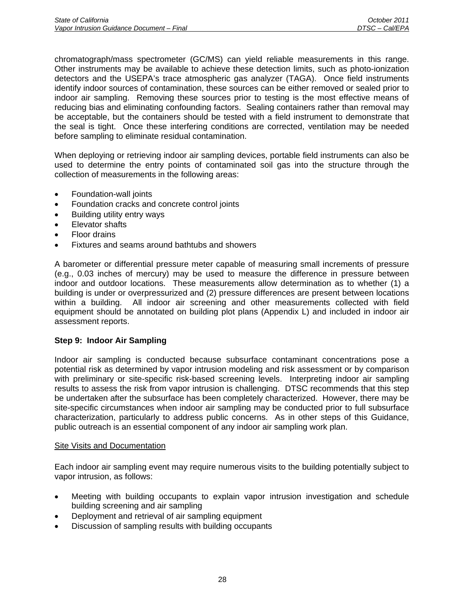chromatograph/mass spectrometer (GC/MS) can yield reliable measurements in this range. Other instruments may be available to achieve these detection limits, such as photo-ionization detectors and the USEPA's trace atmospheric gas analyzer (TAGA). Once field instruments identify indoor sources of contamination, these sources can be either removed or sealed prior to indoor air sampling. Removing these sources prior to testing is the most effective means of reducing bias and eliminating confounding factors. Sealing containers rather than removal may be acceptable, but the containers should be tested with a field instrument to demonstrate that the seal is tight. Once these interfering conditions are corrected, ventilation may be needed before sampling to eliminate residual contamination.

When deploying or retrieving indoor air sampling devices, portable field instruments can also be used to determine the entry points of contaminated soil gas into the structure through the collection of measurements in the following areas:

- Foundation-wall joints
- Foundation cracks and concrete control joints
- Building utility entry ways
- Elevator shafts
- Floor drains
- Fixtures and seams around bathtubs and showers

A barometer or differential pressure meter capable of measuring small increments of pressure (e.g., 0.03 inches of mercury) may be used to measure the difference in pressure between indoor and outdoor locations. These measurements allow determination as to whether (1) a building is under or overpressurized and (2) pressure differences are present between locations within a building. All indoor air screening and other measurements collected with field equipment should be annotated on building plot plans (Appendix L) and included in indoor air assessment reports.

### **Step 9: Indoor Air Sampling**

Indoor air sampling is conducted because subsurface contaminant concentrations pose a potential risk as determined by vapor intrusion modeling and risk assessment or by comparison with preliminary or site-specific risk-based screening levels. Interpreting indoor air sampling results to assess the risk from vapor intrusion is challenging. DTSC recommends that this step be undertaken after the subsurface has been completely characterized. However, there may be site-specific circumstances when indoor air sampling may be conducted prior to full subsurface characterization, particularly to address public concerns. As in other steps of this Guidance, public outreach is an essential component of any indoor air sampling work plan.

### Site Visits and Documentation

Each indoor air sampling event may require numerous visits to the building potentially subject to vapor intrusion, as follows:

- Meeting with building occupants to explain vapor intrusion investigation and schedule building screening and air sampling
- Deployment and retrieval of air sampling equipment
- Discussion of sampling results with building occupants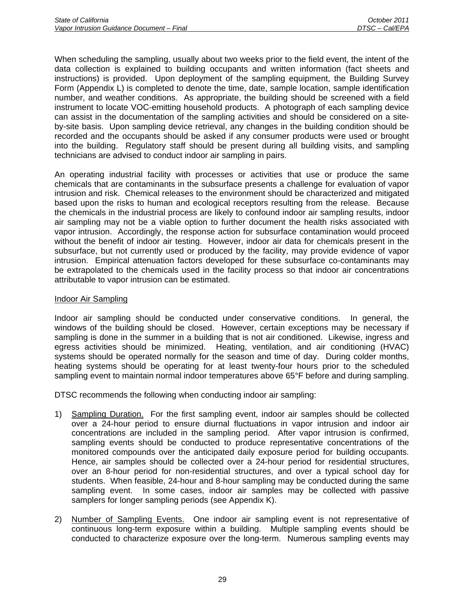When scheduling the sampling, usually about two weeks prior to the field event, the intent of the data collection is explained to building occupants and written information (fact sheets and instructions) is provided. Upon deployment of the sampling equipment, the Building Survey Form (Appendix L) is completed to denote the time, date, sample location, sample identification number, and weather conditions. As appropriate, the building should be screened with a field instrument to locate VOC-emitting household products. A photograph of each sampling device can assist in the documentation of the sampling activities and should be considered on a siteby-site basis. Upon sampling device retrieval, any changes in the building condition should be recorded and the occupants should be asked if any consumer products were used or brought into the building. Regulatory staff should be present during all building visits, and sampling technicians are advised to conduct indoor air sampling in pairs.

An operating industrial facility with processes or activities that use or produce the same chemicals that are contaminants in the subsurface presents a challenge for evaluation of vapor intrusion and risk. Chemical releases to the environment should be characterized and mitigated based upon the risks to human and ecological receptors resulting from the release. Because the chemicals in the industrial process are likely to confound indoor air sampling results, indoor air sampling may not be a viable option to further document the health risks associated with vapor intrusion. Accordingly, the response action for subsurface contamination would proceed without the benefit of indoor air testing. However, indoor air data for chemicals present in the subsurface, but not currently used or produced by the facility, may provide evidence of vapor intrusion. Empirical attenuation factors developed for these subsurface co-contaminants may be extrapolated to the chemicals used in the facility process so that indoor air concentrations attributable to vapor intrusion can be estimated.

### Indoor Air Sampling

Indoor air sampling should be conducted under conservative conditions. In general, the windows of the building should be closed. However, certain exceptions may be necessary if sampling is done in the summer in a building that is not air conditioned. Likewise, ingress and egress activities should be minimized. Heating, ventilation, and air conditioning (HVAC) systems should be operated normally for the season and time of day. During colder months, heating systems should be operating for at least twenty-four hours prior to the scheduled sampling event to maintain normal indoor temperatures above 65°F before and during sampling.

DTSC recommends the following when conducting indoor air sampling:

- 1) Sampling Duration. For the first sampling event, indoor air samples should be collected over a 24-hour period to ensure diurnal fluctuations in vapor intrusion and indoor air concentrations are included in the sampling period. After vapor intrusion is confirmed, sampling events should be conducted to produce representative concentrations of the monitored compounds over the anticipated daily exposure period for building occupants. Hence, air samples should be collected over a 24-hour period for residential structures, over an 8-hour period for non-residential structures, and over a typical school day for students. When feasible, 24-hour and 8-hour sampling may be conducted during the same sampling event. In some cases, indoor air samples may be collected with passive samplers for longer sampling periods (see Appendix K).
- 2) Number of Sampling Events. One indoor air sampling event is not representative of continuous long-term exposure within a building. Multiple sampling events should be conducted to characterize exposure over the long-term. Numerous sampling events may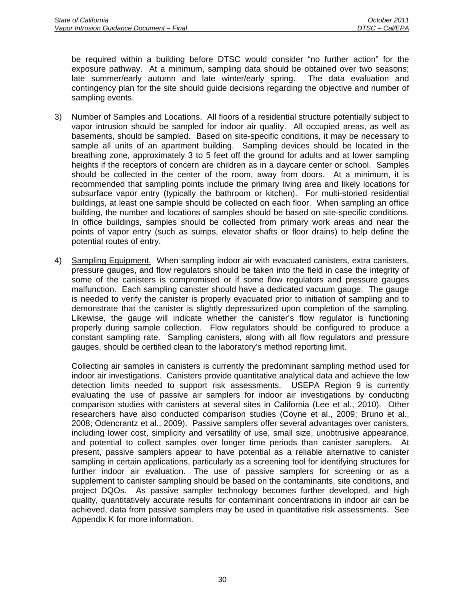be required within a building before DTSC would consider "no further action" for the exposure pathway. At a minimum, sampling data should be obtained over two seasons; late summer/early autumn and late winter/early spring. The data evaluation and contingency plan for the site should guide decisions regarding the objective and number of sampling events.

- 3) Number of Samples and Locations. All floors of a residential structure potentially subject to vapor intrusion should be sampled for indoor air quality. All occupied areas, as well as basements, should be sampled. Based on site-specific conditions, it may be necessary to sample all units of an apartment building. Sampling devices should be located in the breathing zone, approximately 3 to 5 feet off the ground for adults and at lower sampling heights if the receptors of concern are children as in a daycare center or school. Samples should be collected in the center of the room, away from doors. At a minimum, it is recommended that sampling points include the primary living area and likely locations for subsurface vapor entry (typically the bathroom or kitchen). For multi-storied residential buildings, at least one sample should be collected on each floor. When sampling an office building, the number and locations of samples should be based on site-specific conditions. In office buildings, samples should be collected from primary work areas and near the points of vapor entry (such as sumps, elevator shafts or floor drains) to help define the potential routes of entry.
- 4) Sampling Equipment. When sampling indoor air with evacuated canisters, extra canisters, pressure gauges, and flow regulators should be taken into the field in case the integrity of some of the canisters is compromised or if some flow regulators and pressure gauges malfunction. Each sampling canister should have a dedicated vacuum gauge. The gauge is needed to verify the canister is properly evacuated prior to initiation of sampling and to demonstrate that the canister is slightly depressurized upon completion of the sampling. Likewise, the gauge will indicate whether the canister's flow regulator is functioning properly during sample collection. Flow regulators should be configured to produce a constant sampling rate. Sampling canisters, along with all flow regulators and pressure gauges, should be certified clean to the laboratory's method reporting limit.

Collecting air samples in canisters is currently the predominant sampling method used for indoor air investigations. Canisters provide quantitative analytical data and achieve the low detection limits needed to support risk assessments. USEPA Region 9 is currently evaluating the use of passive air samplers for indoor air investigations by conducting comparison studies with canisters at several sites in California (Lee et al., 2010). Other researchers have also conducted comparison studies (Coyne et al., 2009; Bruno et al., 2008; Odencrantz et al., 2009). Passive samplers offer several advantages over canisters, including lower cost, simplicity and versatility of use, small size, unobtrusive appearance, and potential to collect samples over longer time periods than canister samplers. At present, passive samplers appear to have potential as a reliable alternative to canister sampling in certain applications, particularly as a screening tool for identifying structures for further indoor air evaluation. The use of passive samplers for screening or as a supplement to canister sampling should be based on the contaminants, site conditions, and project DQOs. As passive sampler technology becomes further developed, and high quality, quantitatively accurate results for contaminant concentrations in indoor air can be achieved, data from passive samplers may be used in quantitative risk assessments. See Appendix K for more information.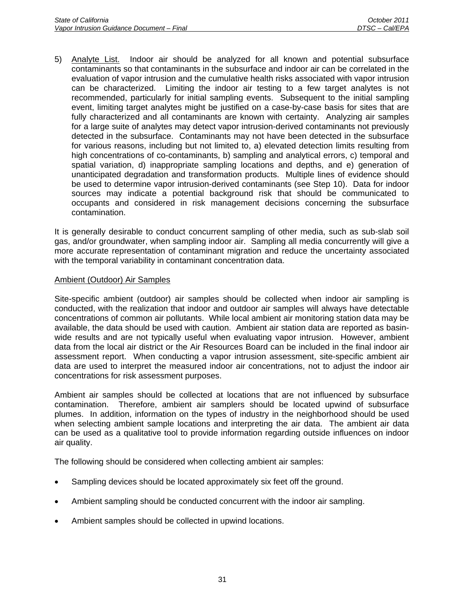5) Analyte List. Indoor air should be analyzed for all known and potential subsurface contaminants so that contaminants in the subsurface and indoor air can be correlated in the evaluation of vapor intrusion and the cumulative health risks associated with vapor intrusion can be characterized. Limiting the indoor air testing to a few target analytes is not recommended, particularly for initial sampling events. Subsequent to the initial sampling event, limiting target analytes might be justified on a case-by-case basis for sites that are fully characterized and all contaminants are known with certainty. Analyzing air samples for a large suite of analytes may detect vapor intrusion-derived contaminants not previously detected in the subsurface. Contaminants may not have been detected in the subsurface for various reasons, including but not limited to, a) elevated detection limits resulting from high concentrations of co-contaminants, b) sampling and analytical errors, c) temporal and spatial variation, d) inappropriate sampling locations and depths, and e) generation of unanticipated degradation and transformation products. Multiple lines of evidence should be used to determine vapor intrusion-derived contaminants (see Step 10). Data for indoor sources may indicate a potential background risk that should be communicated to occupants and considered in risk management decisions concerning the subsurface contamination.

It is generally desirable to conduct concurrent sampling of other media, such as sub-slab soil gas, and/or groundwater, when sampling indoor air. Sampling all media concurrently will give a more accurate representation of contaminant migration and reduce the uncertainty associated with the temporal variability in contaminant concentration data.

### Ambient (Outdoor) Air Samples

Site-specific ambient (outdoor) air samples should be collected when indoor air sampling is conducted, with the realization that indoor and outdoor air samples will always have detectable concentrations of common air pollutants. While local ambient air monitoring station data may be available, the data should be used with caution. Ambient air station data are reported as basinwide results and are not typically useful when evaluating vapor intrusion. However, ambient data from the local air district or the Air Resources Board can be included in the final indoor air assessment report. When conducting a vapor intrusion assessment, site-specific ambient air data are used to interpret the measured indoor air concentrations, not to adjust the indoor air concentrations for risk assessment purposes.

Ambient air samples should be collected at locations that are not influenced by subsurface contamination. Therefore, ambient air samplers should be located upwind of subsurface plumes. In addition, information on the types of industry in the neighborhood should be used when selecting ambient sample locations and interpreting the air data. The ambient air data can be used as a qualitative tool to provide information regarding outside influences on indoor air quality.

The following should be considered when collecting ambient air samples:

- Sampling devices should be located approximately six feet off the ground.
- Ambient sampling should be conducted concurrent with the indoor air sampling.
- Ambient samples should be collected in upwind locations.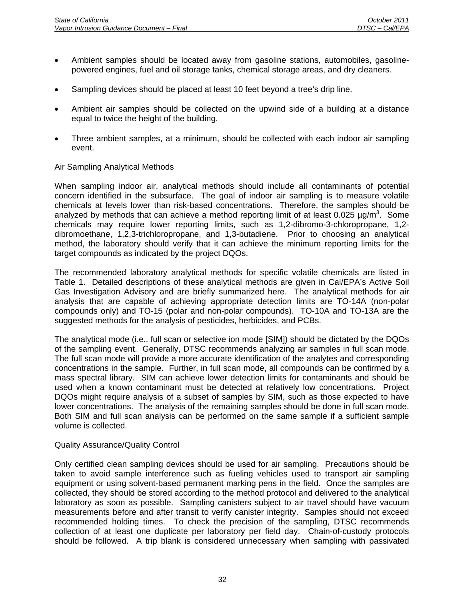- Ambient samples should be located away from gasoline stations, automobiles, gasolinepowered engines, fuel and oil storage tanks, chemical storage areas, and dry cleaners.
- Sampling devices should be placed at least 10 feet beyond a tree's drip line.
- Ambient air samples should be collected on the upwind side of a building at a distance equal to twice the height of the building.
- Three ambient samples, at a minimum, should be collected with each indoor air sampling event.

### Air Sampling Analytical Methods

When sampling indoor air, analytical methods should include all contaminants of potential concern identified in the subsurface. The goal of indoor air sampling is to measure volatile chemicals at levels lower than risk-based concentrations. Therefore, the samples should be analyzed by methods that can achieve a method reporting limit of at least 0.025  $\mu$ g/m<sup>3</sup>. Some chemicals may require lower reporting limits, such as 1,2-dibromo-3-chloropropane, 1,2 dibromoethane, 1,2,3-trichloropropane, and 1,3-butadiene. Prior to choosing an analytical method, the laboratory should verify that it can achieve the minimum reporting limits for the target compounds as indicated by the project DQOs.

The recommended laboratory analytical methods for specific volatile chemicals are listed in Table 1. Detailed descriptions of these analytical methods are given in Cal/EPA's Active Soil Gas Investigation Advisory and are briefly summarized here. The analytical methods for air analysis that are capable of achieving appropriate detection limits are TO-14A (non-polar compounds only) and TO-15 (polar and non-polar compounds). TO-10A and TO-13A are the suggested methods for the analysis of pesticides, herbicides, and PCBs.

The analytical mode (i.e., full scan or selective ion mode [SIM]) should be dictated by the DQOs of the sampling event. Generally, DTSC recommends analyzing air samples in full scan mode. The full scan mode will provide a more accurate identification of the analytes and corresponding concentrations in the sample. Further, in full scan mode, all compounds can be confirmed by a mass spectral library. SIM can achieve lower detection limits for contaminants and should be used when a known contaminant must be detected at relatively low concentrations. Project DQOs might require analysis of a subset of samples by SIM, such as those expected to have lower concentrations. The analysis of the remaining samples should be done in full scan mode. Both SIM and full scan analysis can be performed on the same sample if a sufficient sample volume is collected.

### Quality Assurance/Quality Control

Only certified clean sampling devices should be used for air sampling. Precautions should be taken to avoid sample interference such as fueling vehicles used to transport air sampling equipment or using solvent-based permanent marking pens in the field. Once the samples are collected, they should be stored according to the method protocol and delivered to the analytical laboratory as soon as possible. Sampling canisters subject to air travel should have vacuum measurements before and after transit to verify canister integrity. Samples should not exceed recommended holding times. To check the precision of the sampling, DTSC recommends collection of at least one duplicate per laboratory per field day. Chain-of-custody protocols should be followed. A trip blank is considered unnecessary when sampling with passivated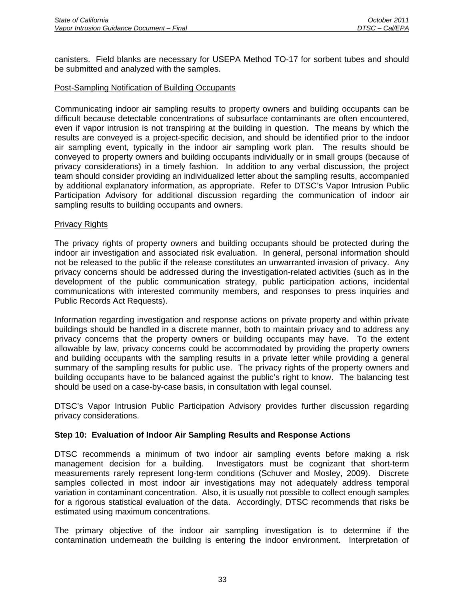canisters. Field blanks are necessary for USEPA Method TO-17 for sorbent tubes and should be submitted and analyzed with the samples.

## Post-Sampling Notification of Building Occupants

Communicating indoor air sampling results to property owners and building occupants can be difficult because detectable concentrations of subsurface contaminants are often encountered, even if vapor intrusion is not transpiring at the building in question. The means by which the results are conveyed is a project-specific decision, and should be identified prior to the indoor air sampling event, typically in the indoor air sampling work plan. The results should be conveyed to property owners and building occupants individually or in small groups (because of privacy considerations) in a timely fashion. In addition to any verbal discussion, the project team should consider providing an individualized letter about the sampling results, accompanied by additional explanatory information, as appropriate. Refer to DTSC's Vapor Intrusion Public Participation Advisory for additional discussion regarding the communication of indoor air sampling results to building occupants and owners.

### Privacy Rights

The privacy rights of property owners and building occupants should be protected during the indoor air investigation and associated risk evaluation. In general, personal information should not be released to the public if the release constitutes an unwarranted invasion of privacy. Any privacy concerns should be addressed during the investigation-related activities (such as in the development of the public communication strategy, public participation actions, incidental communications with interested community members, and responses to press inquiries and Public Records Act Requests).

Information regarding investigation and response actions on private property and within private buildings should be handled in a discrete manner, both to maintain privacy and to address any privacy concerns that the property owners or building occupants may have. To the extent allowable by law, privacy concerns could be accommodated by providing the property owners and building occupants with the sampling results in a private letter while providing a general summary of the sampling results for public use. The privacy rights of the property owners and building occupants have to be balanced against the public's right to know. The balancing test should be used on a case-by-case basis, in consultation with legal counsel.

DTSC's Vapor Intrusion Public Participation Advisory provides further discussion regarding privacy considerations.

### **Step 10: Evaluation of Indoor Air Sampling Results and Response Actions**

DTSC recommends a minimum of two indoor air sampling events before making a risk management decision for a building. Investigators must be cognizant that short-term measurements rarely represent long-term conditions (Schuver and Mosley, 2009). Discrete samples collected in most indoor air investigations may not adequately address temporal variation in contaminant concentration. Also, it is usually not possible to collect enough samples for a rigorous statistical evaluation of the data. Accordingly, DTSC recommends that risks be estimated using maximum concentrations.

The primary objective of the indoor air sampling investigation is to determine if the contamination underneath the building is entering the indoor environment. Interpretation of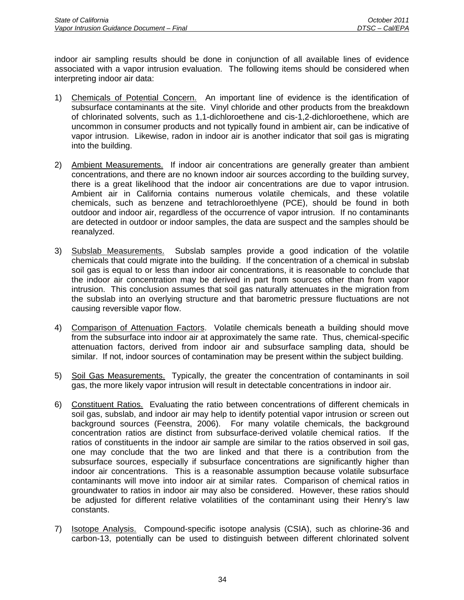indoor air sampling results should be done in conjunction of all available lines of evidence associated with a vapor intrusion evaluation. The following items should be considered when interpreting indoor air data:

- 1) Chemicals of Potential Concern. An important line of evidence is the identification of subsurface contaminants at the site. Vinyl chloride and other products from the breakdown of chlorinated solvents, such as 1,1-dichloroethene and cis-1,2-dichloroethene, which are uncommon in consumer products and not typically found in ambient air, can be indicative of vapor intrusion. Likewise, radon in indoor air is another indicator that soil gas is migrating into the building.
- 2) Ambient Measurements. If indoor air concentrations are generally greater than ambient concentrations, and there are no known indoor air sources according to the building survey, there is a great likelihood that the indoor air concentrations are due to vapor intrusion. Ambient air in California contains numerous volatile chemicals, and these volatile chemicals, such as benzene and tetrachloroethlyene (PCE), should be found in both outdoor and indoor air, regardless of the occurrence of vapor intrusion. If no contaminants are detected in outdoor or indoor samples, the data are suspect and the samples should be reanalyzed.
- 3) Subslab Measurements. Subslab samples provide a good indication of the volatile chemicals that could migrate into the building. If the concentration of a chemical in subslab soil gas is equal to or less than indoor air concentrations, it is reasonable to conclude that the indoor air concentration may be derived in part from sources other than from vapor intrusion. This conclusion assumes that soil gas naturally attenuates in the migration from the subslab into an overlying structure and that barometric pressure fluctuations are not causing reversible vapor flow.
- 4) Comparison of Attenuation Factors. Volatile chemicals beneath a building should move from the subsurface into indoor air at approximately the same rate. Thus, chemical-specific attenuation factors, derived from indoor air and subsurface sampling data, should be similar. If not, indoor sources of contamination may be present within the subject building.
- 5) Soil Gas Measurements. Typically, the greater the concentration of contaminants in soil gas, the more likely vapor intrusion will result in detectable concentrations in indoor air.
- 6) Constituent Ratios. Evaluating the ratio between concentrations of different chemicals in soil gas, subslab, and indoor air may help to identify potential vapor intrusion or screen out background sources (Feenstra, 2006). For many volatile chemicals, the background concentration ratios are distinct from subsurface-derived volatile chemical ratios. If the ratios of constituents in the indoor air sample are similar to the ratios observed in soil gas, one may conclude that the two are linked and that there is a contribution from the subsurface sources, especially if subsurface concentrations are significantly higher than indoor air concentrations. This is a reasonable assumption because volatile subsurface contaminants will move into indoor air at similar rates. Comparison of chemical ratios in groundwater to ratios in indoor air may also be considered. However, these ratios should be adjusted for different relative volatilities of the contaminant using their Henry's law constants.
- 7) Isotope Analysis. Compound-specific isotope analysis (CSIA), such as chlorine-36 and carbon-13, potentially can be used to distinguish between different chlorinated solvent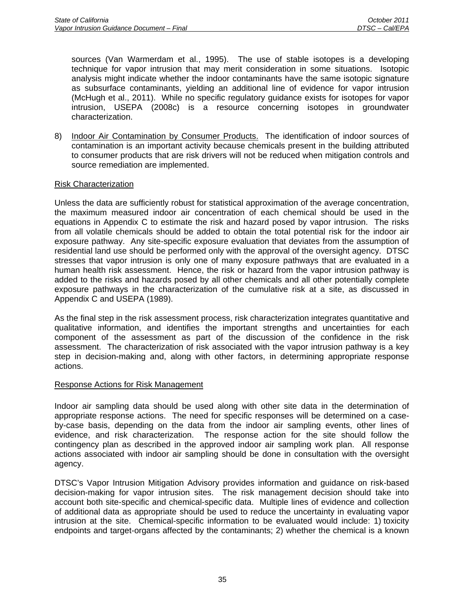sources (Van Warmerdam et al., 1995). The use of stable isotopes is a developing technique for vapor intrusion that may merit consideration in some situations. Isotopic analysis might indicate whether the indoor contaminants have the same isotopic signature as subsurface contaminants, yielding an additional line of evidence for vapor intrusion (McHugh et al., 2011). While no specific regulatory guidance exists for isotopes for vapor intrusion, USEPA (2008c) is a resource concerning isotopes in groundwater characterization.

8) Indoor Air Contamination by Consumer Products. The identification of indoor sources of contamination is an important activity because chemicals present in the building attributed to consumer products that are risk drivers will not be reduced when mitigation controls and source remediation are implemented.

### Risk Characterization

Unless the data are sufficiently robust for statistical approximation of the average concentration, the maximum measured indoor air concentration of each chemical should be used in the equations in Appendix C to estimate the risk and hazard posed by vapor intrusion. The risks from all volatile chemicals should be added to obtain the total potential risk for the indoor air exposure pathway. Any site-specific exposure evaluation that deviates from the assumption of residential land use should be performed only with the approval of the oversight agency. DTSC stresses that vapor intrusion is only one of many exposure pathways that are evaluated in a human health risk assessment. Hence, the risk or hazard from the vapor intrusion pathway is added to the risks and hazards posed by all other chemicals and all other potentially complete exposure pathways in the characterization of the cumulative risk at a site, as discussed in Appendix C and USEPA (1989).

As the final step in the risk assessment process, risk characterization integrates quantitative and qualitative information, and identifies the important strengths and uncertainties for each component of the assessment as part of the discussion of the confidence in the risk assessment. The characterization of risk associated with the vapor intrusion pathway is a key step in decision-making and, along with other factors, in determining appropriate response actions.

### Response Actions for Risk Management

Indoor air sampling data should be used along with other site data in the determination of appropriate response actions. The need for specific responses will be determined on a caseby-case basis, depending on the data from the indoor air sampling events, other lines of evidence, and risk characterization. The response action for the site should follow the contingency plan as described in the approved indoor air sampling work plan. All response actions associated with indoor air sampling should be done in consultation with the oversight agency.

DTSC's Vapor Intrusion Mitigation Advisory provides information and guidance on risk-based decision-making for vapor intrusion sites. The risk management decision should take into account both site-specific and chemical-specific data. Multiple lines of evidence and collection of additional data as appropriate should be used to reduce the uncertainty in evaluating vapor intrusion at the site. Chemical-specific information to be evaluated would include: 1) toxicity endpoints and target-organs affected by the contaminants; 2) whether the chemical is a known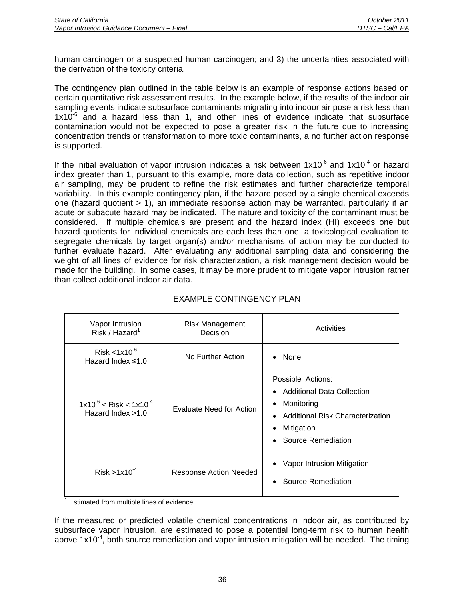human carcinogen or a suspected human carcinogen; and 3) the uncertainties associated with the derivation of the toxicity criteria.

The contingency plan outlined in the table below is an example of response actions based on certain quantitative risk assessment results. In the example below, if the results of the indoor air sampling events indicate subsurface contaminants migrating into indoor air pose a risk less than  $1x10^{-6}$  and a hazard less than 1, and other lines of evidence indicate that subsurface contamination would not be expected to pose a greater risk in the future due to increasing concentration trends or transformation to more toxic contaminants, a no further action response is supported.

If the initial evaluation of vapor intrusion indicates a risk between  $1x10^{-6}$  and  $1x10^{-4}$  or hazard index greater than 1, pursuant to this example, more data collection, such as repetitive indoor air sampling, may be prudent to refine the risk estimates and further characterize temporal variability. In this example contingency plan, if the hazard posed by a single chemical exceeds one (hazard quotient > 1), an immediate response action may be warranted, particularly if an acute or subacute hazard may be indicated. The nature and toxicity of the contaminant must be considered. If multiple chemicals are present and the hazard index (HI) exceeds one but hazard quotients for individual chemicals are each less than one, a toxicological evaluation to segregate chemicals by target organ(s) and/or mechanisms of action may be conducted to further evaluate hazard. After evaluating any additional sampling data and considering the weight of all lines of evidence for risk characterization, a risk management decision would be made for the building. In some cases, it may be more prudent to mitigate vapor intrusion rather than collect additional indoor air data.

| Vapor Intrusion<br>Risk / Hazard <sup>1</sup>           | Risk Management<br>Decision     | Activities                                                                                                                                   |  |
|---------------------------------------------------------|---------------------------------|----------------------------------------------------------------------------------------------------------------------------------------------|--|
| Risk $< 1x10^{-6}$<br>Hazard Index $\leq 1.0$           | No Further Action               | None                                                                                                                                         |  |
| $1x10^{-6}$ < Risk < $1x10^{-4}$<br>Hazard Index $>1.0$ | <b>Evaluate Need for Action</b> | Possible Actions:<br><b>Additional Data Collection</b><br>Monitoring<br>Additional Risk Characterization<br>Mitigation<br>Source Remediation |  |
| $Risk > 1x10^{-4}$                                      | <b>Response Action Needed</b>   | Vapor Intrusion Mitigation<br>Source Remediation                                                                                             |  |

# EXAMPLE CONTINGENCY PLAN

 $1$  Estimated from multiple lines of evidence.

If the measured or predicted volatile chemical concentrations in indoor air, as contributed by subsurface vapor intrusion, are estimated to pose a potential long-term risk to human health above 1x10 $<sup>4</sup>$ , both source remediation and vapor intrusion mitigation will be needed. The timing</sup>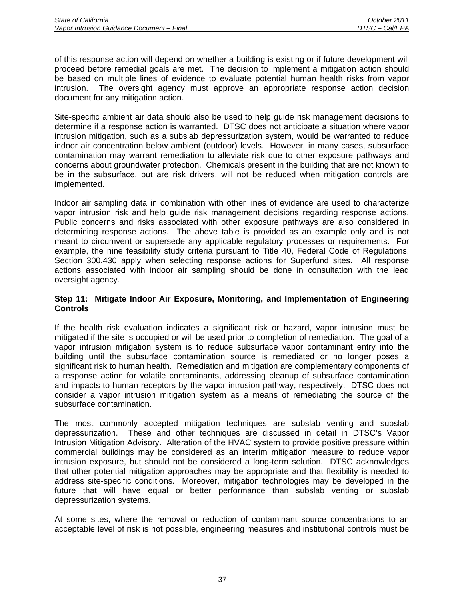of this response action will depend on whether a building is existing or if future development will proceed before remedial goals are met. The decision to implement a mitigation action should be based on multiple lines of evidence to evaluate potential human health risks from vapor intrusion. The oversight agency must approve an appropriate response action decision document for any mitigation action.

Site-specific ambient air data should also be used to help guide risk management decisions to determine if a response action is warranted. DTSC does not anticipate a situation where vapor intrusion mitigation, such as a subslab depressurization system, would be warranted to reduce indoor air concentration below ambient (outdoor) levels. However, in many cases, subsurface contamination may warrant remediation to alleviate risk due to other exposure pathways and concerns about groundwater protection. Chemicals present in the building that are not known to be in the subsurface, but are risk drivers, will not be reduced when mitigation controls are implemented.

Indoor air sampling data in combination with other lines of evidence are used to characterize vapor intrusion risk and help guide risk management decisions regarding response actions. Public concerns and risks associated with other exposure pathways are also considered in determining response actions. The above table is provided as an example only and is not meant to circumvent or supersede any applicable regulatory processes or requirements. For example, the nine feasibility study criteria pursuant to Title 40, Federal Code of Regulations, Section 300.430 apply when selecting response actions for Superfund sites. All response actions associated with indoor air sampling should be done in consultation with the lead oversight agency.

## **Step 11: Mitigate Indoor Air Exposure, Monitoring, and Implementation of Engineering Controls**

If the health risk evaluation indicates a significant risk or hazard, vapor intrusion must be mitigated if the site is occupied or will be used prior to completion of remediation. The goal of a vapor intrusion mitigation system is to reduce subsurface vapor contaminant entry into the building until the subsurface contamination source is remediated or no longer poses a significant risk to human health. Remediation and mitigation are complementary components of a response action for volatile contaminants, addressing cleanup of subsurface contamination and impacts to human receptors by the vapor intrusion pathway, respectively. DTSC does not consider a vapor intrusion mitigation system as a means of remediating the source of the subsurface contamination.

The most commonly accepted mitigation techniques are subslab venting and subslab depressurization. These and other techniques are discussed in detail in DTSC's Vapor Intrusion Mitigation Advisory. Alteration of the HVAC system to provide positive pressure within commercial buildings may be considered as an interim mitigation measure to reduce vapor intrusion exposure, but should not be considered a long-term solution. DTSC acknowledges that other potential mitigation approaches may be appropriate and that flexibility is needed to address site-specific conditions. Moreover, mitigation technologies may be developed in the future that will have equal or better performance than subslab venting or subslab depressurization systems.

At some sites, where the removal or reduction of contaminant source concentrations to an acceptable level of risk is not possible, engineering measures and institutional controls must be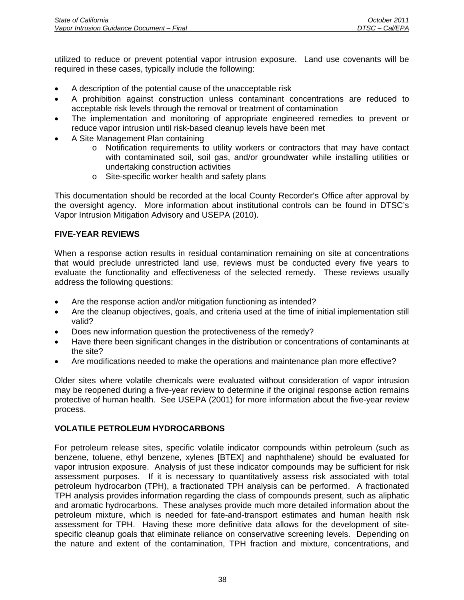utilized to reduce or prevent potential vapor intrusion exposure. Land use covenants will be required in these cases, typically include the following:

- A description of the potential cause of the unacceptable risk
- A prohibition against construction unless contaminant concentrations are reduced to acceptable risk levels through the removal or treatment of contamination
- The implementation and monitoring of appropriate engineered remedies to prevent or reduce vapor intrusion until risk-based cleanup levels have been met
- A Site Management Plan containing
	- o Notification requirements to utility workers or contractors that may have contact with contaminated soil, soil gas, and/or groundwater while installing utilities or undertaking construction activities
	- o Site-specific worker health and safety plans

This documentation should be recorded at the local County Recorder's Office after approval by the oversight agency. More information about institutional controls can be found in DTSC's Vapor Intrusion Mitigation Advisory and USEPA (2010).

# **FIVE-YEAR REVIEWS**

When a response action results in residual contamination remaining on site at concentrations that would preclude unrestricted land use, reviews must be conducted every five years to evaluate the functionality and effectiveness of the selected remedy. These reviews usually address the following questions:

- Are the response action and/or mitigation functioning as intended?
- Are the cleanup objectives, goals, and criteria used at the time of initial implementation still valid?
- Does new information question the protectiveness of the remedy?
- Have there been significant changes in the distribution or concentrations of contaminants at the site?
- Are modifications needed to make the operations and maintenance plan more effective?

Older sites where volatile chemicals were evaluated without consideration of vapor intrusion may be reopened during a five-year review to determine if the original response action remains protective of human health. See USEPA (2001) for more information about the five-year review process.

# **VOLATILE PETROLEUM HYDROCARBONS**

For petroleum release sites, specific volatile indicator compounds within petroleum (such as benzene, toluene, ethyl benzene, xylenes [BTEX] and naphthalene) should be evaluated for vapor intrusion exposure. Analysis of just these indicator compounds may be sufficient for risk assessment purposes. If it is necessary to quantitatively assess risk associated with total petroleum hydrocarbon (TPH), a fractionated TPH analysis can be performed. A fractionated TPH analysis provides information regarding the class of compounds present, such as aliphatic and aromatic hydrocarbons. These analyses provide much more detailed information about the petroleum mixture, which is needed for fate-and-transport estimates and human health risk assessment for TPH. Having these more definitive data allows for the development of sitespecific cleanup goals that eliminate reliance on conservative screening levels. Depending on the nature and extent of the contamination, TPH fraction and mixture, concentrations, and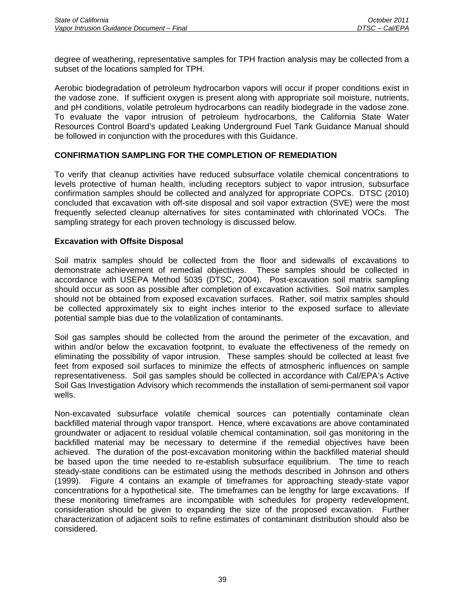degree of weathering, representative samples for TPH fraction analysis may be collected from a subset of the locations sampled for TPH.

Aerobic biodegradation of petroleum hydrocarbon vapors will occur if proper conditions exist in the vadose zone. If sufficient oxygen is present along with appropriate soil moisture, nutrients, and pH conditions, volatile petroleum hydrocarbons can readily biodegrade in the vadose zone. To evaluate the vapor intrusion of petroleum hydrocarbons, the California State Water Resources Control Board's updated Leaking Underground Fuel Tank Guidance Manual should be followed in conjunction with the procedures with this Guidance.

# **CONFIRMATION SAMPLING FOR THE COMPLETION OF REMEDIATION**

To verify that cleanup activities have reduced subsurface volatile chemical concentrations to levels protective of human health, including receptors subject to vapor intrusion, subsurface confirmation samples should be collected and analyzed for appropriate COPCs. DTSC (2010) concluded that excavation with off-site disposal and soil vapor extraction (SVE) were the most frequently selected cleanup alternatives for sites contaminated with chlorinated VOCs. The sampling strategy for each proven technology is discussed below.

# **Excavation with Offsite Disposal**

Soil matrix samples should be collected from the floor and sidewalls of excavations to demonstrate achievement of remedial objectives. These samples should be collected in accordance with USEPA Method 5035 (DTSC, 2004). Post-excavation soil matrix sampling should occur as soon as possible after completion of excavation activities. Soil matrix samples should not be obtained from exposed excavation surfaces. Rather, soil matrix samples should be collected approximately six to eight inches interior to the exposed surface to alleviate potential sample bias due to the volatilization of contaminants.

Soil gas samples should be collected from the around the perimeter of the excavation, and within and/or below the excavation footprint, to evaluate the effectiveness of the remedy on eliminating the possibility of vapor intrusion. These samples should be collected at least five feet from exposed soil surfaces to minimize the effects of atmospheric influences on sample representativeness. Soil gas samples should be collected in accordance with Cal/EPA's Active Soil Gas Investigation Advisory which recommends the installation of semi-permanent soil vapor wells.

Non-excavated subsurface volatile chemical sources can potentially contaminate clean backfilled material through vapor transport. Hence, where excavations are above contaminated groundwater or adjacent to residual volatile chemical contamination, soil gas monitoring in the backfilled material may be necessary to determine if the remedial objectives have been achieved. The duration of the post-excavation monitoring within the backfilled material should be based upon the time needed to re-establish subsurface equilibrium. The time to reach steady-state conditions can be estimated using the methods described in Johnson and others (1999). Figure 4 contains an example of timeframes for approaching steady-state vapor concentrations for a hypothetical site. The timeframes can be lengthy for large excavations. If these monitoring timeframes are incompatible with schedules for property redevelopment, consideration should be given to expanding the size of the proposed excavation. Further characterization of adjacent soils to refine estimates of contaminant distribution should also be considered.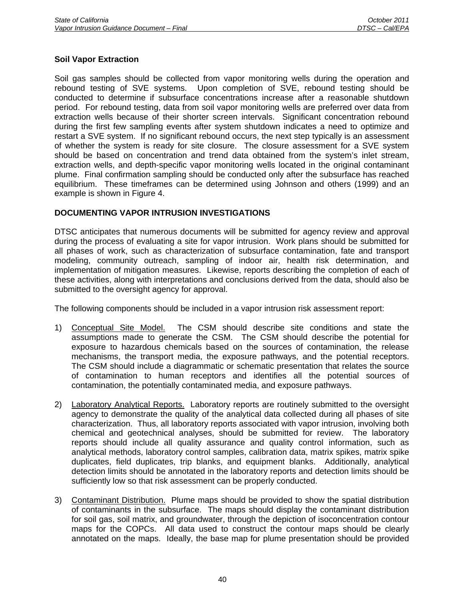# **Soil Vapor Extraction**

Soil gas samples should be collected from vapor monitoring wells during the operation and rebound testing of SVE systems. Upon completion of SVE, rebound testing should be conducted to determine if subsurface concentrations increase after a reasonable shutdown period. For rebound testing, data from soil vapor monitoring wells are preferred over data from extraction wells because of their shorter screen intervals. Significant concentration rebound during the first few sampling events after system shutdown indicates a need to optimize and restart a SVE system. If no significant rebound occurs, the next step typically is an assessment of whether the system is ready for site closure. The closure assessment for a SVE system should be based on concentration and trend data obtained from the system's inlet stream, extraction wells, and depth-specific vapor monitoring wells located in the original contaminant plume. Final confirmation sampling should be conducted only after the subsurface has reached equilibrium. These timeframes can be determined using Johnson and others (1999) and an example is shown in Figure 4.

### **DOCUMENTING VAPOR INTRUSION INVESTIGATIONS**

DTSC anticipates that numerous documents will be submitted for agency review and approval during the process of evaluating a site for vapor intrusion. Work plans should be submitted for all phases of work, such as characterization of subsurface contamination, fate and transport modeling, community outreach, sampling of indoor air, health risk determination, and implementation of mitigation measures. Likewise, reports describing the completion of each of these activities, along with interpretations and conclusions derived from the data, should also be submitted to the oversight agency for approval.

The following components should be included in a vapor intrusion risk assessment report:

- 1) Conceptual Site Model. The CSM should describe site conditions and state the assumptions made to generate the CSM. The CSM should describe the potential for exposure to hazardous chemicals based on the sources of contamination, the release mechanisms, the transport media, the exposure pathways, and the potential receptors. The CSM should include a diagrammatic or schematic presentation that relates the source of contamination to human receptors and identifies all the potential sources of contamination, the potentially contaminated media, and exposure pathways.
- 2) Laboratory Analytical Reports. Laboratory reports are routinely submitted to the oversight agency to demonstrate the quality of the analytical data collected during all phases of site characterization. Thus, all laboratory reports associated with vapor intrusion, involving both chemical and geotechnical analyses, should be submitted for review. The laboratory reports should include all quality assurance and quality control information, such as analytical methods, laboratory control samples, calibration data, matrix spikes, matrix spike duplicates, field duplicates, trip blanks, and equipment blanks. Additionally, analytical detection limits should be annotated in the laboratory reports and detection limits should be sufficiently low so that risk assessment can be properly conducted.
- 3) Contaminant Distribution. Plume maps should be provided to show the spatial distribution of contaminants in the subsurface. The maps should display the contaminant distribution for soil gas, soil matrix, and groundwater, through the depiction of isoconcentration contour maps for the COPCs. All data used to construct the contour maps should be clearly annotated on the maps. Ideally, the base map for plume presentation should be provided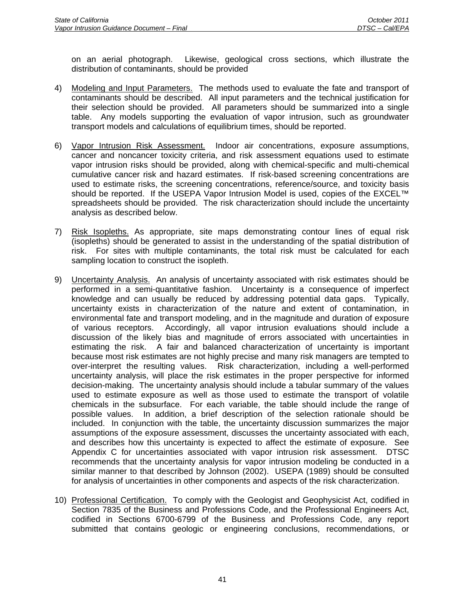on an aerial photograph. Likewise, geological cross sections, which illustrate the distribution of contaminants, should be provided

- 4) Modeling and Input Parameters. The methods used to evaluate the fate and transport of contaminants should be described. All input parameters and the technical justification for their selection should be provided. All parameters should be summarized into a single table. Any models supporting the evaluation of vapor intrusion, such as groundwater transport models and calculations of equilibrium times, should be reported.
- 6) Vapor Intrusion Risk Assessment. Indoor air concentrations, exposure assumptions, cancer and noncancer toxicity criteria, and risk assessment equations used to estimate vapor intrusion risks should be provided, along with chemical-specific and multi-chemical cumulative cancer risk and hazard estimates. If risk-based screening concentrations are used to estimate risks, the screening concentrations, reference/source, and toxicity basis should be reported. If the USEPA Vapor Intrusion Model is used, copies of the EXCEL<sup>™</sup> spreadsheets should be provided. The risk characterization should include the uncertainty analysis as described below.
- 7) Risk Isopleths. As appropriate, site maps demonstrating contour lines of equal risk (isopleths) should be generated to assist in the understanding of the spatial distribution of risk. For sites with multiple contaminants, the total risk must be calculated for each sampling location to construct the isopleth.
- 9) Uncertainty Analysis. An analysis of uncertainty associated with risk estimates should be performed in a semi-quantitative fashion. Uncertainty is a consequence of imperfect knowledge and can usually be reduced by addressing potential data gaps. Typically, uncertainty exists in characterization of the nature and extent of contamination, in environmental fate and transport modeling, and in the magnitude and duration of exposure of various receptors. Accordingly, all vapor intrusion evaluations should include a discussion of the likely bias and magnitude of errors associated with uncertainties in estimating the risk. A fair and balanced characterization of uncertainty is important because most risk estimates are not highly precise and many risk managers are tempted to over-interpret the resulting values. Risk characterization, including a well-performed uncertainty analysis, will place the risk estimates in the proper perspective for informed decision-making. The uncertainty analysis should include a tabular summary of the values used to estimate exposure as well as those used to estimate the transport of volatile chemicals in the subsurface. For each variable, the table should include the range of possible values. In addition, a brief description of the selection rationale should be included. In conjunction with the table, the uncertainty discussion summarizes the major assumptions of the exposure assessment, discusses the uncertainty associated with each, and describes how this uncertainty is expected to affect the estimate of exposure. See Appendix C for uncertainties associated with vapor intrusion risk assessment. DTSC recommends that the uncertainty analysis for vapor intrusion modeling be conducted in a similar manner to that described by Johnson (2002). USEPA (1989) should be consulted for analysis of uncertainties in other components and aspects of the risk characterization.
- 10) Professional Certification. To comply with the Geologist and Geophysicist Act, codified in Section 7835 of the Business and Professions Code, and the Professional Engineers Act, codified in Sections 6700-6799 of the Business and Professions Code, any report submitted that contains geologic or engineering conclusions, recommendations, or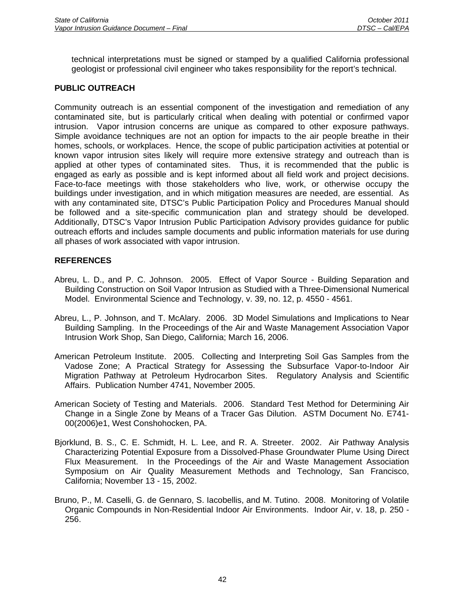technical interpretations must be signed or stamped by a qualified California professional geologist or professional civil engineer who takes responsibility for the report's technical.

# **PUBLIC OUTREACH**

Community outreach is an essential component of the investigation and remediation of any contaminated site, but is particularly critical when dealing with potential or confirmed vapor intrusion. Vapor intrusion concerns are unique as compared to other exposure pathways. Simple avoidance techniques are not an option for impacts to the air people breathe in their homes, schools, or workplaces. Hence, the scope of public participation activities at potential or known vapor intrusion sites likely will require more extensive strategy and outreach than is applied at other types of contaminated sites. Thus, it is recommended that the public is engaged as early as possible and is kept informed about all field work and project decisions. Face-to-face meetings with those stakeholders who live, work, or otherwise occupy the buildings under investigation, and in which mitigation measures are needed, are essential. As with any contaminated site, DTSC's Public Participation Policy and Procedures Manual should be followed and a site-specific communication plan and strategy should be developed. Additionally, DTSC's Vapor Intrusion Public Participation Advisory provides guidance for public outreach efforts and includes sample documents and public information materials for use during all phases of work associated with vapor intrusion.

# **REFERENCES**

- Abreu, L. D., and P. C. Johnson. 2005. Effect of Vapor Source Building Separation and Building Construction on Soil Vapor Intrusion as Studied with a Three-Dimensional Numerical Model. Environmental Science and Technology, v. 39, no. 12, p. 4550 - 4561.
- Abreu, L., P. Johnson, and T. McAlary. 2006. 3D Model Simulations and Implications to Near Building Sampling. In the Proceedings of the Air and Waste Management Association Vapor Intrusion Work Shop, San Diego, California; March 16, 2006.
- American Petroleum Institute. 2005. Collecting and Interpreting Soil Gas Samples from the Vadose Zone; A Practical Strategy for Assessing the Subsurface Vapor-to-Indoor Air Migration Pathway at Petroleum Hydrocarbon Sites. Regulatory Analysis and Scientific Affairs. Publication Number 4741, November 2005.
- American Society of Testing and Materials. 2006. Standard Test Method for Determining Air Change in a Single Zone by Means of a Tracer Gas Dilution. ASTM Document No. E741- 00(2006)e1, West Conshohocken, PA.
- Bjorklund, B. S., C. E. Schmidt, H. L. Lee, and R. A. Streeter. 2002. Air Pathway Analysis Characterizing Potential Exposure from a Dissolved-Phase Groundwater Plume Using Direct Flux Measurement. In the Proceedings of the Air and Waste Management Association Symposium on Air Quality Measurement Methods and Technology, San Francisco, California; November 13 - 15, 2002.
- Bruno, P., M. Caselli, G. de Gennaro, S. Iacobellis, and M. Tutino. 2008. Monitoring of Volatile Organic Compounds in Non-Residential Indoor Air Environments. Indoor Air, v. 18, p. 250 - 256.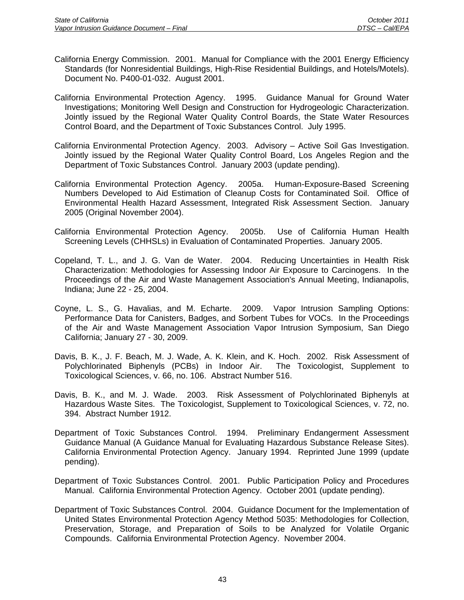- California Energy Commission. 2001. Manual for Compliance with the 2001 Energy Efficiency Standards (for Nonresidential Buildings, High-Rise Residential Buildings, and Hotels/Motels). Document No. P400-01-032. August 2001.
- California Environmental Protection Agency. 1995. Guidance Manual for Ground Water Investigations; Monitoring Well Design and Construction for Hydrogeologic Characterization. Jointly issued by the Regional Water Quality Control Boards, the State Water Resources Control Board, and the Department of Toxic Substances Control. July 1995.
- California Environmental Protection Agency. 2003. Advisory Active Soil Gas Investigation. Jointly issued by the Regional Water Quality Control Board, Los Angeles Region and the Department of Toxic Substances Control. January 2003 (update pending).
- California Environmental Protection Agency. 2005a. Human-Exposure-Based Screening Numbers Developed to Aid Estimation of Cleanup Costs for Contaminated Soil. Office of Environmental Health Hazard Assessment, Integrated Risk Assessment Section. January 2005 (Original November 2004).
- California Environmental Protection Agency. 2005b. Use of California Human Health Screening Levels (CHHSLs) in Evaluation of Contaminated Properties. January 2005.
- Copeland, T. L., and J. G. Van de Water. 2004. Reducing Uncertainties in Health Risk Characterization: Methodologies for Assessing Indoor Air Exposure to Carcinogens. In the Proceedings of the Air and Waste Management Association's Annual Meeting, Indianapolis, Indiana; June 22 - 25, 2004.
- Coyne, L. S., G. Havalias, and M. Echarte. 2009. Vapor Intrusion Sampling Options: Performance Data for Canisters, Badges, and Sorbent Tubes for VOCs. In the Proceedings of the Air and Waste Management Association Vapor Intrusion Symposium, San Diego California; January 27 - 30, 2009.
- Davis, B. K., J. F. Beach, M. J. Wade, A. K. Klein, and K. Hoch. 2002. Risk Assessment of Polychlorinated Biphenyls (PCBs) in Indoor Air. The Toxicologist, Supplement to Toxicological Sciences, v. 66, no. 106. Abstract Number 516.
- Davis, B. K., and M. J. Wade. 2003. Risk Assessment of Polychlorinated Biphenyls at Hazardous Waste Sites. The Toxicologist, Supplement to Toxicological Sciences, v. 72, no. 394. Abstract Number 1912.
- Department of Toxic Substances Control. 1994. Preliminary Endangerment Assessment Guidance Manual (A Guidance Manual for Evaluating Hazardous Substance Release Sites). California Environmental Protection Agency. January 1994. Reprinted June 1999 (update pending).
- Department of Toxic Substances Control. 2001. Public Participation Policy and Procedures Manual. California Environmental Protection Agency. October 2001 (update pending).
- Department of Toxic Substances Control. 2004. Guidance Document for the Implementation of United States Environmental Protection Agency Method 5035: Methodologies for Collection, Preservation, Storage, and Preparation of Soils to be Analyzed for Volatile Organic Compounds. California Environmental Protection Agency. November 2004.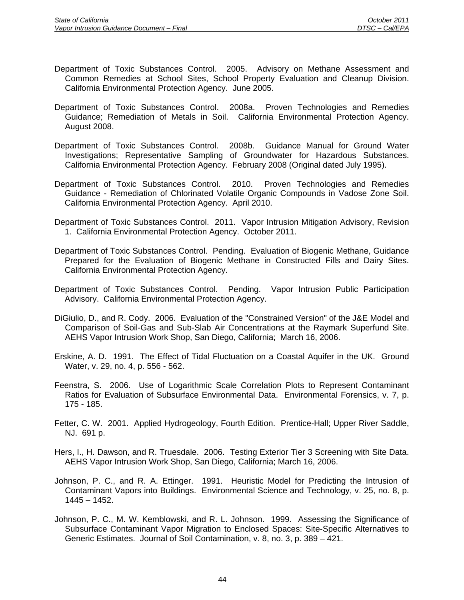- Department of Toxic Substances Control. 2005. Advisory on Methane Assessment and Common Remedies at School Sites, School Property Evaluation and Cleanup Division. California Environmental Protection Agency. June 2005.
- Department of Toxic Substances Control. 2008a. Proven Technologies and Remedies Guidance; Remediation of Metals in Soil. California Environmental Protection Agency. August 2008.
- Department of Toxic Substances Control. 2008b. Guidance Manual for Ground Water Investigations; Representative Sampling of Groundwater for Hazardous Substances. California Environmental Protection Agency. February 2008 (Original dated July 1995).
- Department of Toxic Substances Control. 2010. Proven Technologies and Remedies Guidance - Remediation of Chlorinated Volatile Organic Compounds in Vadose Zone Soil. California Environmental Protection Agency. April 2010.
- Department of Toxic Substances Control. 2011. Vapor Intrusion Mitigation Advisory, Revision 1. California Environmental Protection Agency. October 2011.
- Department of Toxic Substances Control. Pending. Evaluation of Biogenic Methane, Guidance Prepared for the Evaluation of Biogenic Methane in Constructed Fills and Dairy Sites. California Environmental Protection Agency.
- Department of Toxic Substances Control. Pending. Vapor Intrusion Public Participation Advisory. California Environmental Protection Agency.
- DiGiulio, D., and R. Cody. 2006. Evaluation of the "Constrained Version" of the J&E Model and Comparison of Soil-Gas and Sub-Slab Air Concentrations at the Raymark Superfund Site. AEHS Vapor Intrusion Work Shop, San Diego, California; March 16, 2006.
- Erskine, A. D. 1991. The Effect of Tidal Fluctuation on a Coastal Aquifer in the UK. Ground Water, v. 29, no. 4, p. 556 - 562.
- Feenstra, S. 2006. Use of Logarithmic Scale Correlation Plots to Represent Contaminant Ratios for Evaluation of Subsurface Environmental Data. Environmental Forensics, v. 7, p. 175 - 185.
- Fetter, C. W. 2001. Applied Hydrogeology, Fourth Edition. Prentice-Hall; Upper River Saddle, NJ. 691 p.
- Hers, I., H. Dawson, and R. Truesdale. 2006. Testing Exterior Tier 3 Screening with Site Data. AEHS Vapor Intrusion Work Shop, San Diego, California; March 16, 2006.
- Johnson, P. C., and R. A. Ettinger. 1991. Heuristic Model for Predicting the Intrusion of Contaminant Vapors into Buildings. Environmental Science and Technology, v. 25, no. 8, p. 1445 – 1452.
- Johnson, P. C., M. W. Kemblowski, and R. L. Johnson. 1999. Assessing the Significance of Subsurface Contaminant Vapor Migration to Enclosed Spaces: Site-Specific Alternatives to Generic Estimates. Journal of Soil Contamination, v. 8, no. 3, p. 389 – 421.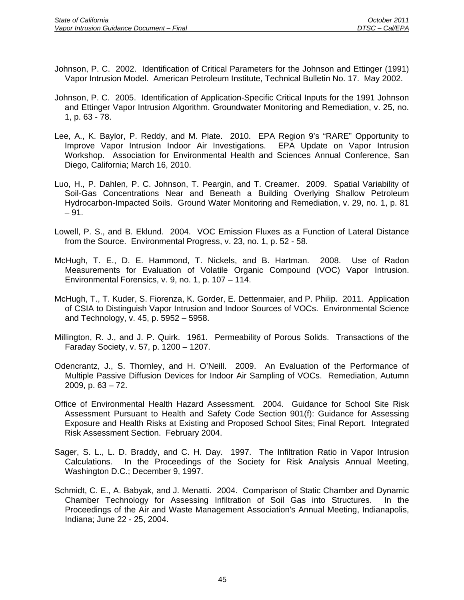- Johnson, P. C. 2002. Identification of Critical Parameters for the Johnson and Ettinger (1991) Vapor Intrusion Model. American Petroleum Institute, Technical Bulletin No. 17. May 2002.
- Johnson, P. C. 2005. Identification of Application-Specific Critical Inputs for the 1991 Johnson and Ettinger Vapor Intrusion Algorithm. Groundwater Monitoring and Remediation, v. 25, no. 1, p. 63 - 78.
- Lee, A., K. Baylor, P. Reddy, and M. Plate. 2010. EPA Region 9's "RARE" Opportunity to Improve Vapor Intrusion Indoor Air Investigations. EPA Update on Vapor Intrusion Workshop. Association for Environmental Health and Sciences Annual Conference, San Diego, California; March 16, 2010.
- Luo, H., P. Dahlen, P. C. Johnson, T. Peargin, and T. Creamer. 2009. Spatial Variability of Soil-Gas Concentrations Near and Beneath a Building Overlying Shallow Petroleum Hydrocarbon-Impacted Soils. Ground Water Monitoring and Remediation, v. 29, no. 1, p. 81  $-91.$
- Lowell, P. S., and B. Eklund. 2004. VOC Emission Fluxes as a Function of Lateral Distance from the Source. Environmental Progress, v. 23, no. 1, p. 52 - 58.
- McHugh, T. E., D. E. Hammond, T. Nickels, and B. Hartman. 2008. Use of Radon Measurements for Evaluation of Volatile Organic Compound (VOC) Vapor Intrusion. Environmental Forensics, v. 9, no. 1, p. 107 – 114.
- McHugh, T., T. Kuder, S. Fiorenza, K. Gorder, E. Dettenmaier, and P. Philip. 2011. Application of CSIA to Distinguish Vapor Intrusion and Indoor Sources of VOCs. Environmental Science and Technology, v. 45, p. 5952 – 5958.
- Millington, R. J., and J. P. Quirk. 1961. Permeability of Porous Solids. Transactions of the Faraday Society, v. 57, p. 1200 – 1207.
- Odencrantz, J., S. Thornley, and H. O'Neill. 2009. An Evaluation of the Performance of Multiple Passive Diffusion Devices for Indoor Air Sampling of VOCs. Remediation, Autumn 2009, p. 63 – 72.
- Office of Environmental Health Hazard Assessment. 2004. Guidance for School Site Risk Assessment Pursuant to Health and Safety Code Section 901(f): Guidance for Assessing Exposure and Health Risks at Existing and Proposed School Sites; Final Report. Integrated Risk Assessment Section. February 2004.
- Sager, S. L., L. D. Braddy, and C. H. Day. 1997. The Infiltration Ratio in Vapor Intrusion Calculations. In the Proceedings of the Society for Risk Analysis Annual Meeting, Washington D.C.; December 9, 1997.
- Schmidt, C. E., A. Babyak, and J. Menatti. 2004. Comparison of Static Chamber and Dynamic Chamber Technology for Assessing Infiltration of Soil Gas into Structures. In the Proceedings of the Air and Waste Management Association's Annual Meeting, Indianapolis, Indiana; June 22 - 25, 2004.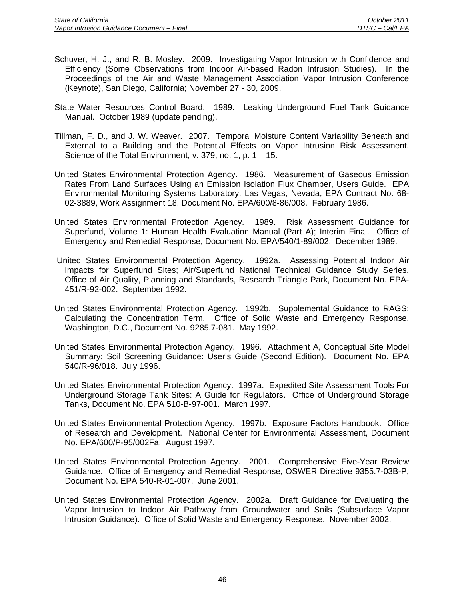- Schuver, H. J., and R. B. Mosley. 2009. Investigating Vapor Intrusion with Confidence and Efficiency (Some Observations from Indoor Air-based Radon Intrusion Studies). In the Proceedings of the Air and Waste Management Association Vapor Intrusion Conference (Keynote), San Diego, California; November 27 - 30, 2009.
- State Water Resources Control Board. 1989. Leaking Underground Fuel Tank Guidance Manual. October 1989 (update pending).
- Tillman, F. D., and J. W. Weaver. 2007. Temporal Moisture Content Variability Beneath and External to a Building and the Potential Effects on Vapor Intrusion Risk Assessment. Science of the Total Environment, v. 379, no. 1, p. 1 – 15.
- United States Environmental Protection Agency. 1986. Measurement of Gaseous Emission Rates From Land Surfaces Using an Emission Isolation Flux Chamber, Users Guide. EPA Environmental Monitoring Systems Laboratory, Las Vegas, Nevada, EPA Contract No. 68- 02-3889, Work Assignment 18, Document No. EPA/600/8-86/008. February 1986.
- United States Environmental Protection Agency. 1989. Risk Assessment Guidance for Superfund, Volume 1: Human Health Evaluation Manual (Part A); Interim Final. Office of Emergency and Remedial Response, Document No. EPA/540/1-89/002. December 1989.
- United States Environmental Protection Agency. 1992a. Assessing Potential Indoor Air Impacts for Superfund Sites; Air/Superfund National Technical Guidance Study Series. Office of Air Quality, Planning and Standards, Research Triangle Park, Document No. EPA-451/R-92-002. September 1992.
- United States Environmental Protection Agency. 1992b. Supplemental Guidance to RAGS: Calculating the Concentration Term. Office of Solid Waste and Emergency Response, Washington, D.C., Document No. 9285.7-081. May 1992.
- United States Environmental Protection Agency. 1996. Attachment A, Conceptual Site Model Summary; Soil Screening Guidance: User's Guide (Second Edition). Document No. EPA 540/R-96/018. July 1996.
- United States Environmental Protection Agency. 1997a. Expedited Site Assessment Tools For Underground Storage Tank Sites: A Guide for Regulators. Office of Underground Storage Tanks, Document No. EPA 510-B-97-001. March 1997.
- United States Environmental Protection Agency. 1997b. Exposure Factors Handbook. Office of Research and Development. National Center for Environmental Assessment, Document No. EPA/600/P-95/002Fa. August 1997.
- United States Environmental Protection Agency. 2001. Comprehensive Five-Year Review Guidance. Office of Emergency and Remedial Response, OSWER Directive 9355.7-03B-P, Document No. EPA 540-R-01-007. June 2001.
- United States Environmental Protection Agency. 2002a. Draft Guidance for Evaluating the Vapor Intrusion to Indoor Air Pathway from Groundwater and Soils (Subsurface Vapor Intrusion Guidance). Office of Solid Waste and Emergency Response. November 2002.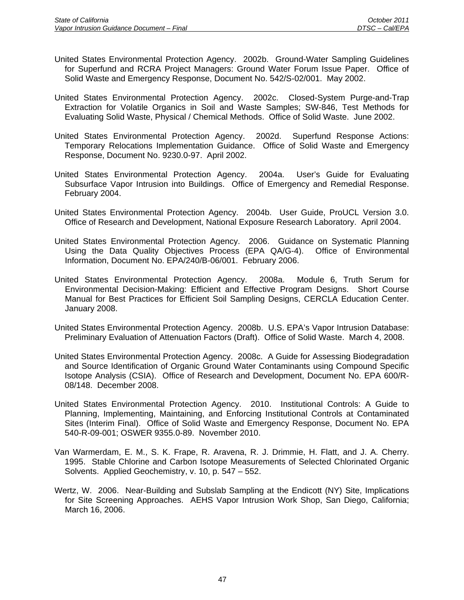- United States Environmental Protection Agency. 2002b. Ground-Water Sampling Guidelines for Superfund and RCRA Project Managers: Ground Water Forum Issue Paper. Office of Solid Waste and Emergency Response, Document No. 542/S-02/001. May 2002.
- United States Environmental Protection Agency. 2002c. Closed-System Purge-and-Trap Extraction for Volatile Organics in Soil and Waste Samples; SW-846, Test Methods for Evaluating Solid Waste, Physical / Chemical Methods. Office of Solid Waste. June 2002.
- United States Environmental Protection Agency. 2002d. Superfund Response Actions: Temporary Relocations Implementation Guidance. Office of Solid Waste and Emergency Response, Document No. 9230.0-97. April 2002.
- United States Environmental Protection Agency. 2004a. User's Guide for Evaluating Subsurface Vapor Intrusion into Buildings. Office of Emergency and Remedial Response. February 2004.
- United States Environmental Protection Agency. 2004b. User Guide, ProUCL Version 3.0. Office of Research and Development, National Exposure Research Laboratory. April 2004.
- United States Environmental Protection Agency. 2006. Guidance on Systematic Planning Using the Data Quality Objectives Process (EPA QA/G-4). Office of Environmental Information, Document No. EPA/240/B-06/001. February 2006.
- United States Environmental Protection Agency. 2008a. Module 6, Truth Serum for Environmental Decision-Making: Efficient and Effective Program Designs. Short Course Manual for Best Practices for Efficient Soil Sampling Designs, CERCLA Education Center. January 2008.
- United States Environmental Protection Agency. 2008b. U.S. EPA's Vapor Intrusion Database: Preliminary Evaluation of Attenuation Factors (Draft). Office of Solid Waste. March 4, 2008.
- United States Environmental Protection Agency. 2008c. A Guide for Assessing Biodegradation and Source Identification of Organic Ground Water Contaminants using Compound Specific Isotope Analysis (CSIA). Office of Research and Development, Document No. EPA 600/R-08/148. December 2008.
- United States Environmental Protection Agency. 2010. Institutional Controls: A Guide to Planning, Implementing, Maintaining, and Enforcing Institutional Controls at Contaminated Sites (Interim Final). Office of Solid Waste and Emergency Response, Document No. EPA 540-R-09-001; OSWER 9355.0-89. November 2010.
- Van Warmerdam, E. M., S. K. Frape, R. Aravena, R. J. Drimmie, H. Flatt, and J. A. Cherry. 1995. Stable Chlorine and Carbon Isotope Measurements of Selected Chlorinated Organic Solvents. Applied Geochemistry, v. 10, p. 547 – 552.
- Wertz, W. 2006. Near-Building and Subslab Sampling at the Endicott (NY) Site, Implications for Site Screening Approaches. AEHS Vapor Intrusion Work Shop, San Diego, California; March 16, 2006.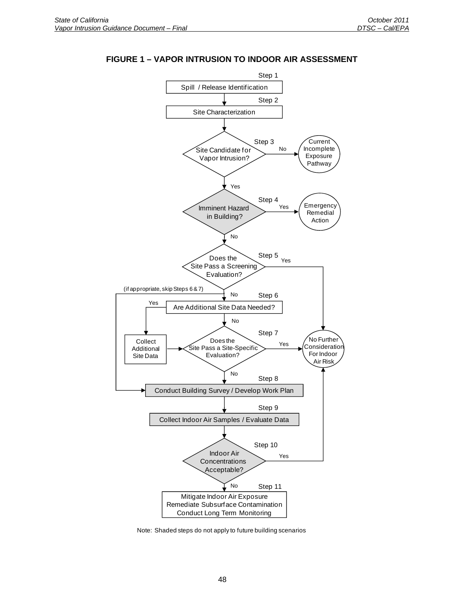

### **FIGURE 1 – VAPOR INTRUSION TO INDOOR AIR ASSESSMENT**

Note: Shaded steps do not apply to future building scenarios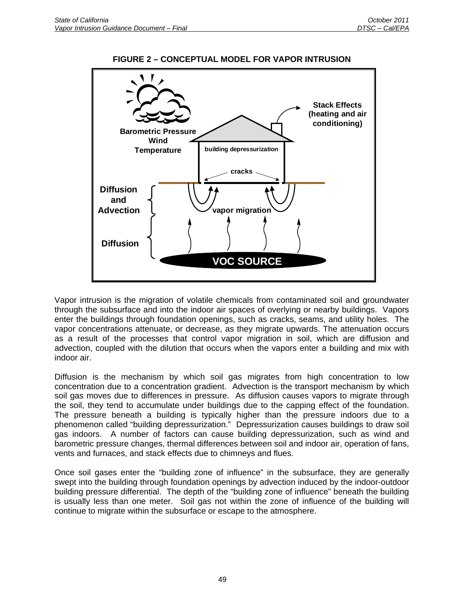

# **FIGURE 2 – CONCEPTUAL MODEL FOR VAPOR INTRUSION**

Vapor intrusion is the migration of volatile chemicals from contaminated soil and groundwater through the subsurface and into the indoor air spaces of overlying or nearby buildings. Vapors enter the buildings through foundation openings, such as cracks, seams, and utility holes. The vapor concentrations attenuate, or decrease, as they migrate upwards. The attenuation occurs as a result of the processes that control vapor migration in soil, which are diffusion and advection, coupled with the dilution that occurs when the vapors enter a building and mix with indoor air.

Diffusion is the mechanism by which soil gas migrates from high concentration to low concentration due to a concentration gradient. Advection is the transport mechanism by which soil gas moves due to differences in pressure. As diffusion causes vapors to migrate through the soil, they tend to accumulate under buildings due to the capping effect of the foundation. The pressure beneath a building is typically higher than the pressure indoors due to a phenomenon called "building depressurization." Depressurization causes buildings to draw soil gas indoors. A number of factors can cause building depressurization, such as wind and barometric pressure changes, thermal differences between soil and indoor air, operation of fans, vents and furnaces, and stack effects due to chimneys and flues.

Once soil gases enter the "building zone of influence" in the subsurface, they are generally swept into the building through foundation openings by advection induced by the indoor-outdoor building pressure differential. The depth of the "building zone of influence" beneath the building is usually less than one meter. Soil gas not within the zone of influence of the building will continue to migrate within the subsurface or escape to the atmosphere.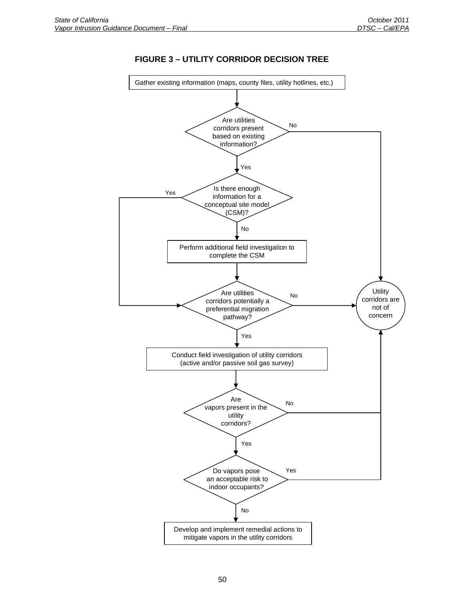

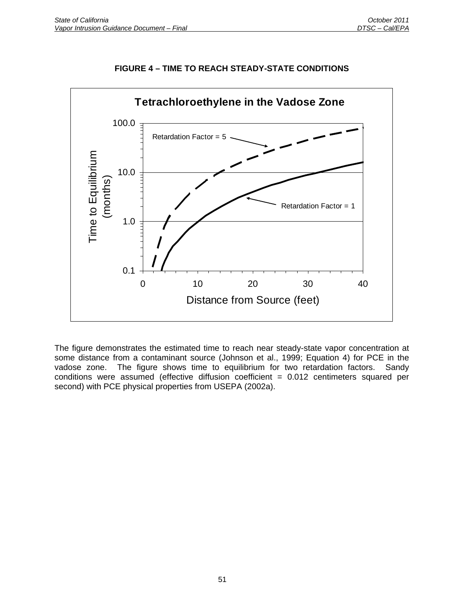

# **FIGURE 4 – TIME TO REACH STEADY-STATE CONDITIONS**

The figure demonstrates the estimated time to reach near steady-state vapor concentration at some distance from a contaminant source (Johnson et al., 1999; Equation 4) for PCE in the vadose zone. The figure shows time to equilibrium for two retardation factors. Sandy conditions were assumed (effective diffusion coefficient = 0.012 centimeters squared per second) with PCE physical properties from USEPA (2002a).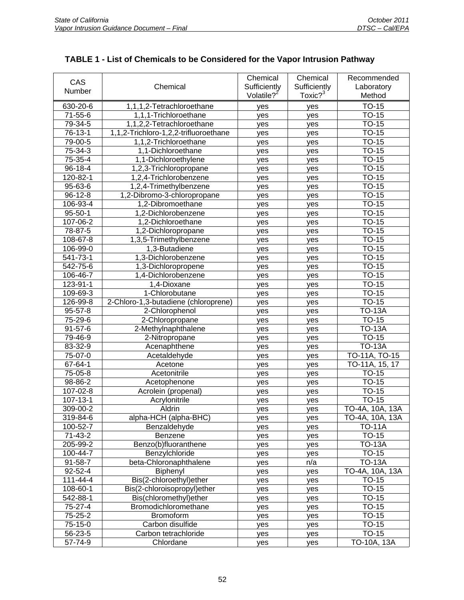| CAS            |                                            | Chemical               | Chemical            | Recommended     |
|----------------|--------------------------------------------|------------------------|---------------------|-----------------|
|                | Chemical                                   | Sufficiently           | Sufficiently        | Laboratory      |
| Number         |                                            | Volatile? <sup>2</sup> | Toxic? <sup>3</sup> | Method          |
| 630-20-6       | 1,1,1,2-Tetrachloroethane                  | yes                    | yes                 | <b>TO-15</b>    |
| $71 - 55 - 6$  | 1,1,1-Trichloroethane                      | yes                    | yes                 | <b>TO-15</b>    |
| 79-34-5        | 1,1,2,2-Tetrachloroethane                  | yes                    | yes                 | <b>TO-15</b>    |
| 76-13-1        | 1,1,2-Trichloro-1,2,2-trifluoroethane      | yes                    | yes                 | <b>TO-15</b>    |
| 79-00-5        | 1,1,2-Trichloroethane                      | yes                    | yes                 | <b>TO-15</b>    |
| 75-34-3        | 1,1-Dichloroethane                         | yes                    | yes                 | <b>TO-15</b>    |
| 75-35-4        | 1,1-Dichloroethylene                       | yes                    | yes                 | $TO-15$         |
| 96-18-4        | 1,2,3-Trichloropropane                     | yes                    | yes                 | <b>TO-15</b>    |
| 120-82-1       | 1,2,4-Trichlorobenzene                     | yes                    | yes                 | <b>TO-15</b>    |
| 95-63-6        | 1,2,4-Trimethylbenzene                     | yes                    | yes                 | <b>TO-15</b>    |
| $96 - 12 - 8$  | 1,2-Dibromo-3-chloropropane                | yes                    | yes                 | <b>TO-15</b>    |
| 106-93-4       | 1,2-Dibromoethane                          | yes                    | yes                 | <b>TO-15</b>    |
| $95 - 50 - 1$  | 1.2-Dichlorobenzene                        | yes                    | yes                 | $TO-15$         |
| 107-06-2       | 1,2-Dichloroethane                         | yes                    | yes                 | <b>TO-15</b>    |
| 78-87-5        | 1,2-Dichloropropane                        | yes                    |                     | <b>TO-15</b>    |
| 108-67-8       | 1,3,5-Trimethylbenzene                     |                        | yes                 | <b>TO-15</b>    |
| 106-99-0       | 1,3-Butadiene                              | yes                    | yes                 | $TO-15$         |
| 541-73-1       | 1,3-Dichlorobenzene                        | yes                    | yes                 | TO-15           |
| 542-75-6       |                                            | yes                    | yes                 | <b>TO-15</b>    |
|                | 1,3-Dichloropropene<br>1,4-Dichlorobenzene | yes                    | yes                 |                 |
| 106-46-7       |                                            | yes                    | yes                 | <b>TO-15</b>    |
| 123-91-1       | 1,4-Dioxane                                | yes                    | yes                 | <b>TO-15</b>    |
| 109-69-3       | 1-Chlorobutane                             | yes                    | yes                 | <b>TO-15</b>    |
| 126-99-8       | 2-Chloro-1,3-butadiene (chloroprene)       | yes                    | yes                 | <b>TO-15</b>    |
| 95-57-8        | 2-Chlorophenol                             | yes                    | yes                 | <b>TO-13A</b>   |
| 75-29-6        | 2-Chloropropane                            | yes                    | yes                 | <b>TO-15</b>    |
| $91 - 57 - 6$  | 2-Methylnaphthalene                        | yes                    | yes                 | <b>TO-13A</b>   |
| 79-46-9        | 2-Nitropropane                             | yes                    | yes                 | <b>TO-15</b>    |
| 83-32-9        | Acenaphthene                               | yes                    | yes                 | <b>TO-13A</b>   |
| 75-07-0        | Acetaldehyde                               | yes                    | yes                 | TO-11A, TO-15   |
| 67-64-1        | Acetone                                    | yes                    | yes                 | TO-11A, 15, 17  |
| 75-05-8        | Acetonitrile                               | yes                    | yes                 | <b>TO-15</b>    |
| 98-86-2        | Acetophenone                               | yes                    | yes                 | <b>TO-15</b>    |
| 107-02-8       | Acrolein (propenal)                        | yes                    | yes                 | <b>TO-15</b>    |
| $107 - 13 - 1$ | Acrylonitrile                              | yes                    | yes                 | <b>TO-15</b>    |
| 309-00-2       | Aldrin                                     | yes                    | yes                 | TO-4A, 10A, 13A |
| 319-84-6       | alpha-HCH (alpha-BHC)                      | yes                    | yes                 | TO-4A, 10A, 13A |
| 100-52-7       | Benzaldehyde                               | yes                    | yes                 | <b>TO-11A</b>   |
| $71-43-2$      | Benzene                                    | yes                    | yes                 | <b>TO-15</b>    |
| 205-99-2       | Benzo(b)fluoranthene                       | yes                    | yes                 | <b>TO-13A</b>   |
| 100-44-7       | Benzylchloride                             | yes                    | yes                 | <b>TO-15</b>    |
| 91-58-7        | beta-Chloronaphthalene                     | yes                    | n/a                 | <b>TO-13A</b>   |
| $92 - 52 - 4$  | Biphenyl                                   | yes                    | yes                 | TO-4A, 10A, 13A |
| 111-44-4       | Bis(2-chloroethyl)ether                    | yes                    | yes                 | <b>TO-15</b>    |
| 108-60-1       | Bis(2-chloroisopropyl)ether                | yes                    | yes                 | TO-15           |
| 542-88-1       | Bis(chloromethyl)ether                     | yes                    | yes                 | <b>TO-15</b>    |
| 75-27-4        | Bromodichloromethane                       | yes                    | yes                 | <b>TO-15</b>    |
| 75-25-2        | Bromoform                                  | yes                    | yes                 | TO-15           |
| 75-15-0        | Carbon disulfide                           | yes                    | yes                 | TO-15           |
| 56-23-5        | Carbon tetrachloride                       | yes                    | yes                 | TO-15           |
| 57-74-9        | Chlordane                                  | yes                    | yes                 | TO-10A, 13A     |

# **TABLE 1 - List of Chemicals to be Considered for the Vapor Intrusion Pathway**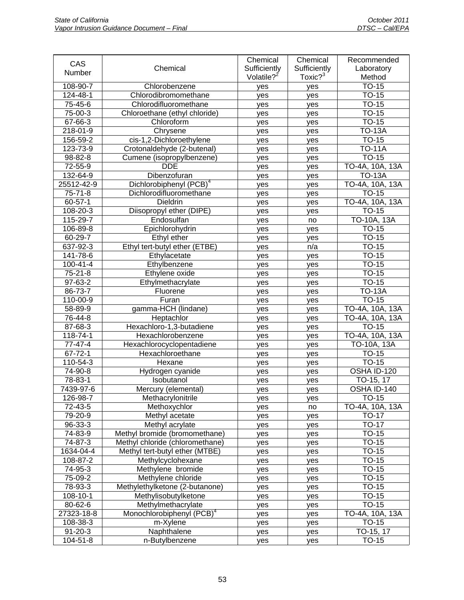| CAS           |                                       | Chemical               | Chemical            | Recommended     |
|---------------|---------------------------------------|------------------------|---------------------|-----------------|
| Number        | Chemical                              | Sufficiently           | Sufficiently        | Laboratory      |
|               |                                       | Volatile? <sup>2</sup> | Toxic? <sup>3</sup> | Method          |
| 108-90-7      | Chlorobenzene                         | yes                    | yes                 | <b>TO-15</b>    |
| 124-48-1      | Chlorodibromomethane                  | yes                    | yes                 | <b>TO-15</b>    |
| 75-45-6       | Chlorodifluoromethane                 | yes                    | yes                 | $TO-15$         |
| 75-00-3       | Chloroethane (ethyl chloride)         | yes                    | yes                 | <b>TO-15</b>    |
| 67-66-3       | Chloroform                            | yes                    | yes                 | <b>TO-15</b>    |
| 218-01-9      | Chrysene                              | yes                    | yes                 | <b>TO-13A</b>   |
| 156-59-2      | cis-1,2-Dichloroethylene              | yes                    | yes                 | <b>TO-15</b>    |
| 123-73-9      | Crotonaldehyde (2-butenal)            | yes                    | yes                 | <b>TO-11A</b>   |
| 98-82-8       | Cumene (isopropylbenzene)             | yes                    | yes                 | <b>TO-15</b>    |
| 72-55-9       | <b>DDE</b>                            | yes                    | yes                 | TO-4A, 10A, 13A |
| 132-64-9      | Dibenzofuran                          | yes                    | yes                 | <b>TO-13A</b>   |
| 25512-42-9    | Dichlorobiphenyl (PCB) <sup>4</sup>   | yes                    | yes                 | TO-4A, 10A, 13A |
| $75 - 71 - 8$ | Dichlorodifluoromethane               | yes                    | yes                 | <b>TO-15</b>    |
| $60 - 57 - 1$ | <b>Dieldrin</b>                       | yes                    | yes                 | TO-4A, 10A, 13A |
| 108-20-3      | Diisopropyl ether (DIPE)              | yes                    | yes                 | <b>TO-15</b>    |
| 115-29-7      | Endosulfan                            | yes                    | no                  | TO-10A, 13A     |
| 106-89-8      | Epichlorohydrin                       | yes                    | yes                 | <b>TO-15</b>    |
| 60-29-7       | Ethyl ether                           | yes                    | yes                 | <b>TO-15</b>    |
| 637-92-3      | Ethyl tert-butyl ether (ETBE)         | yes                    | n/a                 | <b>TO-15</b>    |
| 141-78-6      | Ethylacetate                          | yes                    | yes                 | <b>TO-15</b>    |
| 100-41-4      | Ethylbenzene                          | yes                    | yes                 | <b>TO-15</b>    |
| $75 - 21 - 8$ | Ethylene oxide                        | yes                    | yes                 | <b>TO-15</b>    |
| 97-63-2       | Ethylmethacrylate                     | yes                    | yes                 | <b>TO-15</b>    |
| 86-73-7       | Fluorene                              | yes                    | yes                 | <b>TO-13A</b>   |
| 110-00-9      | Furan                                 | yes                    | yes                 | <b>TO-15</b>    |
| 58-89-9       | gamma-HCH (lindane)                   | yes                    | yes                 | TO-4A, 10A, 13A |
| 76-44-8       | Heptachlor                            | yes                    | yes                 | TO-4A, 10A, 13A |
| 87-68-3       | Hexachloro-1,3-butadiene              | yes                    | yes                 | TO-15           |
| 118-74-1      | Hexachlorobenzene                     | yes                    | yes                 | TO-4A, 10A, 13A |
| 77-47-4       | Hexachlorocyclopentadiene             | yes                    | yes                 | TO-10A, 13A     |
| $67 - 72 - 1$ | Hexachloroethane                      | yes                    | yes                 | TO-15           |
| 110-54-3      | Hexane                                | yes                    | yes                 | <b>TO-15</b>    |
| 74-90-8       | Hydrogen cyanide                      | yes                    | yes                 | OSHA ID-120     |
| 78-83-1       | Isobutanol                            | yes                    | yes                 | TO-15, 17       |
| 7439-97-6     | Mercury (elemental)                   | yes                    | yes                 | OSHA ID-140     |
| 126-98-7      | Methacrylonitrile                     | yes                    | yes                 | <b>TO-15</b>    |
| 72-43-5       | Methoxychlor                          | yes                    | no                  | TO-4A, 10A, 13A |
| 79-20-9       | Methyl acetate                        | yes                    | yes                 | <b>TO-17</b>    |
| 96-33-3       | Methyl acrylate                       | yes                    | yes                 | <b>TO-17</b>    |
| 74-83-9       | Methyl bromide (bromomethane)         | yes                    | yes                 | TO-15           |
| 74-87-3       | Methyl chloride (chloromethane)       | yes                    | yes                 | <b>TO-15</b>    |
| 1634-04-4     | Methyl tert-butyl ether (MTBE)        | yes                    | yes                 | TO-15           |
| 108-87-2      | Methylcyclohexane                     | yes                    | yes                 | TO-15           |
| 74-95-3       | Methylene bromide                     | yes                    | yes                 | TO-15           |
| 75-09-2       | Methylene chloride                    | yes                    | yes                 | TO-15           |
| 78-93-3       | Methylethylketone (2-butanone)        | yes                    | yes                 | TO-15           |
| 108-10-1      | Methylisobutylketone                  | yes                    | yes                 | TO-15           |
| 80-62-6       | Methylmethacrylate                    | yes                    | yes                 | TO-15           |
| 27323-18-8    | Monochlorobiphenyl (PCB) <sup>4</sup> | yes                    | yes                 | TO-4A, 10A, 13A |
| 108-38-3      | m-Xylene                              | yes                    | yes                 | TO-15           |
| $91 - 20 - 3$ | Naphthalene                           | yes                    | yes                 | TO-15, 17       |
| 104-51-8      | n-Butylbenzene                        | yes                    | yes                 | TO-15           |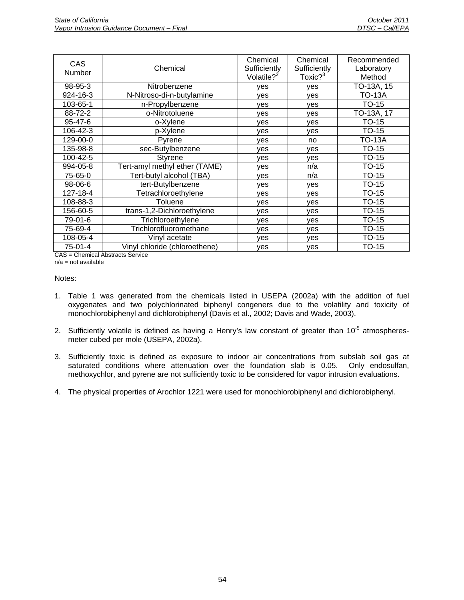| <b>CAS</b><br>Number | Chemical                      | Chemical<br>Sufficiently<br>Volatile? <sup>2</sup> | Chemical<br>Sufficiently<br>Toxic? <sup>3</sup> | Recommended<br>Laboratory<br>Method |
|----------------------|-------------------------------|----------------------------------------------------|-------------------------------------------------|-------------------------------------|
| 98-95-3              | Nitrobenzene                  | ves                                                | ves                                             | TO-13A, 15                          |
| 924-16-3             | N-Nitroso-di-n-butylamine     | ves                                                | yes                                             | <b>TO-13A</b>                       |
| 103-65-1             | n-Propylbenzene               | yes                                                | yes                                             | $TO-15$                             |
| 88-72-2              | o-Nitrotoluene                | ves                                                | yes                                             | TO-13A, 17                          |
| $95 - 47 - 6$        | o-Xylene                      | ves                                                | yes                                             | <b>TO-15</b>                        |
| 106-42-3             | p-Xylene                      | yes                                                | yes                                             | $TO-15$                             |
| 129-00-0             | Pyrene                        | ves                                                | no                                              | TO-13A                              |
| 135-98-8             | sec-Butylbenzene              | ves                                                | yes                                             | <b>TO-15</b>                        |
| 100-42-5             | <b>Styrene</b>                | ves                                                | yes                                             | TO-15                               |
| 994-05-8             | Tert-amyl methyl ether (TAME) | ves                                                | n/a                                             | <b>TO-15</b>                        |
| 75-65-0              | Tert-butyl alcohol (TBA)      | ves                                                | n/a                                             | <b>TO-15</b>                        |
| 98-06-6              | tert-Butylbenzene             | ves                                                | ves                                             | TO-15                               |
| 127-18-4             | Tetrachloroethylene           | yes                                                | yes                                             | <b>TO-15</b>                        |
| 108-88-3             | Toluene                       | ves                                                | ves                                             | <b>TO-15</b>                        |
| 156-60-5             | trans-1,2-Dichloroethylene    | ves                                                | yes                                             | TO-15                               |
| 79-01-6              | Trichloroethylene             | yes                                                | yes                                             | TO-15                               |
| 75-69-4              | Trichlorofluoromethane        | ves                                                | yes                                             | <b>TO-15</b>                        |
| 108-05-4             | Vinyl acetate                 | ves                                                | yes                                             | TO-15                               |
| 75-01-4              | Vinyl chloride (chloroethene) | yes                                                | yes                                             | <b>TO-15</b>                        |

CAS = Chemical Abstracts Service n/a = not available

#### Notes:

- 1. Table 1 was generated from the chemicals listed in USEPA (2002a) with the addition of fuel oxygenates and two polychlorinated biphenyl congeners due to the volatility and toxicity of monochlorobiphenyl and dichlorobiphenyl (Davis et al., 2002; Davis and Wade, 2003).
- 2. Sufficiently volatile is defined as having a Henry's law constant of greater than  $10^{-5}$  atmospheresmeter cubed per mole (USEPA, 2002a).
- 3. Sufficiently toxic is defined as exposure to indoor air concentrations from subslab soil gas at saturated conditions where attenuation over the foundation slab is 0.05. Only endosulfan, methoxychlor, and pyrene are not sufficiently toxic to be considered for vapor intrusion evaluations.
- 4. The physical properties of Arochlor 1221 were used for monochlorobiphenyl and dichlorobiphenyl.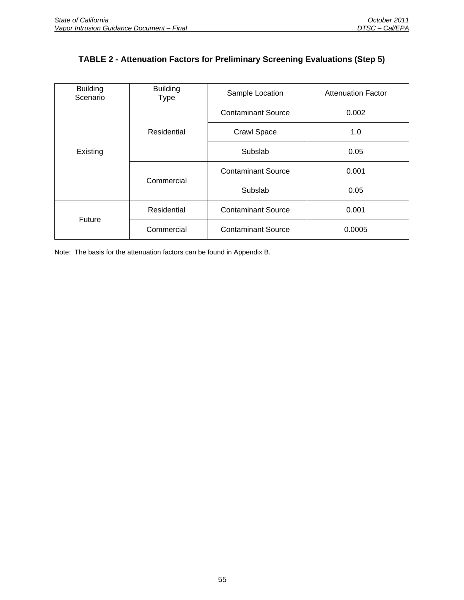# **TABLE 2 - Attenuation Factors for Preliminary Screening Evaluations (Step 5)**

| <b>Building</b><br>Scenario | <b>Building</b><br><b>Type</b> | Sample Location           | <b>Attenuation Factor</b> |
|-----------------------------|--------------------------------|---------------------------|---------------------------|
|                             |                                | <b>Contaminant Source</b> | 0.002                     |
| Existing                    | Residential                    | <b>Crawl Space</b>        | 1.0                       |
|                             |                                | Subslab                   | 0.05                      |
|                             | Commercial                     | <b>Contaminant Source</b> | 0.001                     |
|                             |                                | Subslab                   | 0.05                      |
| Future                      | Residential                    | <b>Contaminant Source</b> | 0.001                     |
|                             | Commercial                     | <b>Contaminant Source</b> | 0.0005                    |

Note: The basis for the attenuation factors can be found in Appendix B.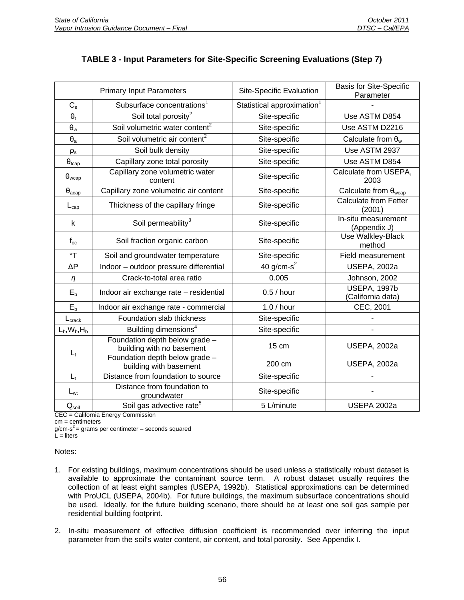| <b>Primary Input Parameters</b> |                                                             | Site-Specific Evaluation               | <b>Basis for Site-Specific</b><br>Parameter |
|---------------------------------|-------------------------------------------------------------|----------------------------------------|---------------------------------------------|
| $C_{s}$                         | Subsurface concentrations <sup>1</sup>                      | Statistical approximation <sup>1</sup> |                                             |
| $\theta_{t}$                    | Soil total porosity <sup>2</sup>                            | Site-specific                          | Use ASTM D854                               |
| $\theta_{w}$                    | Soil volumetric water content <sup>2</sup>                  | Site-specific                          | Use ASTM D2216                              |
| $\Theta_{\rm a}$                | Soil volumetric air content <sup>2</sup>                    | Site-specific                          | Calculate from $\theta_w$                   |
| $\rho_{\text{s}}$               | Soil bulk density                                           | Site-specific                          | Use ASTM 2937                               |
| $\theta_{tcap}$                 | Capillary zone total porosity                               | Site-specific                          | Use ASTM D854                               |
| $\theta_{wcap}$                 | Capillary zone volumetric water<br>content                  | Site-specific                          | Calculate from USEPA,<br>2003               |
| $\theta_{acap}$                 | Capillary zone volumetric air content                       | Site-specific                          | Calculate from $\theta_{wcap}$              |
| $L_{cap}$                       | Thickness of the capillary fringe                           | Site-specific                          | <b>Calculate from Fetter</b><br>(2001)      |
| k                               | Soil permeability <sup>3</sup>                              | Site-specific                          | In-situ measurement<br>(Appendix J)         |
| $f_{oc}$                        | Soil fraction organic carbon                                | Site-specific                          | Use Walkley-Black<br>method                 |
| $\mathsf{P}^{\circ}$            | Soil and groundwater temperature                            | Site-specific                          | <b>Field measurement</b>                    |
| ΔР                              | Indoor - outdoor pressure differential                      | 40 g/cm- $s^2$                         | <b>USEPA, 2002a</b>                         |
| $\eta$                          | Crack-to-total area ratio                                   | 0.005                                  | Johnson, 2002                               |
| $E_b$                           | Indoor air exchange rate - residential                      | $0.5/$ hour                            | <b>USEPA, 1997b</b><br>(California data)    |
| $E_b$                           | Indoor air exchange rate - commercial                       | $1.0/$ hour                            | CEC, 2001                                   |
| $L_{\text{crack}}$              | Foundation slab thickness                                   | Site-specific                          |                                             |
| $L_b, W_b, H_b$                 | Building dimensions <sup>4</sup>                            | Site-specific                          |                                             |
| $L_{\rm f}$                     | Foundation depth below grade -<br>building with no basement | 15 cm                                  | <b>USEPA, 2002a</b>                         |
|                                 | Foundation depth below grade -<br>building with basement    | 200 cm                                 | <b>USEPA, 2002a</b>                         |
| $L_t$                           | Distance from foundation to source                          | Site-specific                          |                                             |
| $L_{wt}$                        | Distance from foundation to<br>groundwater                  | Site-specific                          |                                             |
| $\mathsf{Q}_{\mathsf{soil}}$    | Soil gas advective rate <sup>5</sup>                        | 5 L/minute                             | USEPA 2002a                                 |

# **TABLE 3 - Input Parameters for Site-Specific Screening Evaluations (Step 7)**

CEC = California Energy Commission

cm = centimeters

 $g/cm-s^2$  = grams per centimeter – seconds squared  $L =$  liters

Notes:

- 1. For existing buildings, maximum concentrations should be used unless a statistically robust dataset is available to approximate the contaminant source term. A robust dataset usually requires the collection of at least eight samples (USEPA, 1992b). Statistical approximations can be determined with ProUCL (USEPA, 2004b). For future buildings, the maximum subsurface concentrations should be used. Ideally, for the future building scenario, there should be at least one soil gas sample per residential building footprint.
- 2. In-situ measurement of effective diffusion coefficient is recommended over inferring the input parameter from the soil's water content, air content, and total porosity. See Appendix I.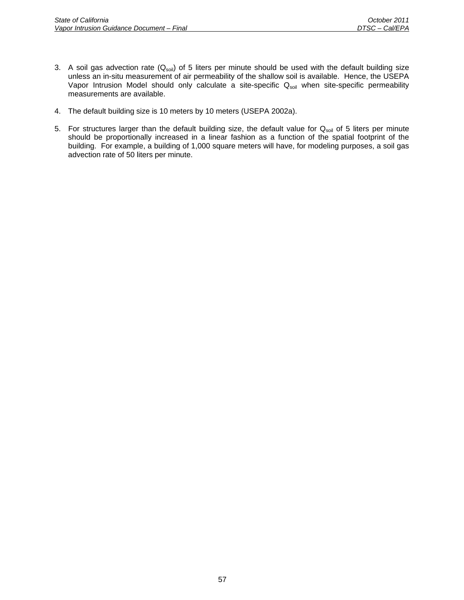- 3. A soil gas advection rate  $(Q_{soli})$  of 5 liters per minute should be used with the default building size unless an in-situ measurement of air permeability of the shallow soil is available. Hence, the USEPA Vapor Intrusion Model should only calculate a site-specific Q<sub>soil</sub> when site-specific permeability measurements are available.
- 4. The default building size is 10 meters by 10 meters (USEPA 2002a).
- 5. For structures larger than the default building size, the default value for  $Q_{soli}$  of 5 liters per minute should be proportionally increased in a linear fashion as a function of the spatial footprint of the building. For example, a building of 1,000 square meters will have, for modeling purposes, a soil gas advection rate of 50 liters per minute.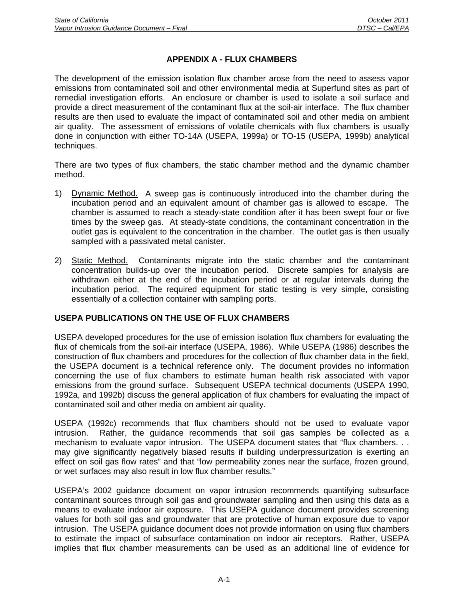# **APPENDIX A - FLUX CHAMBERS**

The development of the emission isolation flux chamber arose from the need to assess vapor emissions from contaminated soil and other environmental media at Superfund sites as part of remedial investigation efforts. An enclosure or chamber is used to isolate a soil surface and provide a direct measurement of the contaminant flux at the soil-air interface. The flux chamber results are then used to evaluate the impact of contaminated soil and other media on ambient air quality. The assessment of emissions of volatile chemicals with flux chambers is usually done in conjunction with either TO-14A (USEPA, 1999a) or TO-15 (USEPA, 1999b) analytical techniques.

There are two types of flux chambers, the static chamber method and the dynamic chamber method.

- 1) Dynamic Method. A sweep gas is continuously introduced into the chamber during the incubation period and an equivalent amount of chamber gas is allowed to escape. The chamber is assumed to reach a steady-state condition after it has been swept four or five times by the sweep gas. At steady-state conditions, the contaminant concentration in the outlet gas is equivalent to the concentration in the chamber. The outlet gas is then usually sampled with a passivated metal canister.
- 2) Static Method. Contaminants migrate into the static chamber and the contaminant concentration builds-up over the incubation period. Discrete samples for analysis are withdrawn either at the end of the incubation period or at regular intervals during the incubation period. The required equipment for static testing is very simple, consisting essentially of a collection container with sampling ports.

# **USEPA PUBLICATIONS ON THE USE OF FLUX CHAMBERS**

USEPA developed procedures for the use of emission isolation flux chambers for evaluating the flux of chemicals from the soil-air interface (USEPA, 1986). While USEPA (1986) describes the construction of flux chambers and procedures for the collection of flux chamber data in the field, the USEPA document is a technical reference only. The document provides no information concerning the use of flux chambers to estimate human health risk associated with vapor emissions from the ground surface. Subsequent USEPA technical documents (USEPA 1990, 1992a, and 1992b) discuss the general application of flux chambers for evaluating the impact of contaminated soil and other media on ambient air quality.

USEPA (1992c) recommends that flux chambers should not be used to evaluate vapor intrusion. Rather, the guidance recommends that soil gas samples be collected as a mechanism to evaluate vapor intrusion. The USEPA document states that "flux chambers. . . may give significantly negatively biased results if building underpressurization is exerting an effect on soil gas flow rates" and that "low permeability zones near the surface, frozen ground, or wet surfaces may also result in low flux chamber results."

USEPA's 2002 guidance document on vapor intrusion recommends quantifying subsurface contaminant sources through soil gas and groundwater sampling and then using this data as a means to evaluate indoor air exposure. This USEPA guidance document provides screening values for both soil gas and groundwater that are protective of human exposure due to vapor intrusion. The USEPA guidance document does not provide information on using flux chambers to estimate the impact of subsurface contamination on indoor air receptors. Rather, USEPA implies that flux chamber measurements can be used as an additional line of evidence for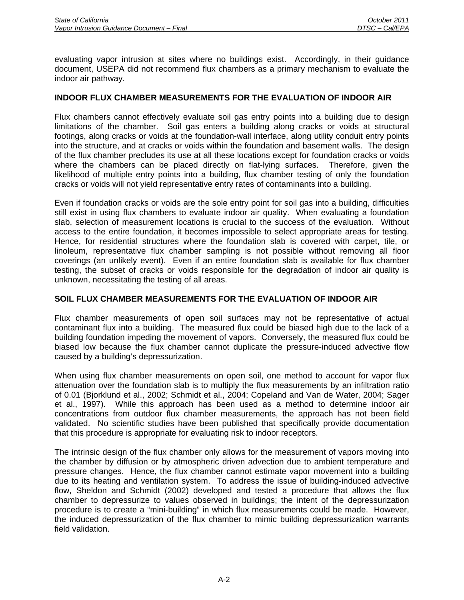evaluating vapor intrusion at sites where no buildings exist. Accordingly, in their guidance document, USEPA did not recommend flux chambers as a primary mechanism to evaluate the indoor air pathway.

## **INDOOR FLUX CHAMBER MEASUREMENTS FOR THE EVALUATION OF INDOOR AIR**

Flux chambers cannot effectively evaluate soil gas entry points into a building due to design limitations of the chamber. Soil gas enters a building along cracks or voids at structural footings, along cracks or voids at the foundation-wall interface, along utility conduit entry points into the structure, and at cracks or voids within the foundation and basement walls. The design of the flux chamber precludes its use at all these locations except for foundation cracks or voids where the chambers can be placed directly on flat-lying surfaces. Therefore, given the likelihood of multiple entry points into a building, flux chamber testing of only the foundation cracks or voids will not yield representative entry rates of contaminants into a building.

Even if foundation cracks or voids are the sole entry point for soil gas into a building, difficulties still exist in using flux chambers to evaluate indoor air quality. When evaluating a foundation slab, selection of measurement locations is crucial to the success of the evaluation. Without access to the entire foundation, it becomes impossible to select appropriate areas for testing. Hence, for residential structures where the foundation slab is covered with carpet, tile, or linoleum, representative flux chamber sampling is not possible without removing all floor coverings (an unlikely event). Even if an entire foundation slab is available for flux chamber testing, the subset of cracks or voids responsible for the degradation of indoor air quality is unknown, necessitating the testing of all areas.

### **SOIL FLUX CHAMBER MEASUREMENTS FOR THE EVALUATION OF INDOOR AIR**

Flux chamber measurements of open soil surfaces may not be representative of actual contaminant flux into a building. The measured flux could be biased high due to the lack of a building foundation impeding the movement of vapors. Conversely, the measured flux could be biased low because the flux chamber cannot duplicate the pressure-induced advective flow caused by a building's depressurization.

When using flux chamber measurements on open soil, one method to account for vapor flux attenuation over the foundation slab is to multiply the flux measurements by an infiltration ratio of 0.01 (Bjorklund et al., 2002; Schmidt et al., 2004; Copeland and Van de Water, 2004; Sager et al., 1997). While this approach has been used as a method to determine indoor air concentrations from outdoor flux chamber measurements, the approach has not been field validated. No scientific studies have been published that specifically provide documentation that this procedure is appropriate for evaluating risk to indoor receptors.

The intrinsic design of the flux chamber only allows for the measurement of vapors moving into the chamber by diffusion or by atmospheric driven advection due to ambient temperature and pressure changes. Hence, the flux chamber cannot estimate vapor movement into a building due to its heating and ventilation system. To address the issue of building-induced advective flow, Sheldon and Schmidt (2002) developed and tested a procedure that allows the flux chamber to depressurize to values observed in buildings; the intent of the depressurization procedure is to create a "mini-building" in which flux measurements could be made. However, the induced depressurization of the flux chamber to mimic building depressurization warrants field validation.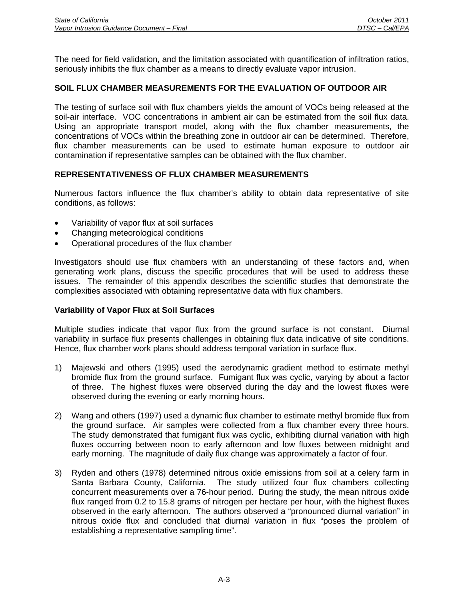The need for field validation, and the limitation associated with quantification of infiltration ratios, seriously inhibits the flux chamber as a means to directly evaluate vapor intrusion.

## **SOIL FLUX CHAMBER MEASUREMENTS FOR THE EVALUATION OF OUTDOOR AIR**

The testing of surface soil with flux chambers yields the amount of VOCs being released at the soil-air interface. VOC concentrations in ambient air can be estimated from the soil flux data. Using an appropriate transport model, along with the flux chamber measurements, the concentrations of VOCs within the breathing zone in outdoor air can be determined. Therefore, flux chamber measurements can be used to estimate human exposure to outdoor air contamination if representative samples can be obtained with the flux chamber.

### **REPRESENTATIVENESS OF FLUX CHAMBER MEASUREMENTS**

Numerous factors influence the flux chamber's ability to obtain data representative of site conditions, as follows:

- Variability of vapor flux at soil surfaces
- Changing meteorological conditions
- Operational procedures of the flux chamber

Investigators should use flux chambers with an understanding of these factors and, when generating work plans, discuss the specific procedures that will be used to address these issues. The remainder of this appendix describes the scientific studies that demonstrate the complexities associated with obtaining representative data with flux chambers.

### **Variability of Vapor Flux at Soil Surfaces**

Multiple studies indicate that vapor flux from the ground surface is not constant. Diurnal variability in surface flux presents challenges in obtaining flux data indicative of site conditions. Hence, flux chamber work plans should address temporal variation in surface flux.

- 1) Majewski and others (1995) used the aerodynamic gradient method to estimate methyl bromide flux from the ground surface. Fumigant flux was cyclic, varying by about a factor of three. The highest fluxes were observed during the day and the lowest fluxes were observed during the evening or early morning hours.
- 2) Wang and others (1997) used a dynamic flux chamber to estimate methyl bromide flux from the ground surface. Air samples were collected from a flux chamber every three hours. The study demonstrated that fumigant flux was cyclic, exhibiting diurnal variation with high fluxes occurring between noon to early afternoon and low fluxes between midnight and early morning. The magnitude of daily flux change was approximately a factor of four.
- 3) Ryden and others (1978) determined nitrous oxide emissions from soil at a celery farm in Santa Barbara County, California. The study utilized four flux chambers collecting concurrent measurements over a 76-hour period. During the study, the mean nitrous oxide flux ranged from 0.2 to 15.8 grams of nitrogen per hectare per hour, with the highest fluxes observed in the early afternoon. The authors observed a "pronounced diurnal variation" in nitrous oxide flux and concluded that diurnal variation in flux "poses the problem of establishing a representative sampling time".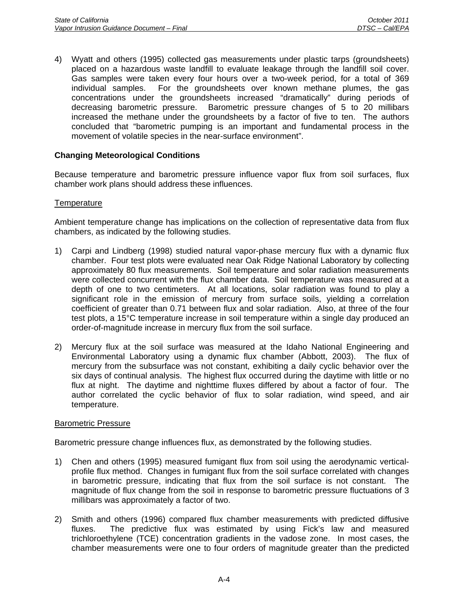4) Wyatt and others (1995) collected gas measurements under plastic tarps (groundsheets) placed on a hazardous waste landfill to evaluate leakage through the landfill soil cover. Gas samples were taken every four hours over a two-week period, for a total of 369 individual samples. For the groundsheets over known methane plumes, the gas concentrations under the groundsheets increased "dramatically" during periods of decreasing barometric pressure. Barometric pressure changes of 5 to 20 millibars increased the methane under the groundsheets by a factor of five to ten. The authors concluded that "barometric pumping is an important and fundamental process in the movement of volatile species in the near-surface environment".

# **Changing Meteorological Conditions**

Because temperature and barometric pressure influence vapor flux from soil surfaces, flux chamber work plans should address these influences.

### **Temperature**

Ambient temperature change has implications on the collection of representative data from flux chambers, as indicated by the following studies.

- 1) Carpi and Lindberg (1998) studied natural vapor-phase mercury flux with a dynamic flux chamber. Four test plots were evaluated near Oak Ridge National Laboratory by collecting approximately 80 flux measurements. Soil temperature and solar radiation measurements were collected concurrent with the flux chamber data. Soil temperature was measured at a depth of one to two centimeters. At all locations, solar radiation was found to play a significant role in the emission of mercury from surface soils, yielding a correlation coefficient of greater than 0.71 between flux and solar radiation. Also, at three of the four test plots, a 15°C temperature increase in soil temperature within a single day produced an order-of-magnitude increase in mercury flux from the soil surface.
- 2) Mercury flux at the soil surface was measured at the Idaho National Engineering and Environmental Laboratory using a dynamic flux chamber (Abbott, 2003). The flux of mercury from the subsurface was not constant, exhibiting a daily cyclic behavior over the six days of continual analysis. The highest flux occurred during the daytime with little or no flux at night. The daytime and nighttime fluxes differed by about a factor of four. The author correlated the cyclic behavior of flux to solar radiation, wind speed, and air temperature.

### Barometric Pressure

Barometric pressure change influences flux, as demonstrated by the following studies.

- 1) Chen and others (1995) measured fumigant flux from soil using the aerodynamic verticalprofile flux method. Changes in fumigant flux from the soil surface correlated with changes in barometric pressure, indicating that flux from the soil surface is not constant. The magnitude of flux change from the soil in response to barometric pressure fluctuations of 3 millibars was approximately a factor of two.
- 2) Smith and others (1996) compared flux chamber measurements with predicted diffusive fluxes. The predictive flux was estimated by using Fick's law and measured trichloroethylene (TCE) concentration gradients in the vadose zone. In most cases, the chamber measurements were one to four orders of magnitude greater than the predicted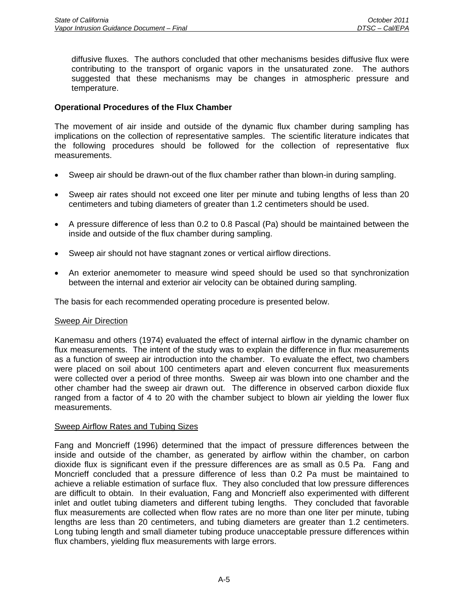diffusive fluxes. The authors concluded that other mechanisms besides diffusive flux were contributing to the transport of organic vapors in the unsaturated zone. The authors suggested that these mechanisms may be changes in atmospheric pressure and temperature.

## **Operational Procedures of the Flux Chamber**

The movement of air inside and outside of the dynamic flux chamber during sampling has implications on the collection of representative samples. The scientific literature indicates that the following procedures should be followed for the collection of representative flux measurements.

- Sweep air should be drawn-out of the flux chamber rather than blown-in during sampling.
- Sweep air rates should not exceed one liter per minute and tubing lengths of less than 20 centimeters and tubing diameters of greater than 1.2 centimeters should be used.
- A pressure difference of less than 0.2 to 0.8 Pascal (Pa) should be maintained between the inside and outside of the flux chamber during sampling.
- Sweep air should not have stagnant zones or vertical airflow directions.
- An exterior anemometer to measure wind speed should be used so that synchronization between the internal and exterior air velocity can be obtained during sampling.

The basis for each recommended operating procedure is presented below.

### Sweep Air Direction

Kanemasu and others (1974) evaluated the effect of internal airflow in the dynamic chamber on flux measurements. The intent of the study was to explain the difference in flux measurements as a function of sweep air introduction into the chamber. To evaluate the effect, two chambers were placed on soil about 100 centimeters apart and eleven concurrent flux measurements were collected over a period of three months. Sweep air was blown into one chamber and the other chamber had the sweep air drawn out. The difference in observed carbon dioxide flux ranged from a factor of 4 to 20 with the chamber subject to blown air yielding the lower flux measurements.

### Sweep Airflow Rates and Tubing Sizes

Fang and Moncrieff (1996) determined that the impact of pressure differences between the inside and outside of the chamber, as generated by airflow within the chamber, on carbon dioxide flux is significant even if the pressure differences are as small as 0.5 Pa. Fang and Moncrieff concluded that a pressure difference of less than 0.2 Pa must be maintained to achieve a reliable estimation of surface flux. They also concluded that low pressure differences are difficult to obtain. In their evaluation, Fang and Moncrieff also experimented with different inlet and outlet tubing diameters and different tubing lengths. They concluded that favorable flux measurements are collected when flow rates are no more than one liter per minute, tubing lengths are less than 20 centimeters, and tubing diameters are greater than 1.2 centimeters. Long tubing length and small diameter tubing produce unacceptable pressure differences within flux chambers, yielding flux measurements with large errors.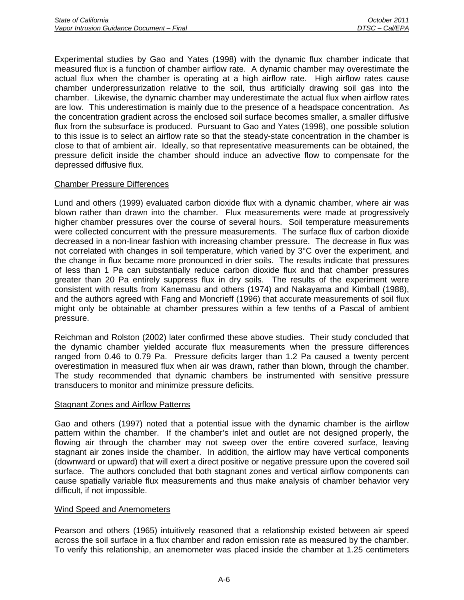Experimental studies by Gao and Yates (1998) with the dynamic flux chamber indicate that measured flux is a function of chamber airflow rate. A dynamic chamber may overestimate the actual flux when the chamber is operating at a high airflow rate. High airflow rates cause chamber underpressurization relative to the soil, thus artificially drawing soil gas into the chamber. Likewise, the dynamic chamber may underestimate the actual flux when airflow rates are low. This underestimation is mainly due to the presence of a headspace concentration. As the concentration gradient across the enclosed soil surface becomes smaller, a smaller diffusive flux from the subsurface is produced. Pursuant to Gao and Yates (1998), one possible solution to this issue is to select an airflow rate so that the steady-state concentration in the chamber is close to that of ambient air. Ideally, so that representative measurements can be obtained, the pressure deficit inside the chamber should induce an advective flow to compensate for the depressed diffusive flux.

# Chamber Pressure Differences

Lund and others (1999) evaluated carbon dioxide flux with a dynamic chamber, where air was blown rather than drawn into the chamber. Flux measurements were made at progressively higher chamber pressures over the course of several hours. Soil temperature measurements were collected concurrent with the pressure measurements. The surface flux of carbon dioxide decreased in a non-linear fashion with increasing chamber pressure. The decrease in flux was not correlated with changes in soil temperature, which varied by 3°C over the experiment, and the change in flux became more pronounced in drier soils. The results indicate that pressures of less than 1 Pa can substantially reduce carbon dioxide flux and that chamber pressures greater than 20 Pa entirely suppress flux in dry soils. The results of the experiment were consistent with results from Kanemasu and others (1974) and Nakayama and Kimball (1988), and the authors agreed with Fang and Moncrieff (1996) that accurate measurements of soil flux might only be obtainable at chamber pressures within a few tenths of a Pascal of ambient pressure.

Reichman and Rolston (2002) later confirmed these above studies. Their study concluded that the dynamic chamber yielded accurate flux measurements when the pressure differences ranged from 0.46 to 0.79 Pa. Pressure deficits larger than 1.2 Pa caused a twenty percent overestimation in measured flux when air was drawn, rather than blown, through the chamber. The study recommended that dynamic chambers be instrumented with sensitive pressure transducers to monitor and minimize pressure deficits.

### Stagnant Zones and Airflow Patterns

Gao and others (1997) noted that a potential issue with the dynamic chamber is the airflow pattern within the chamber. If the chamber's inlet and outlet are not designed properly, the flowing air through the chamber may not sweep over the entire covered surface, leaving stagnant air zones inside the chamber. In addition, the airflow may have vertical components (downward or upward) that will exert a direct positive or negative pressure upon the covered soil surface. The authors concluded that both stagnant zones and vertical airflow components can cause spatially variable flux measurements and thus make analysis of chamber behavior very difficult, if not impossible.

### Wind Speed and Anemometers

Pearson and others (1965) intuitively reasoned that a relationship existed between air speed across the soil surface in a flux chamber and radon emission rate as measured by the chamber. To verify this relationship, an anemometer was placed inside the chamber at 1.25 centimeters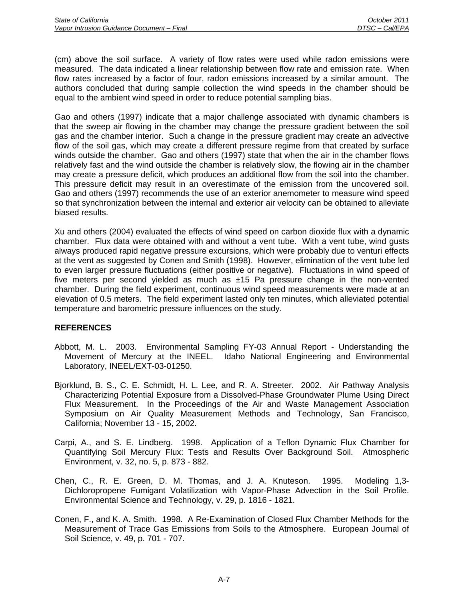(cm) above the soil surface. A variety of flow rates were used while radon emissions were measured. The data indicated a linear relationship between flow rate and emission rate. When flow rates increased by a factor of four, radon emissions increased by a similar amount. The authors concluded that during sample collection the wind speeds in the chamber should be equal to the ambient wind speed in order to reduce potential sampling bias.

Gao and others (1997) indicate that a major challenge associated with dynamic chambers is that the sweep air flowing in the chamber may change the pressure gradient between the soil gas and the chamber interior. Such a change in the pressure gradient may create an advective flow of the soil gas, which may create a different pressure regime from that created by surface winds outside the chamber. Gao and others (1997) state that when the air in the chamber flows relatively fast and the wind outside the chamber is relatively slow, the flowing air in the chamber may create a pressure deficit, which produces an additional flow from the soil into the chamber. This pressure deficit may result in an overestimate of the emission from the uncovered soil. Gao and others (1997) recommends the use of an exterior anemometer to measure wind speed so that synchronization between the internal and exterior air velocity can be obtained to alleviate biased results.

Xu and others (2004) evaluated the effects of wind speed on carbon dioxide flux with a dynamic chamber. Flux data were obtained with and without a vent tube. With a vent tube, wind gusts always produced rapid negative pressure excursions, which were probably due to venturi effects at the vent as suggested by Conen and Smith (1998). However, elimination of the vent tube led to even larger pressure fluctuations (either positive or negative). Fluctuations in wind speed of five meters per second vielded as much as  $\pm 15$  Pa pressure change in the non-vented chamber. During the field experiment, continuous wind speed measurements were made at an elevation of 0.5 meters. The field experiment lasted only ten minutes, which alleviated potential temperature and barometric pressure influences on the study.

- Abbott, M. L. 2003. Environmental Sampling FY-03 Annual Report Understanding the Movement of Mercury at the INEEL. Idaho National Engineering and Environmental Laboratory, INEEL/EXT-03-01250.
- Bjorklund, B. S., C. E. Schmidt, H. L. Lee, and R. A. Streeter. 2002. Air Pathway Analysis Characterizing Potential Exposure from a Dissolved-Phase Groundwater Plume Using Direct Flux Measurement. In the Proceedings of the Air and Waste Management Association Symposium on Air Quality Measurement Methods and Technology, San Francisco, California; November 13 - 15, 2002.
- Carpi, A., and S. E. Lindberg. 1998. Application of a Teflon Dynamic Flux Chamber for Quantifying Soil Mercury Flux: Tests and Results Over Background Soil. Atmospheric Environment, v. 32, no. 5, p. 873 - 882.
- Chen, C., R. E. Green, D. M. Thomas, and J. A. Knuteson. 1995. Modeling 1,3- Dichloropropene Fumigant Volatilization with Vapor-Phase Advection in the Soil Profile. Environmental Science and Technology, v. 29, p. 1816 - 1821.
- Conen, F., and K. A. Smith. 1998. A Re-Examination of Closed Flux Chamber Methods for the Measurement of Trace Gas Emissions from Soils to the Atmosphere. European Journal of Soil Science, v. 49, p. 701 - 707.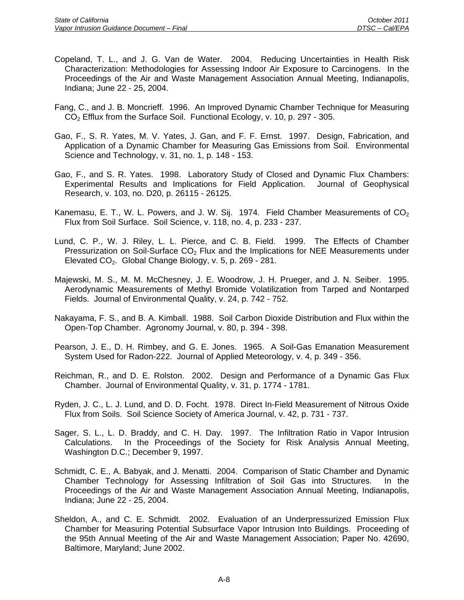- Copeland, T. L., and J. G. Van de Water. 2004. Reducing Uncertainties in Health Risk Characterization: Methodologies for Assessing Indoor Air Exposure to Carcinogens. In the Proceedings of the Air and Waste Management Association Annual Meeting, Indianapolis, Indiana; June 22 - 25, 2004.
- Fang, C., and J. B. Moncrieff. 1996. An Improved Dynamic Chamber Technique for Measuring CO<sub>2</sub> Efflux from the Surface Soil. Functional Ecology, v. 10, p. 297 - 305.
- Gao, F., S. R. Yates, M. V. Yates, J. Gan, and F. F. Ernst. 1997. Design, Fabrication, and Application of a Dynamic Chamber for Measuring Gas Emissions from Soil. Environmental Science and Technology, v. 31, no. 1, p. 148 - 153.
- Gao, F., and S. R. Yates. 1998. Laboratory Study of Closed and Dynamic Flux Chambers: Experimental Results and Implications for Field Application. Journal of Geophysical Research, v. 103, no. D20, p. 26115 - 26125.
- Kanemasu, E. T., W. L. Powers, and J. W. Sij. 1974. Field Chamber Measurements of  $CO<sub>2</sub>$ Flux from Soil Surface. Soil Science, v. 118, no. 4, p. 233 - 237.
- Lund, C. P., W. J. Riley, L. L. Pierce, and C. B. Field. 1999. The Effects of Chamber Pressurization on Soil-Surface  $CO<sub>2</sub>$  Flux and the Implications for NEE Measurements under Elevated CO<sub>2</sub>. Global Change Biology, v. 5, p. 269 - 281.
- Majewski, M. S., M. M. McChesney, J. E. Woodrow, J. H. Prueger, and J. N. Seiber. 1995. Aerodynamic Measurements of Methyl Bromide Volatilization from Tarped and Nontarped Fields. Journal of Environmental Quality, v. 24, p. 742 - 752.
- Nakayama, F. S., and B. A. Kimball. 1988. Soil Carbon Dioxide Distribution and Flux within the Open-Top Chamber. Agronomy Journal, v. 80, p. 394 - 398.
- Pearson, J. E., D. H. Rimbey, and G. E. Jones. 1965. A Soil-Gas Emanation Measurement System Used for Radon-222. Journal of Applied Meteorology, v. 4, p. 349 - 356.
- Reichman, R., and D. E. Rolston. 2002. Design and Performance of a Dynamic Gas Flux Chamber. Journal of Environmental Quality, v. 31, p. 1774 - 1781.
- Ryden, J. C., L. J. Lund, and D. D. Focht. 1978. Direct In-Field Measurement of Nitrous Oxide Flux from Soils. Soil Science Society of America Journal, v. 42, p. 731 - 737.
- Sager, S. L., L. D. Braddy, and C. H. Day. 1997. The Infiltration Ratio in Vapor Intrusion Calculations. In the Proceedings of the Society for Risk Analysis Annual Meeting, Washington D.C.; December 9, 1997.
- Schmidt, C. E., A. Babyak, and J. Menatti. 2004. Comparison of Static Chamber and Dynamic Chamber Technology for Assessing Infiltration of Soil Gas into Structures. In the Proceedings of the Air and Waste Management Association Annual Meeting, Indianapolis, Indiana; June 22 - 25, 2004.
- Sheldon, A., and C. E. Schmidt. 2002. Evaluation of an Underpressurized Emission Flux Chamber for Measuring Potential Subsurface Vapor Intrusion Into Buildings. Proceeding of the 95th Annual Meeting of the Air and Waste Management Association; Paper No. 42690, Baltimore, Maryland; June 2002.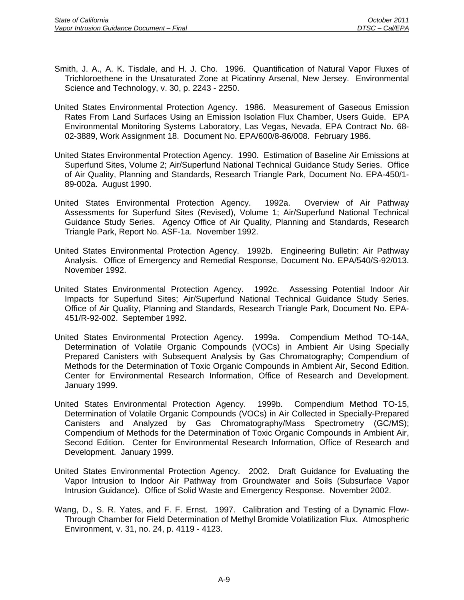- Smith, J. A., A. K. Tisdale, and H. J. Cho. 1996. Quantification of Natural Vapor Fluxes of Trichloroethene in the Unsaturated Zone at Picatinny Arsenal, New Jersey. Environmental Science and Technology, v. 30, p. 2243 - 2250.
- United States Environmental Protection Agency. 1986. Measurement of Gaseous Emission Rates From Land Surfaces Using an Emission Isolation Flux Chamber, Users Guide. EPA Environmental Monitoring Systems Laboratory, Las Vegas, Nevada, EPA Contract No. 68- 02-3889, Work Assignment 18. Document No. EPA/600/8-86/008. February 1986.
- United States Environmental Protection Agency. 1990. Estimation of Baseline Air Emissions at Superfund Sites, Volume 2; Air/Superfund National Technical Guidance Study Series. Office of Air Quality, Planning and Standards, Research Triangle Park, Document No. EPA-450/1- 89-002a. August 1990.
- United States Environmental Protection Agency. 1992a. Overview of Air Pathway Assessments for Superfund Sites (Revised), Volume 1; Air/Superfund National Technical Guidance Study Series. Agency Office of Air Quality, Planning and Standards, Research Triangle Park, Report No. ASF-1a. November 1992.
- United States Environmental Protection Agency. 1992b. Engineering Bulletin: Air Pathway Analysis. Office of Emergency and Remedial Response, Document No. EPA/540/S-92/013. November 1992.
- United States Environmental Protection Agency. 1992c. Assessing Potential Indoor Air Impacts for Superfund Sites; Air/Superfund National Technical Guidance Study Series. Office of Air Quality, Planning and Standards, Research Triangle Park, Document No. EPA-451/R-92-002. September 1992.
- United States Environmental Protection Agency. 1999a. Compendium Method TO-14A, Determination of Volatile Organic Compounds (VOCs) in Ambient Air Using Specially Prepared Canisters with Subsequent Analysis by Gas Chromatography; Compendium of Methods for the Determination of Toxic Organic Compounds in Ambient Air, Second Edition. Center for Environmental Research Information, Office of Research and Development. January 1999.
- United States Environmental Protection Agency. 1999b. Compendium Method TO-15, Determination of Volatile Organic Compounds (VOCs) in Air Collected in Specially-Prepared Canisters and Analyzed by Gas Chromatography/Mass Spectrometry (GC/MS); Compendium of Methods for the Determination of Toxic Organic Compounds in Ambient Air, Second Edition. Center for Environmental Research Information, Office of Research and Development. January 1999.
- United States Environmental Protection Agency. 2002. Draft Guidance for Evaluating the Vapor Intrusion to Indoor Air Pathway from Groundwater and Soils (Subsurface Vapor Intrusion Guidance). Office of Solid Waste and Emergency Response. November 2002.
- Wang, D., S. R. Yates, and F. F. Ernst. 1997. Calibration and Testing of a Dynamic Flow-Through Chamber for Field Determination of Methyl Bromide Volatilization Flux. Atmospheric Environment, v. 31, no. 24, p. 4119 - 4123.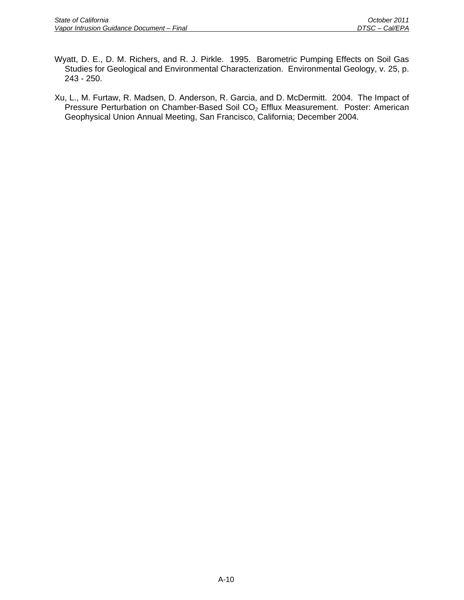- Wyatt, D. E., D. M. Richers, and R. J. Pirkle. 1995. Barometric Pumping Effects on Soil Gas Studies for Geological and Environmental Characterization. Environmental Geology, v. 25, p. 243 - 250.
- Xu, L., M. Furtaw, R. Madsen, D. Anderson, R. Garcia, and D. McDermitt. 2004. The Impact of Pressure Perturbation on Chamber-Based Soil CO<sub>2</sub> Efflux Measurement. Poster: American Geophysical Union Annual Meeting, San Francisco, California; December 2004.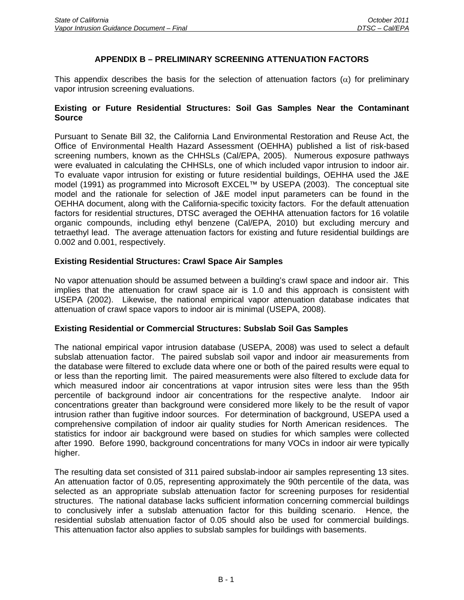## **APPENDIX B – PRELIMINARY SCREENING ATTENUATION FACTORS**

This appendix describes the basis for the selection of attenuation factors  $(\alpha)$  for preliminary vapor intrusion screening evaluations.

#### **Existing or Future Residential Structures: Soil Gas Samples Near the Contaminant Source**

Pursuant to Senate Bill 32, the California Land Environmental Restoration and Reuse Act, the Office of Environmental Health Hazard Assessment (OEHHA) published a list of risk-based screening numbers, known as the CHHSLs (Cal/EPA, 2005). Numerous exposure pathways were evaluated in calculating the CHHSLs, one of which included vapor intrusion to indoor air. To evaluate vapor intrusion for existing or future residential buildings, OEHHA used the J&E model (1991) as programmed into Microsoft EXCEL™ by USEPA (2003). The conceptual site model and the rationale for selection of J&E model input parameters can be found in the OEHHA document, along with the California-specific toxicity factors. For the default attenuation factors for residential structures, DTSC averaged the OEHHA attenuation factors for 16 volatile organic compounds, including ethyl benzene (Cal/EPA, 2010) but excluding mercury and tetraethyl lead. The average attenuation factors for existing and future residential buildings are 0.002 and 0.001, respectively.

## **Existing Residential Structures: Crawl Space Air Samples**

No vapor attenuation should be assumed between a building's crawl space and indoor air. This implies that the attenuation for crawl space air is 1.0 and this approach is consistent with USEPA (2002). Likewise, the national empirical vapor attenuation database indicates that attenuation of crawl space vapors to indoor air is minimal (USEPA, 2008).

#### **Existing Residential or Commercial Structures: Subslab Soil Gas Samples**

The national empirical vapor intrusion database (USEPA, 2008) was used to select a default subslab attenuation factor. The paired subslab soil vapor and indoor air measurements from the database were filtered to exclude data where one or both of the paired results were equal to or less than the reporting limit. The paired measurements were also filtered to exclude data for which measured indoor air concentrations at vapor intrusion sites were less than the 95th percentile of background indoor air concentrations for the respective analyte. Indoor air concentrations greater than background were considered more likely to be the result of vapor intrusion rather than fugitive indoor sources. For determination of background, USEPA used a comprehensive compilation of indoor air quality studies for North American residences. The statistics for indoor air background were based on studies for which samples were collected after 1990. Before 1990, background concentrations for many VOCs in indoor air were typically higher.

The resulting data set consisted of 311 paired subslab-indoor air samples representing 13 sites. An attenuation factor of 0.05, representing approximately the 90th percentile of the data, was selected as an appropriate subslab attenuation factor for screening purposes for residential structures. The national database lacks sufficient information concerning commercial buildings to conclusively infer a subslab attenuation factor for this building scenario. Hence, the residential subslab attenuation factor of 0.05 should also be used for commercial buildings. This attenuation factor also applies to subslab samples for buildings with basements.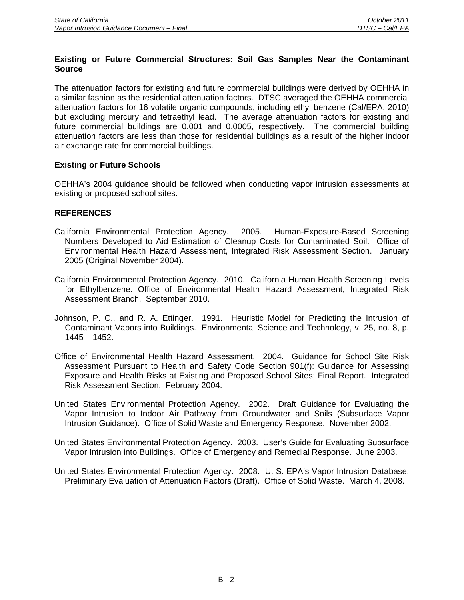## **Existing or Future Commercial Structures: Soil Gas Samples Near the Contaminant Source**

The attenuation factors for existing and future commercial buildings were derived by OEHHA in a similar fashion as the residential attenuation factors. DTSC averaged the OEHHA commercial attenuation factors for 16 volatile organic compounds, including ethyl benzene (Cal/EPA, 2010) but excluding mercury and tetraethyl lead. The average attenuation factors for existing and future commercial buildings are 0.001 and 0.0005, respectively. The commercial building attenuation factors are less than those for residential buildings as a result of the higher indoor air exchange rate for commercial buildings.

## **Existing or Future Schools**

OEHHA's 2004 guidance should be followed when conducting vapor intrusion assessments at existing or proposed school sites.

- California Environmental Protection Agency. 2005. Human-Exposure-Based Screening Numbers Developed to Aid Estimation of Cleanup Costs for Contaminated Soil. Office of Environmental Health Hazard Assessment, Integrated Risk Assessment Section. January 2005 (Original November 2004).
- California Environmental Protection Agency. 2010. California Human Health Screening Levels for Ethylbenzene. Office of Environmental Health Hazard Assessment, Integrated Risk Assessment Branch. September 2010.
- Johnson, P. C., and R. A. Ettinger. 1991. Heuristic Model for Predicting the Intrusion of Contaminant Vapors into Buildings. Environmental Science and Technology, v. 25, no. 8, p. 1445 – 1452.
- Office of Environmental Health Hazard Assessment. 2004. Guidance for School Site Risk Assessment Pursuant to Health and Safety Code Section 901(f): Guidance for Assessing Exposure and Health Risks at Existing and Proposed School Sites; Final Report. Integrated Risk Assessment Section. February 2004.
- United States Environmental Protection Agency. 2002. Draft Guidance for Evaluating the Vapor Intrusion to Indoor Air Pathway from Groundwater and Soils (Subsurface Vapor Intrusion Guidance). Office of Solid Waste and Emergency Response. November 2002.
- United States Environmental Protection Agency. 2003. User's Guide for Evaluating Subsurface Vapor Intrusion into Buildings. Office of Emergency and Remedial Response. June 2003.
- United States Environmental Protection Agency. 2008. U. S. EPA's Vapor Intrusion Database: Preliminary Evaluation of Attenuation Factors (Draft). Office of Solid Waste. March 4, 2008.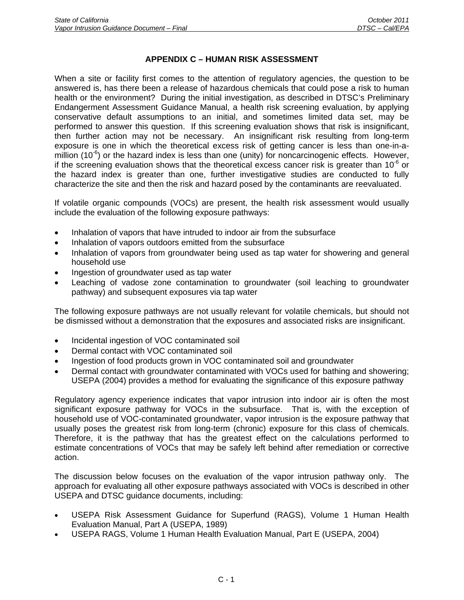# **APPENDIX C – HUMAN RISK ASSESSMENT**

When a site or facility first comes to the attention of regulatory agencies, the question to be answered is, has there been a release of hazardous chemicals that could pose a risk to human health or the environment? During the initial investigation, as described in DTSC's Preliminary Endangerment Assessment Guidance Manual, a health risk screening evaluation, by applying conservative default assumptions to an initial, and sometimes limited data set, may be performed to answer this question. If this screening evaluation shows that risk is insignificant, then further action may not be necessary. An insignificant risk resulting from long-term exposure is one in which the theoretical excess risk of getting cancer is less than one-in-amillion (10 $\degree$ ) or the hazard index is less than one (unity) for noncarcinogenic effects. However, if the screening evaluation shows that the theoretical excess cancer risk is greater than  $10^{-6}$  or the hazard index is greater than one, further investigative studies are conducted to fully characterize the site and then the risk and hazard posed by the contaminants are reevaluated.

If volatile organic compounds (VOCs) are present, the health risk assessment would usually include the evaluation of the following exposure pathways:

- Inhalation of vapors that have intruded to indoor air from the subsurface
- Inhalation of vapors outdoors emitted from the subsurface
- Inhalation of vapors from groundwater being used as tap water for showering and general household use
- Ingestion of groundwater used as tap water
- Leaching of vadose zone contamination to groundwater (soil leaching to groundwater pathway) and subsequent exposures via tap water

The following exposure pathways are not usually relevant for volatile chemicals, but should not be dismissed without a demonstration that the exposures and associated risks are insignificant.

- Incidental ingestion of VOC contaminated soil
- Dermal contact with VOC contaminated soil
- Ingestion of food products grown in VOC contaminated soil and groundwater
- Dermal contact with groundwater contaminated with VOCs used for bathing and showering; USEPA (2004) provides a method for evaluating the significance of this exposure pathway

Regulatory agency experience indicates that vapor intrusion into indoor air is often the most significant exposure pathway for VOCs in the subsurface. That is, with the exception of household use of VOC-contaminated groundwater, vapor intrusion is the exposure pathway that usually poses the greatest risk from long-term (chronic) exposure for this class of chemicals. Therefore, it is the pathway that has the greatest effect on the calculations performed to estimate concentrations of VOCs that may be safely left behind after remediation or corrective action.

The discussion below focuses on the evaluation of the vapor intrusion pathway only. The approach for evaluating all other exposure pathways associated with VOCs is described in other USEPA and DTSC guidance documents, including:

- USEPA Risk Assessment Guidance for Superfund (RAGS), Volume 1 Human Health Evaluation Manual, Part A (USEPA, 1989)
- USEPA RAGS, Volume 1 Human Health Evaluation Manual, Part E (USEPA, 2004)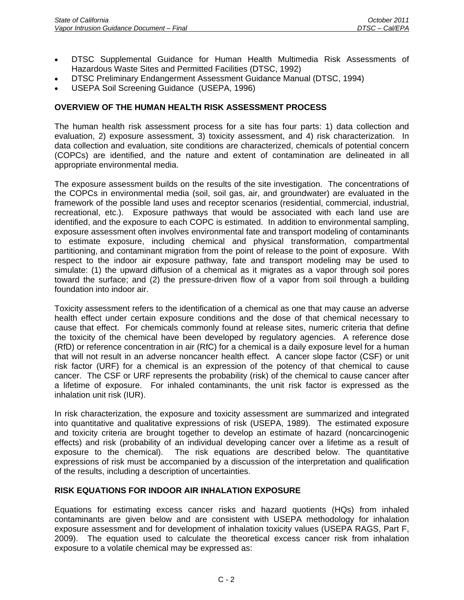- DTSC Supplemental Guidance for Human Health Multimedia Risk Assessments of Hazardous Waste Sites and Permitted Facilities (DTSC, 1992)
- DTSC Preliminary Endangerment Assessment Guidance Manual (DTSC, 1994)
- USEPA Soil Screening Guidance (USEPA, 1996)

# **OVERVIEW OF THE HUMAN HEALTH RISK ASSESSMENT PROCESS**

The human health risk assessment process for a site has four parts: 1) data collection and evaluation, 2) exposure assessment, 3) toxicity assessment, and 4) risk characterization. In data collection and evaluation, site conditions are characterized, chemicals of potential concern (COPCs) are identified, and the nature and extent of contamination are delineated in all appropriate environmental media.

The exposure assessment builds on the results of the site investigation. The concentrations of the COPCs in environmental media (soil, soil gas, air, and groundwater) are evaluated in the framework of the possible land uses and receptor scenarios (residential, commercial, industrial, recreational, etc.). Exposure pathways that would be associated with each land use are identified, and the exposure to each COPC is estimated. In addition to environmental sampling, exposure assessment often involves environmental fate and transport modeling of contaminants to estimate exposure, including chemical and physical transformation, compartmental partitioning, and contaminant migration from the point of release to the point of exposure. With respect to the indoor air exposure pathway, fate and transport modeling may be used to simulate: (1) the upward diffusion of a chemical as it migrates as a vapor through soil pores toward the surface; and (2) the pressure-driven flow of a vapor from soil through a building foundation into indoor air.

Toxicity assessment refers to the identification of a chemical as one that may cause an adverse health effect under certain exposure conditions and the dose of that chemical necessary to cause that effect. For chemicals commonly found at release sites, numeric criteria that define the toxicity of the chemical have been developed by regulatory agencies. A reference dose (RfD) or reference concentration in air (RfC) for a chemical is a daily exposure level for a human that will not result in an adverse noncancer health effect. A cancer slope factor (CSF) or unit risk factor (URF) for a chemical is an expression of the potency of that chemical to cause cancer. The CSF or URF represents the probability (risk) of the chemical to cause cancer after a lifetime of exposure. For inhaled contaminants, the unit risk factor is expressed as the inhalation unit risk (IUR).

In risk characterization, the exposure and toxicity assessment are summarized and integrated into quantitative and qualitative expressions of risk (USEPA, 1989). The estimated exposure and toxicity criteria are brought together to develop an estimate of hazard (noncarcinogenic effects) and risk (probability of an individual developing cancer over a lifetime as a result of exposure to the chemical). The risk equations are described below. The quantitative expressions of risk must be accompanied by a discussion of the interpretation and qualification of the results, including a description of uncertainties.

## **RISK EQUATIONS FOR INDOOR AIR INHALATION EXPOSURE**

Equations for estimating excess cancer risks and hazard quotients (HQs) from inhaled contaminants are given below and are consistent with USEPA methodology for inhalation exposure assessment and for development of inhalation toxicity values (USEPA RAGS, Part F, 2009). The equation used to calculate the theoretical excess cancer risk from inhalation exposure to a volatile chemical may be expressed as: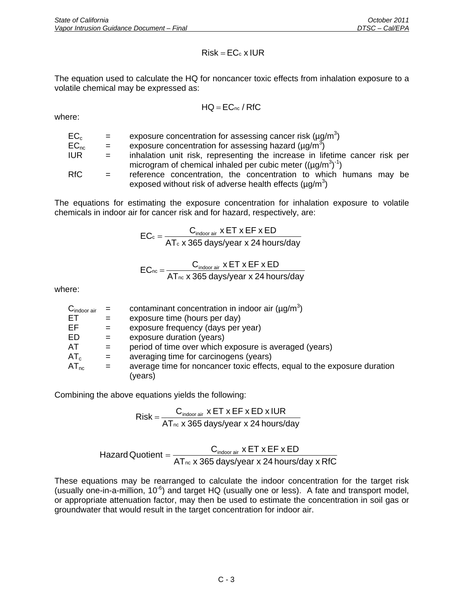$$
Risk = EC_c \times IUR
$$

The equation used to calculate the HQ for noncancer toxic effects from inhalation exposure to a volatile chemical may be expressed as:

$$
HQ = EC_{nc} / \, RfC
$$

where:

| $EC_{c}$  | $\equiv$ | exposure concentration for assessing cancer risk ( $\mu q/m^3$ )            |
|-----------|----------|-----------------------------------------------------------------------------|
| $EC_{nc}$ | $\equiv$ | exposure concentration for assessing hazard ( $\mu$ g/m <sup>3</sup> )      |
| IUR.      | $=$      | inhalation unit risk, representing the increase in lifetime cancer risk per |
|           |          | microgram of chemical inhaled per cubic meter $((\mu q/m^3)^{-1})$          |
| RfC.      | $=$      | reference concentration, the concentration to which humans may be           |
|           |          | exposed without risk of adverse health effects $(\mu q/m^3)$                |

The equations for estimating the exposure concentration for inhalation exposure to volatile chemicals in indoor air for cancer risk and for hazard, respectively, are:

$$
EC_{c} = \frac{C_{\text{indoor air}} \times ET \times EF \times ED}{AT_{c} \times 365 \text{ days/year} \times 24 \text{ hours/day}}
$$

$$
EC_{\text{nc}} = \frac{C_{\text{indoor air}} \times ET \times EF \times ED}{AT_{\text{nc}} \times 365 \text{ days/year} \times 24 \text{ hours/day}}
$$

where:

| $C_{\text{indoor air}}$ |          | contaminant concentration in indoor air $(\mu g/m^3)$                    |
|-------------------------|----------|--------------------------------------------------------------------------|
| ET.                     |          | exposure time (hours per day)                                            |
| EF                      | $=$      | exposure frequency (days per year)                                       |
| ED                      | $=$      | exposure duration (years)                                                |
| AT                      | $=$      | period of time over which exposure is averaged (years)                   |
| $AT_c$                  | $=$      | averaging time for carcinogens (years)                                   |
| $AT_{nc}$               | $\equiv$ | average time for noncancer toxic effects, equal to the exposure duration |
|                         |          | (years)                                                                  |

Combining the above equations yields the following:

$$
Risk = \frac{C_{\text{indoor air}} \times ET \times EF \times ED \times IUR}{AT_{\text{nc}} \times 365 \text{ days/year} \times 24 \text{ hours/day}}
$$

$$
Hazard Quotient = \frac{C_{indoorair} \times ET \times EF \times ED}{AT_{nc} \times 365 \text{ days/year} \times 24 \text{ hours/day} \times RfC}
$$

These equations may be rearranged to calculate the indoor concentration for the target risk (usually one-in-a-million,  $10^{-6}$ ) and target HQ (usually one or less). A fate and transport model, or appropriate attenuation factor, may then be used to estimate the concentration in soil gas or groundwater that would result in the target concentration for indoor air.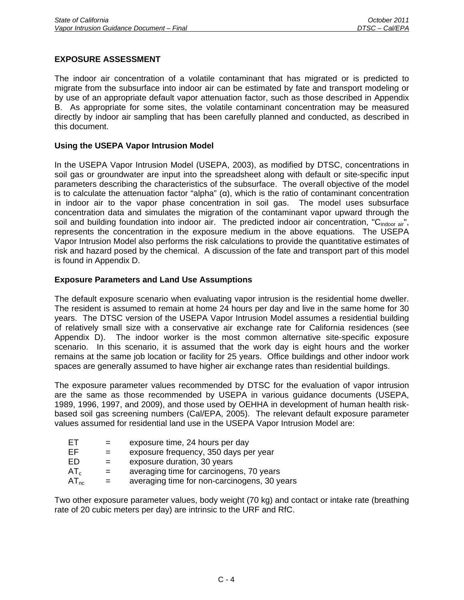# **EXPOSURE ASSESSMENT**

The indoor air concentration of a volatile contaminant that has migrated or is predicted to migrate from the subsurface into indoor air can be estimated by fate and transport modeling or by use of an appropriate default vapor attenuation factor, such as those described in Appendix B. As appropriate for some sites, the volatile contaminant concentration may be measured directly by indoor air sampling that has been carefully planned and conducted, as described in this document.

## **Using the USEPA Vapor Intrusion Model**

In the USEPA Vapor Intrusion Model (USEPA, 2003), as modified by DTSC, concentrations in soil gas or groundwater are input into the spreadsheet along with default or site-specific input parameters describing the characteristics of the subsurface. The overall objective of the model is to calculate the attenuation factor "alpha" (α), which is the ratio of contaminant concentration in indoor air to the vapor phase concentration in soil gas. The model uses subsurface concentration data and simulates the migration of the contaminant vapor upward through the soil and building foundation into indoor air. The predicted indoor air concentration, " $C_{\text{indoor air}}$ ", represents the concentration in the exposure medium in the above equations. The USEPA Vapor Intrusion Model also performs the risk calculations to provide the quantitative estimates of risk and hazard posed by the chemical. A discussion of the fate and transport part of this model is found in Appendix D.

#### **Exposure Parameters and Land Use Assumptions**

The default exposure scenario when evaluating vapor intrusion is the residential home dweller. The resident is assumed to remain at home 24 hours per day and live in the same home for 30 years. The DTSC version of the USEPA Vapor Intrusion Model assumes a residential building of relatively small size with a conservative air exchange rate for California residences (see Appendix D). The indoor worker is the most common alternative site-specific exposure scenario. In this scenario, it is assumed that the work day is eight hours and the worker remains at the same job location or facility for 25 years. Office buildings and other indoor work spaces are generally assumed to have higher air exchange rates than residential buildings.

The exposure parameter values recommended by DTSC for the evaluation of vapor intrusion are the same as those recommended by USEPA in various guidance documents (USEPA, 1989, 1996, 1997, and 2009), and those used by OEHHA in development of human health riskbased soil gas screening numbers (Cal/EPA, 2005). The relevant default exposure parameter values assumed for residential land use in the USEPA Vapor Intrusion Model are:

| $=$ | exposure time, 24 hours per day              |
|-----|----------------------------------------------|
| $=$ | exposure frequency, 350 days per year        |
|     | exposure duration, 30 years                  |
| $=$ | averaging time for carcinogens, 70 years     |
| $=$ | averaging time for non-carcinogens, 30 years |
|     |                                              |

Two other exposure parameter values, body weight (70 kg) and contact or intake rate (breathing rate of 20 cubic meters per day) are intrinsic to the URF and RfC.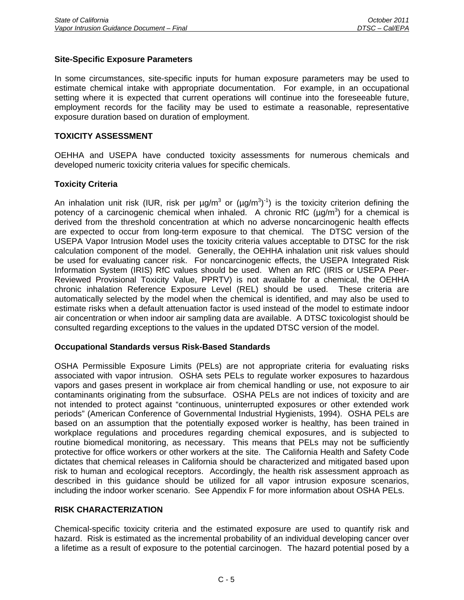#### **Site-Specific Exposure Parameters**

In some circumstances, site-specific inputs for human exposure parameters may be used to estimate chemical intake with appropriate documentation. For example, in an occupational setting where it is expected that current operations will continue into the foreseeable future, employment records for the facility may be used to estimate a reasonable, representative exposure duration based on duration of employment.

#### **TOXICITY ASSESSMENT**

OEHHA and USEPA have conducted toxicity assessments for numerous chemicals and developed numeric toxicity criteria values for specific chemicals.

## **Toxicity Criteria**

An inhalation unit risk (IUR, risk per  $\mu g/m^3$  or  $(\mu g/m^3)^{-1}$ ) is the toxicity criterion defining the potency of a carcinogenic chemical when inhaled. A chronic RfC ( $\mu$ g/m<sup>3</sup>) for a chemical is derived from the threshold concentration at which no adverse noncarcinogenic health effects are expected to occur from long-term exposure to that chemical. The DTSC version of the USEPA Vapor Intrusion Model uses the toxicity criteria values acceptable to DTSC for the risk calculation component of the model. Generally, the OEHHA inhalation unit risk values should be used for evaluating cancer risk. For noncarcinogenic effects, the USEPA Integrated Risk Information System (IRIS) RfC values should be used. When an RfC (IRIS or USEPA Peer-Reviewed Provisional Toxicity Value, PPRTV) is not available for a chemical, the OEHHA chronic inhalation Reference Exposure Level (REL) should be used. These criteria are automatically selected by the model when the chemical is identified, and may also be used to estimate risks when a default attenuation factor is used instead of the model to estimate indoor air concentration or when indoor air sampling data are available. A DTSC toxicologist should be consulted regarding exceptions to the values in the updated DTSC version of the model.

#### **Occupational Standards versus Risk-Based Standards**

OSHA Permissible Exposure Limits (PELs) are not appropriate criteria for evaluating risks associated with vapor intrusion. OSHA sets PELs to regulate worker exposures to hazardous vapors and gases present in workplace air from chemical handling or use, not exposure to air contaminants originating from the subsurface. OSHA PELs are not indices of toxicity and are not intended to protect against "continuous, uninterrupted exposures or other extended work periods" (American Conference of Governmental Industrial Hygienists, 1994). OSHA PELs are based on an assumption that the potentially exposed worker is healthy, has been trained in workplace regulations and procedures regarding chemical exposures, and is subjected to routine biomedical monitoring, as necessary. This means that PELs may not be sufficiently protective for office workers or other workers at the site. The California Health and Safety Code dictates that chemical releases in California should be characterized and mitigated based upon risk to human and ecological receptors. Accordingly, the health risk assessment approach as described in this guidance should be utilized for all vapor intrusion exposure scenarios, including the indoor worker scenario. See Appendix F for more information about OSHA PELs.

#### **RISK CHARACTERIZATION**

Chemical-specific toxicity criteria and the estimated exposure are used to quantify risk and hazard. Risk is estimated as the incremental probability of an individual developing cancer over a lifetime as a result of exposure to the potential carcinogen. The hazard potential posed by a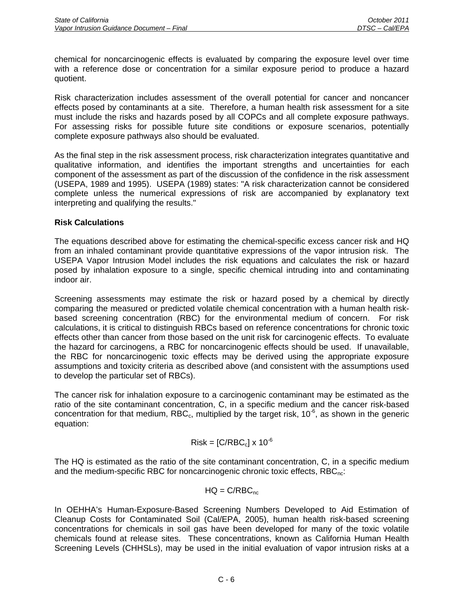chemical for noncarcinogenic effects is evaluated by comparing the exposure level over time with a reference dose or concentration for a similar exposure period to produce a hazard quotient.

Risk characterization includes assessment of the overall potential for cancer and noncancer effects posed by contaminants at a site. Therefore, a human health risk assessment for a site must include the risks and hazards posed by all COPCs and all complete exposure pathways. For assessing risks for possible future site conditions or exposure scenarios, potentially complete exposure pathways also should be evaluated.

As the final step in the risk assessment process, risk characterization integrates quantitative and qualitative information, and identifies the important strengths and uncertainties for each component of the assessment as part of the discussion of the confidence in the risk assessment (USEPA, 1989 and 1995). USEPA (1989) states: "A risk characterization cannot be considered complete unless the numerical expressions of risk are accompanied by explanatory text interpreting and qualifying the results."

# **Risk Calculations**

The equations described above for estimating the chemical-specific excess cancer risk and HQ from an inhaled contaminant provide quantitative expressions of the vapor intrusion risk. The USEPA Vapor Intrusion Model includes the risk equations and calculates the risk or hazard posed by inhalation exposure to a single, specific chemical intruding into and contaminating indoor air.

Screening assessments may estimate the risk or hazard posed by a chemical by directly comparing the measured or predicted volatile chemical concentration with a human health riskbased screening concentration (RBC) for the environmental medium of concern. For risk calculations, it is critical to distinguish RBCs based on reference concentrations for chronic toxic effects other than cancer from those based on the unit risk for carcinogenic effects. To evaluate the hazard for carcinogens, a RBC for noncarcinogenic effects should be used. If unavailable, the RBC for noncarcinogenic toxic effects may be derived using the appropriate exposure assumptions and toxicity criteria as described above (and consistent with the assumptions used to develop the particular set of RBCs).

The cancer risk for inhalation exposure to a carcinogenic contaminant may be estimated as the ratio of the site contaminant concentration, C, in a specific medium and the cancer risk-based concentration for that medium, RBC<sub>c</sub>, multiplied by the target risk,  $10^{-6}$ , as shown in the generic equation:

$$
Risk = [C/RBC_c] \times 10^{-6}
$$

The HQ is estimated as the ratio of the site contaminant concentration, C, in a specific medium and the medium-specific RBC for noncarcinogenic chronic toxic effects, RBC<sub>nc</sub>:

$$
HQ = C/RBC_{\text{nc}}
$$

In OEHHA's Human-Exposure-Based Screening Numbers Developed to Aid Estimation of Cleanup Costs for Contaminated Soil (Cal/EPA, 2005), human health risk-based screening concentrations for chemicals in soil gas have been developed for many of the toxic volatile chemicals found at release sites. These concentrations, known as California Human Health Screening Levels (CHHSLs), may be used in the initial evaluation of vapor intrusion risks at a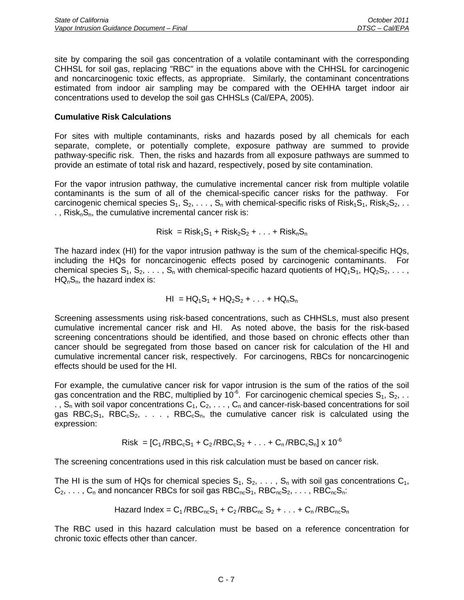site by comparing the soil gas concentration of a volatile contaminant with the corresponding CHHSL for soil gas, replacing "RBC" in the equations above with the CHHSL for carcinogenic and noncarcinogenic toxic effects, as appropriate. Similarly, the contaminant concentrations estimated from indoor air sampling may be compared with the OEHHA target indoor air concentrations used to develop the soil gas CHHSLs (Cal/EPA, 2005).

## **Cumulative Risk Calculations**

For sites with multiple contaminants, risks and hazards posed by all chemicals for each separate, complete, or potentially complete, exposure pathway are summed to provide pathway-specific risk. Then, the risks and hazards from all exposure pathways are summed to provide an estimate of total risk and hazard, respectively, posed by site contamination.

For the vapor intrusion pathway, the cumulative incremental cancer risk from multiple volatile contaminants is the sum of all of the chemical-specific cancer risks for the pathway. For carcinogenic chemical species  $S_1, S_2, \ldots, S_n$  with chemical-specific risks of Risk<sub>1</sub>S<sub>1</sub>, Risk<sub>2</sub>S<sub>2</sub>, . . .,  $Risk<sub>n</sub>S<sub>n</sub>$ , the cumulative incremental cancer risk is:

 $Risk = Risk<sub>1</sub>S<sub>1</sub> + Risk<sub>2</sub>S<sub>2</sub> + ... + Risk<sub>n</sub>S<sub>n</sub>$ 

The hazard index (HI) for the vapor intrusion pathway is the sum of the chemical-specific HQs, including the HQs for noncarcinogenic effects posed by carcinogenic contaminants. For chemical species  $S_1, S_2, \ldots, S_n$  with chemical-specific hazard quotients of  $HQ_1S_1, HQ_2S_2, \ldots$ ,  $HQ<sub>n</sub>S<sub>n</sub>$ , the hazard index is:

$$
HI = HQ_1S_1 + HQ_2S_2 + ... + HQ_nS_n
$$

Screening assessments using risk-based concentrations, such as CHHSLs, must also present cumulative incremental cancer risk and HI. As noted above, the basis for the risk-based screening concentrations should be identified, and those based on chronic effects other than cancer should be segregated from those based on cancer risk for calculation of the HI and cumulative incremental cancer risk, respectively. For carcinogens, RBCs for noncarcinogenic effects should be used for the HI.

For example, the cumulative cancer risk for vapor intrusion is the sum of the ratios of the soil gas concentration and the RBC, multiplied by 10<sup>-6</sup>. For carcinogenic chemical species  $S_1, S_2, \ldots$  $\tilde{S}_n$  with soil vapor concentrations  $C_1, C_2, \ldots, C_n$  and cancer-risk-based concentrations for soil gas RBC<sub>c</sub>S<sub>1</sub>, RBC<sub>c</sub>S<sub>2</sub>, . . . , RBC<sub>c</sub>S<sub>n</sub>, the cumulative cancer risk is calculated using the expression:

 $Risk = [C_1 / RBC_cS_1 + C_2 / RBC_cS_2 + ... + C_n / RBC_cS_n] \times 10^{-6}$ 

The screening concentrations used in this risk calculation must be based on cancer risk.

The HI is the sum of HQs for chemical species  $S_1, S_2, \ldots, S_n$  with soil gas concentrations  $C_1$ ,  $C_2, \ldots, C_n$  and noncancer RBCs for soil gas  $RBC_{nc}S_1, RBC_{nc}S_2, \ldots, RBC_{nc}S_n$ :

$$
Hazard Index = C_1/RBC_{nc}S_1 + C_2/RBC_{nc}S_2 + ... + C_n/RBC_{nc}S_n
$$

The RBC used in this hazard calculation must be based on a reference concentration for chronic toxic effects other than cancer.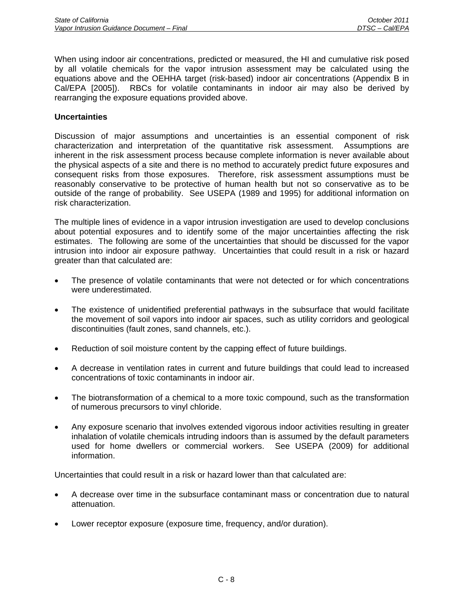When using indoor air concentrations, predicted or measured, the HI and cumulative risk posed by all volatile chemicals for the vapor intrusion assessment may be calculated using the equations above and the OEHHA target (risk-based) indoor air concentrations (Appendix B in Cal/EPA [2005]). RBCs for volatile contaminants in indoor air may also be derived by rearranging the exposure equations provided above.

#### **Uncertainties**

Discussion of major assumptions and uncertainties is an essential component of risk characterization and interpretation of the quantitative risk assessment. Assumptions are inherent in the risk assessment process because complete information is never available about the physical aspects of a site and there is no method to accurately predict future exposures and consequent risks from those exposures. Therefore, risk assessment assumptions must be reasonably conservative to be protective of human health but not so conservative as to be outside of the range of probability. See USEPA (1989 and 1995) for additional information on risk characterization.

The multiple lines of evidence in a vapor intrusion investigation are used to develop conclusions about potential exposures and to identify some of the major uncertainties affecting the risk estimates. The following are some of the uncertainties that should be discussed for the vapor intrusion into indoor air exposure pathway. Uncertainties that could result in a risk or hazard greater than that calculated are:

- The presence of volatile contaminants that were not detected or for which concentrations were underestimated.
- The existence of unidentified preferential pathways in the subsurface that would facilitate the movement of soil vapors into indoor air spaces, such as utility corridors and geological discontinuities (fault zones, sand channels, etc.).
- Reduction of soil moisture content by the capping effect of future buildings.
- A decrease in ventilation rates in current and future buildings that could lead to increased concentrations of toxic contaminants in indoor air.
- The biotransformation of a chemical to a more toxic compound, such as the transformation of numerous precursors to vinyl chloride.
- Any exposure scenario that involves extended vigorous indoor activities resulting in greater inhalation of volatile chemicals intruding indoors than is assumed by the default parameters used for home dwellers or commercial workers. See USEPA (2009) for additional information.

Uncertainties that could result in a risk or hazard lower than that calculated are:

- A decrease over time in the subsurface contaminant mass or concentration due to natural attenuation.
- Lower receptor exposure (exposure time, frequency, and/or duration).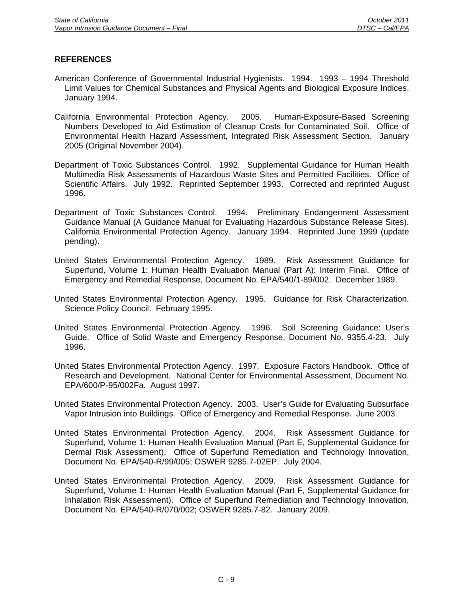- American Conference of Governmental Industrial Hygienists. 1994. 1993 1994 Threshold Limit Values for Chemical Substances and Physical Agents and Biological Exposure Indices. January 1994.
- California Environmental Protection Agency. 2005. Human-Exposure-Based Screening Numbers Developed to Aid Estimation of Cleanup Costs for Contaminated Soil. Office of Environmental Health Hazard Assessment, Integrated Risk Assessment Section. January 2005 (Original November 2004).
- Department of Toxic Substances Control. 1992. Supplemental Guidance for Human Health Multimedia Risk Assessments of Hazardous Waste Sites and Permitted Facilities. Office of Scientific Affairs. July 1992. Reprinted September 1993. Corrected and reprinted August 1996.
- Department of Toxic Substances Control. 1994. Preliminary Endangerment Assessment Guidance Manual (A Guidance Manual for Evaluating Hazardous Substance Release Sites). California Environmental Protection Agency. January 1994. Reprinted June 1999 (update pending).
- United States Environmental Protection Agency. 1989. Risk Assessment Guidance for Superfund, Volume 1: Human Health Evaluation Manual (Part A); Interim Final. Office of Emergency and Remedial Response, Document No. EPA/540/1-89/002. December 1989.
- United States Environmental Protection Agency. 1995. Guidance for Risk Characterization. Science Policy Council. February 1995.
- United States Environmental Protection Agency. 1996. Soil Screening Guidance: User's Guide. Office of Solid Waste and Emergency Response, Document No. 9355.4-23. July 1996.
- United States Environmental Protection Agency. 1997. Exposure Factors Handbook. Office of Research and Development. National Center for Environmental Assessment, Document No. EPA/600/P-95/002Fa. August 1997.
- United States Environmental Protection Agency. 2003. User's Guide for Evaluating Subsurface Vapor Intrusion into Buildings. Office of Emergency and Remedial Response. June 2003.
- United States Environmental Protection Agency. 2004. Risk Assessment Guidance for Superfund, Volume 1: Human Health Evaluation Manual (Part E, Supplemental Guidance for Dermal Risk Assessment). Office of Superfund Remediation and Technology Innovation, Document No. EPA/540-R/99/005; OSWER 9285.7-02EP. July 2004.
- United States Environmental Protection Agency. 2009. Risk Assessment Guidance for Superfund, Volume 1: Human Health Evaluation Manual (Part F, Supplemental Guidance for Inhalation Risk Assessment). Office of Superfund Remediation and Technology Innovation, Document No. EPA/540-R/070/002; OSWER 9285.7-82. January 2009.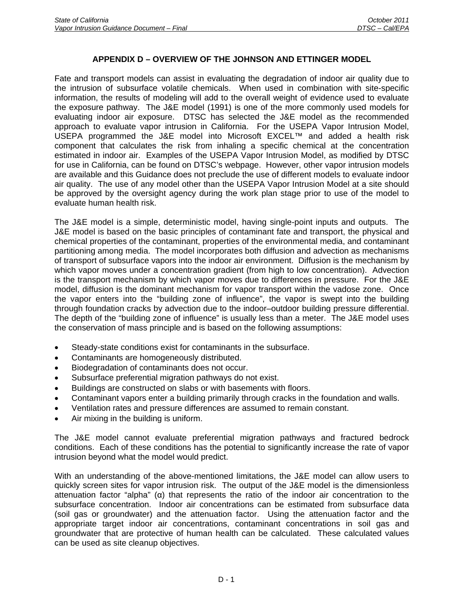## **APPENDIX D – OVERVIEW OF THE JOHNSON AND ETTINGER MODEL**

Fate and transport models can assist in evaluating the degradation of indoor air quality due to the intrusion of subsurface volatile chemicals. When used in combination with site-specific information, the results of modeling will add to the overall weight of evidence used to evaluate the exposure pathway. The J&E model (1991) is one of the more commonly used models for evaluating indoor air exposure. DTSC has selected the J&E model as the recommended approach to evaluate vapor intrusion in California. For the USEPA Vapor Intrusion Model, USEPA programmed the J&E model into Microsoft EXCEL™ and added a health risk component that calculates the risk from inhaling a specific chemical at the concentration estimated in indoor air. Examples of the USEPA Vapor Intrusion Model, as modified by DTSC for use in California, can be found on DTSC's webpage. However, other vapor intrusion models are available and this Guidance does not preclude the use of different models to evaluate indoor air quality. The use of any model other than the USEPA Vapor Intrusion Model at a site should be approved by the oversight agency during the work plan stage prior to use of the model to evaluate human health risk.

The J&E model is a simple, deterministic model, having single-point inputs and outputs. The J&E model is based on the basic principles of contaminant fate and transport, the physical and chemical properties of the contaminant, properties of the environmental media, and contaminant partitioning among media. The model incorporates both diffusion and advection as mechanisms of transport of subsurface vapors into the indoor air environment. Diffusion is the mechanism by which vapor moves under a concentration gradient (from high to low concentration). Advection is the transport mechanism by which vapor moves due to differences in pressure. For the J&E model, diffusion is the dominant mechanism for vapor transport within the vadose zone. Once the vapor enters into the "building zone of influence", the vapor is swept into the building through foundation cracks by advection due to the indoor–outdoor building pressure differential. The depth of the "building zone of influence" is usually less than a meter. The J&E model uses the conservation of mass principle and is based on the following assumptions:

- Steady-state conditions exist for contaminants in the subsurface.
- Contaminants are homogeneously distributed.
- Biodegradation of contaminants does not occur.
- Subsurface preferential migration pathways do not exist.
- Buildings are constructed on slabs or with basements with floors.
- Contaminant vapors enter a building primarily through cracks in the foundation and walls.
- Ventilation rates and pressure differences are assumed to remain constant.
- Air mixing in the building is uniform.

The J&E model cannot evaluate preferential migration pathways and fractured bedrock conditions. Each of these conditions has the potential to significantly increase the rate of vapor intrusion beyond what the model would predict.

With an understanding of the above-mentioned limitations, the J&E model can allow users to quickly screen sites for vapor intrusion risk. The output of the J&E model is the dimensionless attenuation factor "alpha" (α) that represents the ratio of the indoor air concentration to the subsurface concentration. Indoor air concentrations can be estimated from subsurface data (soil gas or groundwater) and the attenuation factor. Using the attenuation factor and the appropriate target indoor air concentrations, contaminant concentrations in soil gas and groundwater that are protective of human health can be calculated. These calculated values can be used as site cleanup objectives.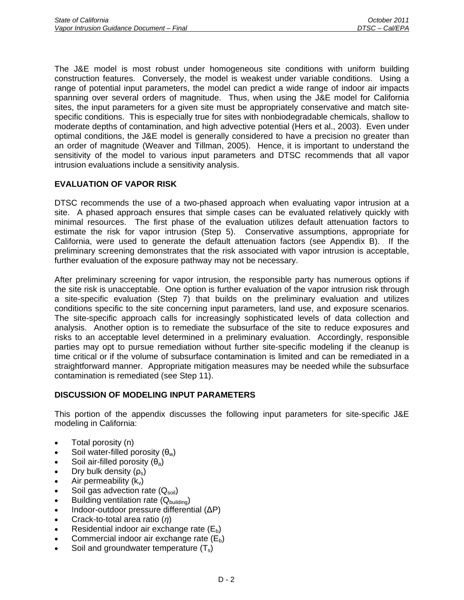The J&E model is most robust under homogeneous site conditions with uniform building construction features. Conversely, the model is weakest under variable conditions. Using a range of potential input parameters, the model can predict a wide range of indoor air impacts spanning over several orders of magnitude. Thus, when using the J&E model for California sites, the input parameters for a given site must be appropriately conservative and match sitespecific conditions. This is especially true for sites with nonbiodegradable chemicals, shallow to moderate depths of contamination, and high advective potential (Hers et al., 2003). Even under optimal conditions, the J&E model is generally considered to have a precision no greater than an order of magnitude (Weaver and Tillman, 2005). Hence, it is important to understand the sensitivity of the model to various input parameters and DTSC recommends that all vapor intrusion evaluations include a sensitivity analysis.

# **EVALUATION OF VAPOR RISK**

DTSC recommends the use of a two-phased approach when evaluating vapor intrusion at a site. A phased approach ensures that simple cases can be evaluated relatively quickly with minimal resources. The first phase of the evaluation utilizes default attenuation factors to estimate the risk for vapor intrusion (Step 5). Conservative assumptions, appropriate for California, were used to generate the default attenuation factors (see Appendix B). If the preliminary screening demonstrates that the risk associated with vapor intrusion is acceptable, further evaluation of the exposure pathway may not be necessary.

After preliminary screening for vapor intrusion, the responsible party has numerous options if the site risk is unacceptable. One option is further evaluation of the vapor intrusion risk through a site-specific evaluation (Step 7) that builds on the preliminary evaluation and utilizes conditions specific to the site concerning input parameters, land use, and exposure scenarios. The site-specific approach calls for increasingly sophisticated levels of data collection and analysis. Another option is to remediate the subsurface of the site to reduce exposures and risks to an acceptable level determined in a preliminary evaluation. Accordingly, responsible parties may opt to pursue remediation without further site-specific modeling if the cleanup is time critical or if the volume of subsurface contamination is limited and can be remediated in a straightforward manner. Appropriate mitigation measures may be needed while the subsurface contamination is remediated (see Step 11).

## **DISCUSSION OF MODELING INPUT PARAMETERS**

This portion of the appendix discusses the following input parameters for site-specific J&E modeling in California:

- Total porosity (n)
- Soil water-filled porosity  $(\theta_w)$
- Soil air-filled porosity  $(\theta_a)$
- Dry bulk density  $(\rho_s)$
- Air permeability  $(k_v)$
- Soil gas advection rate  $(Q_{\text{soil}})$
- Building ventilation rate  $(Q_{\text{building}})$
- Indoor-outdoor pressure differential (ΔP)
- Crack-to-total area ratio (*η*)
- Residential indoor air exchange rate  $(E_b)$
- Commercial indoor air exchange rate  $(E_b)$
- Soil and groundwater temperature  $(T<sub>s</sub>)$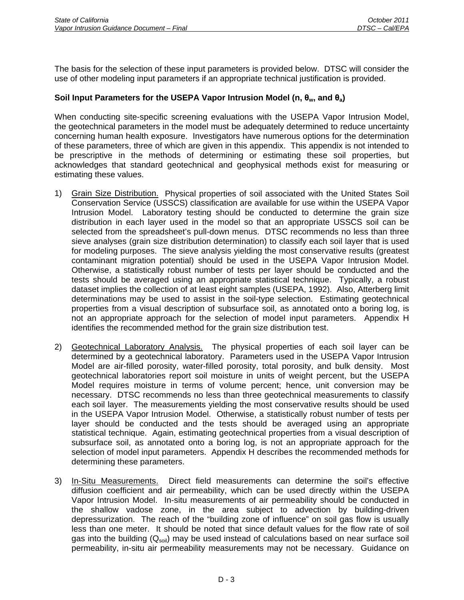The basis for the selection of these input parameters is provided below. DTSC will consider the use of other modeling input parameters if an appropriate technical justification is provided.

# **Soil Input Parameters for the USEPA Vapor Intrusion Model (n, θw, and θa)**

When conducting site-specific screening evaluations with the USEPA Vapor Intrusion Model, the geotechnical parameters in the model must be adequately determined to reduce uncertainty concerning human health exposure. Investigators have numerous options for the determination of these parameters, three of which are given in this appendix. This appendix is not intended to be prescriptive in the methods of determining or estimating these soil properties, but acknowledges that standard geotechnical and geophysical methods exist for measuring or estimating these values.

- 1) Grain Size Distribution. Physical properties of soil associated with the United States Soil Conservation Service (USSCS) classification are available for use within the USEPA Vapor Intrusion Model. Laboratory testing should be conducted to determine the grain size distribution in each layer used in the model so that an appropriate USSCS soil can be selected from the spreadsheet's pull-down menus. DTSC recommends no less than three sieve analyses (grain size distribution determination) to classify each soil layer that is used for modeling purposes. The sieve analysis yielding the most conservative results (greatest contaminant migration potential) should be used in the USEPA Vapor Intrusion Model. Otherwise, a statistically robust number of tests per layer should be conducted and the tests should be averaged using an appropriate statistical technique. Typically, a robust dataset implies the collection of at least eight samples (USEPA, 1992). Also, Atterberg limit determinations may be used to assist in the soil-type selection. Estimating geotechnical properties from a visual description of subsurface soil, as annotated onto a boring log, is not an appropriate approach for the selection of model input parameters. Appendix H identifies the recommended method for the grain size distribution test.
- 2) Geotechnical Laboratory Analysis. The physical properties of each soil layer can be determined by a geotechnical laboratory. Parameters used in the USEPA Vapor Intrusion Model are air-filled porosity, water-filled porosity, total porosity, and bulk density. Most geotechnical laboratories report soil moisture in units of weight percent, but the USEPA Model requires moisture in terms of volume percent; hence, unit conversion may be necessary. DTSC recommends no less than three geotechnical measurements to classify each soil layer. The measurements yielding the most conservative results should be used in the USEPA Vapor Intrusion Model. Otherwise, a statistically robust number of tests per layer should be conducted and the tests should be averaged using an appropriate statistical technique. Again, estimating geotechnical properties from a visual description of subsurface soil, as annotated onto a boring log, is not an appropriate approach for the selection of model input parameters. Appendix H describes the recommended methods for determining these parameters.
- 3) In-Situ Measurements. Direct field measurements can determine the soil's effective diffusion coefficient and air permeability, which can be used directly within the USEPA Vapor Intrusion Model. In-situ measurements of air permeability should be conducted in the shallow vadose zone, in the area subject to advection by building-driven depressurization. The reach of the "building zone of influence" on soil gas flow is usually less than one meter. It should be noted that since default values for the flow rate of soil gas into the building  $(Q_{soli})$  may be used instead of calculations based on near surface soil permeability, in-situ air permeability measurements may not be necessary. Guidance on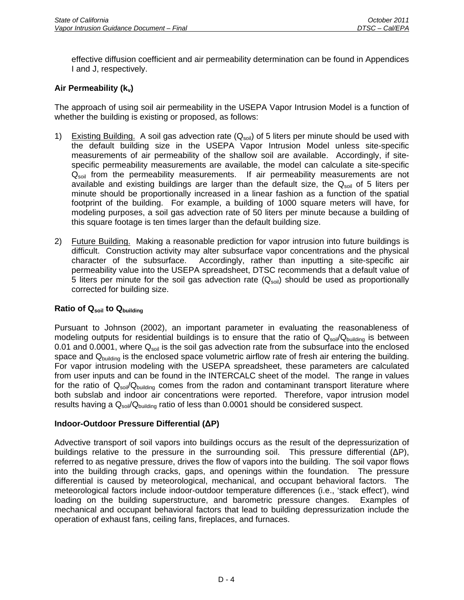effective diffusion coefficient and air permeability determination can be found in Appendices I and J, respectively.

# Air Permeability (k<sub>v</sub>)

The approach of using soil air permeability in the USEPA Vapor Intrusion Model is a function of whether the building is existing or proposed, as follows:

- 1) Existing Building. A soil gas advection rate  $(Q_{soli})$  of 5 liters per minute should be used with the default building size in the USEPA Vapor Intrusion Model unless site-specific measurements of air permeability of the shallow soil are available. Accordingly, if sitespecific permeability measurements are available, the model can calculate a site-specific  $Q_{\text{solid}}$  from the permeability measurements. If air permeability measurements are not available and existing buildings are larger than the default size, the  $Q_{sol}$  of 5 liters per minute should be proportionally increased in a linear fashion as a function of the spatial footprint of the building. For example, a building of 1000 square meters will have, for modeling purposes, a soil gas advection rate of 50 liters per minute because a building of this square footage is ten times larger than the default building size.
- 2) Future Building. Making a reasonable prediction for vapor intrusion into future buildings is difficult. Construction activity may alter subsurface vapor concentrations and the physical character of the subsurface. Accordingly, rather than inputting a site-specific air permeability value into the USEPA spreadsheet, DTSC recommends that a default value of 5 liters per minute for the soil gas advection rate  $(Q<sub>soil</sub>)$  should be used as proportionally corrected for building size.

## **Ratio of Qsoil to Qbuilding**

Pursuant to Johnson (2002), an important parameter in evaluating the reasonableness of modeling outputs for residential buildings is to ensure that the ratio of  $Q_{\text{solid}}/Q_{\text{building}}$  is between 0.01 and 0.0001, where  $Q_{soli}$  is the soil gas advection rate from the subsurface into the enclosed space and  $Q<sub>building</sub>$  is the enclosed space volumetric airflow rate of fresh air entering the building. For vapor intrusion modeling with the USEPA spreadsheet, these parameters are calculated from user inputs and can be found in the INTERCALC sheet of the model. The range in values for the ratio of  $Q_{soi}/Q_{building}$  comes from the radon and contaminant transport literature where both subslab and indoor air concentrations were reported. Therefore, vapor intrusion model results having a  $Q_{sol}/Q_{building}$  ratio of less than 0.0001 should be considered suspect.

## **Indoor-Outdoor Pressure Differential (ΔP)**

Advective transport of soil vapors into buildings occurs as the result of the depressurization of buildings relative to the pressure in the surrounding soil. This pressure differential (ΔP), referred to as negative pressure, drives the flow of vapors into the building. The soil vapor flows into the building through cracks, gaps, and openings within the foundation. The pressure differential is caused by meteorological, mechanical, and occupant behavioral factors. The meteorological factors include indoor-outdoor temperature differences (i.e., 'stack effect'), wind loading on the building superstructure, and barometric pressure changes. Examples of mechanical and occupant behavioral factors that lead to building depressurization include the operation of exhaust fans, ceiling fans, fireplaces, and furnaces.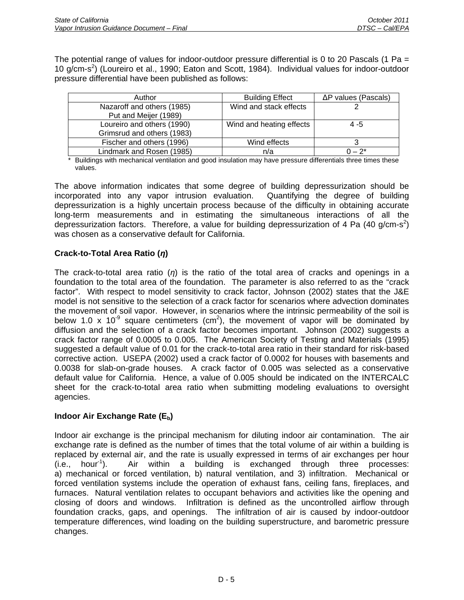The potential range of values for indoor-outdoor pressure differential is 0 to 20 Pascals (1 Pa  $=$ 10 g/cm-s<sup>2</sup>) (Loureiro et al., 1990; Eaton and Scott, 1984). Individual values for indoor-outdoor pressure differential have been published as follows:

| Author                     | <b>Building Effect</b>   | $\Delta P$ values (Pascals) |
|----------------------------|--------------------------|-----------------------------|
| Nazaroff and others (1985) | Wind and stack effects   |                             |
| Put and Meijer (1989)      |                          |                             |
| Loureiro and others (1990) | Wind and heating effects | 4 - 5                       |
| Grimsrud and others (1983) |                          |                             |
| Fischer and others (1996)  | Wind effects             |                             |
| Lindmark and Rosen (1985)  | n/a                      | $0 - 2^{*}$                 |

\* Buildings with mechanical ventilation and good insulation may have pressure differentials three times these values.

The above information indicates that some degree of building depressurization should be incorporated into any vapor intrusion evaluation. Quantifying the degree of building depressurization is a highly uncertain process because of the difficulty in obtaining accurate long-term measurements and in estimating the simultaneous interactions of all the depressurization factors. Therefore, a value for building depressurization of 4 Pa (40 g/cm-s<sup>2</sup>) was chosen as a conservative default for California.

# **Crack-to-Total Area Ratio (***η***)**

The crack-to-total area ratio (*η*) is the ratio of the total area of cracks and openings in a foundation to the total area of the foundation. The parameter is also referred to as the "crack factor". With respect to model sensitivity to crack factor, Johnson (2002) states that the J&E model is not sensitive to the selection of a crack factor for scenarios where advection dominates the movement of soil vapor. However, in scenarios where the intrinsic permeability of the soil is below 1.0 x 10<sup>-9</sup> square centimeters (cm<sup>2</sup>), the movement of vapor will be dominated by diffusion and the selection of a crack factor becomes important. Johnson (2002) suggests a crack factor range of 0.0005 to 0.005. The American Society of Testing and Materials (1995) suggested a default value of 0.01 for the crack-to-total area ratio in their standard for risk-based corrective action. USEPA (2002) used a crack factor of 0.0002 for houses with basements and 0.0038 for slab-on-grade houses. A crack factor of 0.005 was selected as a conservative default value for California. Hence, a value of 0.005 should be indicated on the INTERCALC sheet for the crack-to-total area ratio when submitting modeling evaluations to oversight agencies.

## **Indoor Air Exchange Rate (Eb)**

Indoor air exchange is the principal mechanism for diluting indoor air contamination. The air exchange rate is defined as the number of times that the total volume of air within a building is replaced by external air, and the rate is usually expressed in terms of air exchanges per hour  $(i.e., hour<sup>-1</sup>)$ . Air within a building is exchanged through three processes: a) mechanical or forced ventilation, b) natural ventilation, and 3) infiltration. Mechanical or forced ventilation systems include the operation of exhaust fans, ceiling fans, fireplaces, and furnaces. Natural ventilation relates to occupant behaviors and activities like the opening and closing of doors and windows. Infiltration is defined as the uncontrolled airflow through foundation cracks, gaps, and openings. The infiltration of air is caused by indoor-outdoor temperature differences, wind loading on the building superstructure, and barometric pressure changes.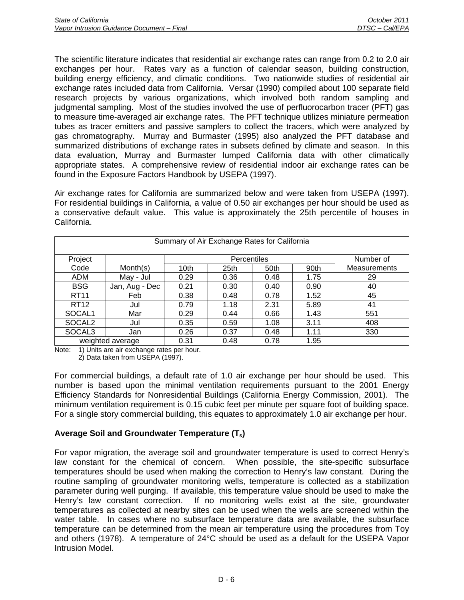The scientific literature indicates that residential air exchange rates can range from 0.2 to 2.0 air exchanges per hour. Rates vary as a function of calendar season, building construction, building energy efficiency, and climatic conditions. Two nationwide studies of residential air exchange rates included data from California. Versar (1990) compiled about 100 separate field research projects by various organizations, which involved both random sampling and judgmental sampling. Most of the studies involved the use of perfluorocarbon tracer (PFT) gas to measure time-averaged air exchange rates. The PFT technique utilizes miniature permeation tubes as tracer emitters and passive samplers to collect the tracers, which were analyzed by gas chromatography. Murray and Burmaster (1995) also analyzed the PFT database and summarized distributions of exchange rates in subsets defined by climate and season. In this data evaluation, Murray and Burmaster lumped California data with other climatically appropriate states. A comprehensive review of residential indoor air exchange rates can be found in the Exposure Factors Handbook by USEPA (1997).

Air exchange rates for California are summarized below and were taken from USEPA (1997). For residential buildings in California, a value of 0.50 air exchanges per hour should be used as a conservative default value. This value is approximately the 25th percentile of houses in California.

|                    |                |      | Summary of Air Exchange Rates for California |           |      |                     |
|--------------------|----------------|------|----------------------------------------------|-----------|------|---------------------|
| Project            | Percentiles    |      |                                              | Number of |      |                     |
| Code               | Month(s)       | 10th | 25th                                         | 50th      | 90th | <b>Measurements</b> |
| ADM                | May - Jul      | 0.29 | 0.36                                         | 0.48      | 1.75 | 29                  |
| <b>BSG</b>         | Jan, Aug - Dec | 0.21 | 0.30                                         | 0.40      | 0.90 | 40                  |
| <b>RT11</b>        | Feb            | 0.38 | 0.48                                         | 0.78      | 1.52 | 45                  |
| RT <sub>12</sub>   | Jul            | 0.79 | 1.18                                         | 2.31      | 5.89 | 41                  |
| SOCAL <sub>1</sub> | Mar            | 0.29 | 0.44                                         | 0.66      | 1.43 | 551                 |
| SOCAL <sub>2</sub> | Jul            | 0.35 | 0.59                                         | 1.08      | 3.11 | 408                 |
| SOCAL <sub>3</sub> | Jan            | 0.26 | 0.37                                         | 0.48      | 1.11 | 330                 |
| weighted average   |                | 0.31 | 0.48                                         | 0.78      | 1.95 |                     |

Note: 1) Units are air exchange rates per hour.

2) Data taken from USEPA (1997).

For commercial buildings, a default rate of 1.0 air exchange per hour should be used. This number is based upon the minimal ventilation requirements pursuant to the 2001 Energy Efficiency Standards for Nonresidential Buildings (California Energy Commission, 2001). The minimum ventilation requirement is 0.15 cubic feet per minute per square foot of building space. For a single story commercial building, this equates to approximately 1.0 air exchange per hour.

# **Average Soil and Groundwater Temperature (Ts)**

For vapor migration, the average soil and groundwater temperature is used to correct Henry's law constant for the chemical of concern. When possible, the site-specific subsurface temperatures should be used when making the correction to Henry's law constant. During the routine sampling of groundwater monitoring wells, temperature is collected as a stabilization parameter during well purging. If available, this temperature value should be used to make the Henry's law constant correction. If no monitoring wells exist at the site, groundwater temperatures as collected at nearby sites can be used when the wells are screened within the water table. In cases where no subsurface temperature data are available, the subsurface temperature can be determined from the mean air temperature using the procedures from Toy and others (1978). A temperature of 24°C should be used as a default for the USEPA Vapor Intrusion Model.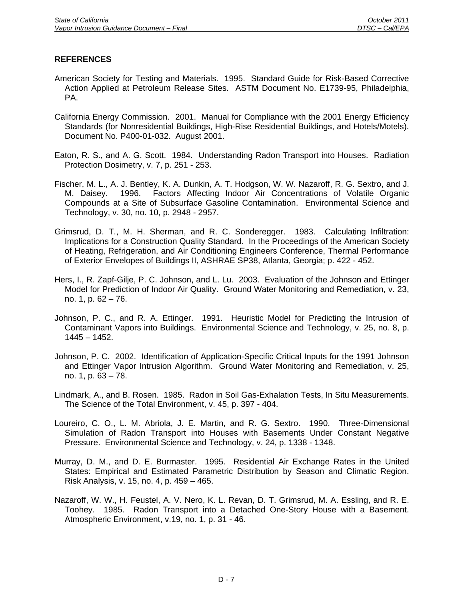- American Society for Testing and Materials. 1995. Standard Guide for Risk-Based Corrective Action Applied at Petroleum Release Sites. ASTM Document No. E1739-95, Philadelphia, PA.
- California Energy Commission. 2001. Manual for Compliance with the 2001 Energy Efficiency Standards (for Nonresidential Buildings, High-Rise Residential Buildings, and Hotels/Motels). Document No. P400-01-032. August 2001.
- Eaton, R. S., and A. G. Scott. 1984. Understanding Radon Transport into Houses. Radiation Protection Dosimetry, v. 7, p. 251 - 253.
- Fischer, M. L., A. J. Bentley, K. A. Dunkin, A. T. Hodgson, W. W. Nazaroff, R. G. Sextro, and J. M. Daisey. 1996. Factors Affecting Indoor Air Concentrations of Volatile Organic Compounds at a Site of Subsurface Gasoline Contamination. Environmental Science and Technology, v. 30, no. 10, p. 2948 - 2957.
- Grimsrud, D. T., M. H. Sherman, and R. C. Sonderegger. 1983. Calculating Infiltration: Implications for a Construction Quality Standard. In the Proceedings of the American Society of Heating, Refrigeration, and Air Conditioning Engineers Conference, Thermal Performance of Exterior Envelopes of Buildings II, ASHRAE SP38, Atlanta, Georgia; p. 422 - 452.
- Hers, I., R. Zapf-Gilje, P. C. Johnson, and L. Lu. 2003. Evaluation of the Johnson and Ettinger Model for Prediction of Indoor Air Quality. Ground Water Monitoring and Remediation, v. 23, no. 1, p. 62 – 76.
- Johnson, P. C., and R. A. Ettinger. 1991. Heuristic Model for Predicting the Intrusion of Contaminant Vapors into Buildings. Environmental Science and Technology, v. 25, no. 8, p. 1445 – 1452.
- Johnson, P. C. 2002. Identification of Application-Specific Critical Inputs for the 1991 Johnson and Ettinger Vapor Intrusion Algorithm. Ground Water Monitoring and Remediation, v. 25, no. 1, p. 63 – 78.
- Lindmark, A., and B. Rosen. 1985. Radon in Soil Gas-Exhalation Tests, In Situ Measurements. The Science of the Total Environment, v. 45, p. 397 - 404.
- Loureiro, C. O., L. M. Abriola, J. E. Martin, and R. G. Sextro. 1990. Three-Dimensional Simulation of Radon Transport into Houses with Basements Under Constant Negative Pressure. Environmental Science and Technology, v. 24, p. 1338 - 1348.
- Murray, D. M., and D. E. Burmaster. 1995. Residential Air Exchange Rates in the United States: Empirical and Estimated Parametric Distribution by Season and Climatic Region. Risk Analysis, v. 15, no. 4, p. 459 – 465.
- Nazaroff, W. W., H. Feustel, A. V. Nero, K. L. Revan, D. T. Grimsrud, M. A. Essling, and R. E. Toohey. 1985. Radon Transport into a Detached One-Story House with a Basement. Atmospheric Environment, v.19, no. 1, p. 31 - 46.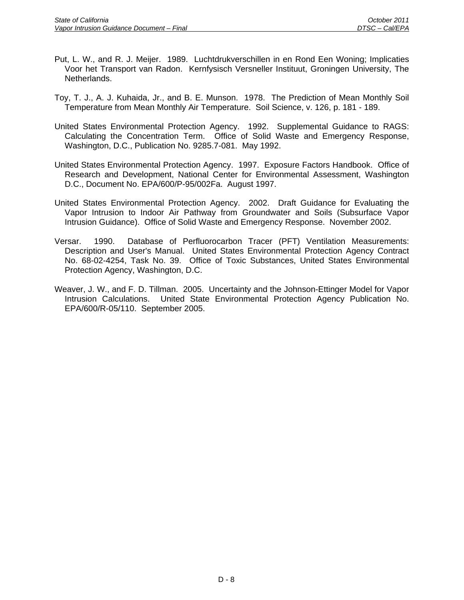- Put, L. W., and R. J. Meijer. 1989. Luchtdrukverschillen in en Rond Een Woning; Implicaties Voor het Transport van Radon. Kernfysisch Versneller Instituut, Groningen University, The Netherlands.
- Toy, T. J., A. J. Kuhaida, Jr., and B. E. Munson. 1978. The Prediction of Mean Monthly Soil Temperature from Mean Monthly Air Temperature. Soil Science, v. 126, p. 181 - 189.
- United States Environmental Protection Agency. 1992. Supplemental Guidance to RAGS: Calculating the Concentration Term. Office of Solid Waste and Emergency Response, Washington, D.C., Publication No. 9285.7-081. May 1992.
- United States Environmental Protection Agency. 1997. Exposure Factors Handbook. Office of Research and Development, National Center for Environmental Assessment, Washington D.C., Document No. EPA/600/P-95/002Fa. August 1997.
- United States Environmental Protection Agency. 2002. Draft Guidance for Evaluating the Vapor Intrusion to Indoor Air Pathway from Groundwater and Soils (Subsurface Vapor Intrusion Guidance). Office of Solid Waste and Emergency Response. November 2002.
- Versar. 1990. Database of Perfluorocarbon Tracer (PFT) Ventilation Measurements: Description and User's Manual. United States Environmental Protection Agency Contract No. 68-02-4254, Task No. 39. Office of Toxic Substances, United States Environmental Protection Agency, Washington, D.C.
- Weaver, J. W., and F. D. Tillman. 2005. Uncertainty and the Johnson-Ettinger Model for Vapor Intrusion Calculations. United State Environmental Protection Agency Publication No. EPA/600/R-05/110. September 2005.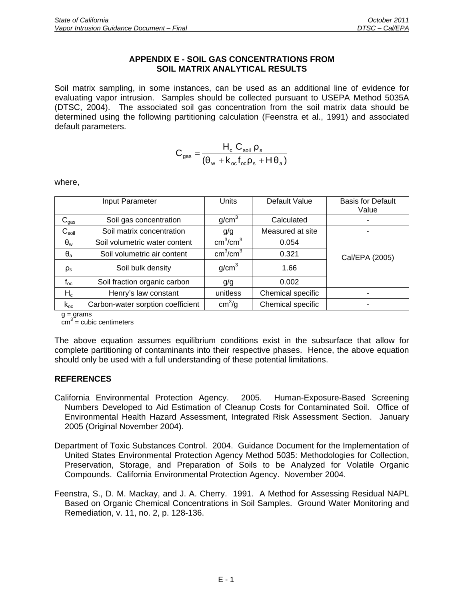#### **APPENDIX E - SOIL GAS CONCENTRATIONS FROM SOIL MATRIX ANALYTICAL RESULTS**

Soil matrix sampling, in some instances, can be used as an additional line of evidence for evaluating vapor intrusion. Samples should be collected pursuant to USEPA Method 5035A (DTSC, 2004). The associated soil gas concentration from the soil matrix data should be determined using the following partitioning calculation (Feenstra et al., 1991) and associated default parameters.

$$
C_{\text{gas}} = \frac{H_{\text{c}} C_{\text{soil}} \rho_{\text{s}}}{\left(\theta_{\text{w}} + k_{\text{oc}} f_{\text{oc}} \rho_{\text{s}} + H \theta_{\text{a}}\right)}
$$

where,

|                   | Input Parameter                   | <b>Units</b>                     | Default Value     | <b>Basis for Default</b><br>Value |
|-------------------|-----------------------------------|----------------------------------|-------------------|-----------------------------------|
| $C_{gas}$         | Soil gas concentration            | g/cm <sup>3</sup>                | Calculated        |                                   |
| $C_{\text{soil}}$ | Soil matrix concentration         | g/g                              | Measured at site  |                                   |
| $\theta_{w}$      | Soil volumetric water content     | cm <sup>3</sup> /cm <sup>3</sup> | 0.054             |                                   |
| $\theta_{a}$      | Soil volumetric air content       | $\text{cm}^3/\text{cm}^3$        | 0.321             | Cal/EPA (2005)                    |
| $\rho_{\rm s}$    | Soil bulk density                 | g/cm <sup>3</sup>                | 1.66              |                                   |
| $f_{oc}$          | Soil fraction organic carbon      | g/g                              | 0.002             |                                   |
| $H_c$             | Henry's law constant              | unitless                         | Chemical specific |                                   |
| $k_{oc}$          | Carbon-water sorption coefficient | cm <sup>3</sup> /g               | Chemical specific |                                   |

 $g = \frac{g}{\text{grams}}$ 

 $\text{cm}^3$  = cubic centimeters

The above equation assumes equilibrium conditions exist in the subsurface that allow for complete partitioning of contaminants into their respective phases. Hence, the above equation should only be used with a full understanding of these potential limitations.

- California Environmental Protection Agency. 2005. Human-Exposure-Based Screening Numbers Developed to Aid Estimation of Cleanup Costs for Contaminated Soil. Office of Environmental Health Hazard Assessment, Integrated Risk Assessment Section. January 2005 (Original November 2004).
- Department of Toxic Substances Control. 2004. Guidance Document for the Implementation of United States Environmental Protection Agency Method 5035: Methodologies for Collection, Preservation, Storage, and Preparation of Soils to be Analyzed for Volatile Organic Compounds. California Environmental Protection Agency. November 2004.
- Feenstra, S., D. M. Mackay, and J. A. Cherry. 1991. A Method for Assessing Residual NAPL Based on Organic Chemical Concentrations in Soil Samples. Ground Water Monitoring and Remediation, v. 11, no. 2, p. 128-136.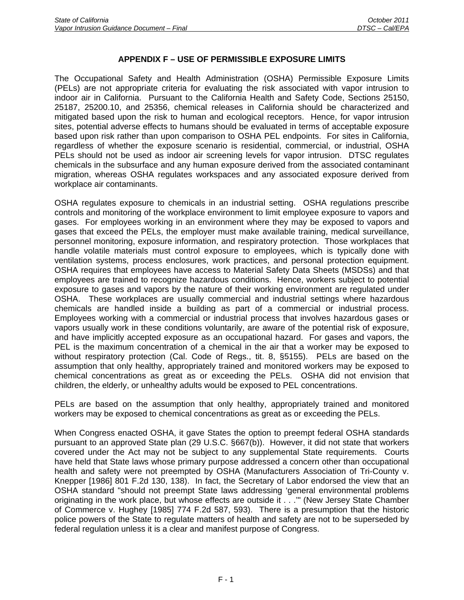## **APPENDIX F – USE OF PERMISSIBLE EXPOSURE LIMITS**

The Occupational Safety and Health Administration (OSHA) Permissible Exposure Limits (PELs) are not appropriate criteria for evaluating the risk associated with vapor intrusion to indoor air in California. Pursuant to the California Health and Safety Code, Sections 25150, 25187, 25200.10, and 25356, chemical releases in California should be characterized and mitigated based upon the risk to human and ecological receptors. Hence, for vapor intrusion sites, potential adverse effects to humans should be evaluated in terms of acceptable exposure based upon risk rather than upon comparison to OSHA PEL endpoints. For sites in California, regardless of whether the exposure scenario is residential, commercial, or industrial, OSHA PELs should not be used as indoor air screening levels for vapor intrusion. DTSC regulates chemicals in the subsurface and any human exposure derived from the associated contaminant migration, whereas OSHA regulates workspaces and any associated exposure derived from workplace air contaminants.

OSHA regulates exposure to chemicals in an industrial setting. OSHA regulations prescribe controls and monitoring of the workplace environment to limit employee exposure to vapors and gases. For employees working in an environment where they may be exposed to vapors and gases that exceed the PELs, the employer must make available training, medical surveillance, personnel monitoring, exposure information, and respiratory protection. Those workplaces that handle volatile materials must control exposure to employees, which is typically done with ventilation systems, process enclosures, work practices, and personal protection equipment. OSHA requires that employees have access to Material Safety Data Sheets (MSDSs) and that employees are trained to recognize hazardous conditions. Hence, workers subject to potential exposure to gases and vapors by the nature of their working environment are regulated under OSHA. These workplaces are usually commercial and industrial settings where hazardous chemicals are handled inside a building as part of a commercial or industrial process. Employees working with a commercial or industrial process that involves hazardous gases or vapors usually work in these conditions voluntarily, are aware of the potential risk of exposure, and have implicitly accepted exposure as an occupational hazard. For gases and vapors, the PEL is the maximum concentration of a chemical in the air that a worker may be exposed to without respiratory protection (Cal. Code of Regs., tit. 8, §5155). PELs are based on the assumption that only healthy, appropriately trained and monitored workers may be exposed to chemical concentrations as great as or exceeding the PELs. OSHA did not envision that children, the elderly, or unhealthy adults would be exposed to PEL concentrations.

PELs are based on the assumption that only healthy, appropriately trained and monitored workers may be exposed to chemical concentrations as great as or exceeding the PELs.

When Congress enacted OSHA, it gave States the option to preempt federal OSHA standards pursuant to an approved State plan (29 U.S.C. §667(b)). However, it did not state that workers covered under the Act may not be subject to any supplemental State requirements. Courts have held that State laws whose primary purpose addressed a concern other than occupational health and safety were not preempted by OSHA (Manufacturers Association of Tri-County v. Knepper [1986] 801 F.2d 130, 138). In fact, the Secretary of Labor endorsed the view that an OSHA standard "should not preempt State laws addressing 'general environmental problems originating in the work place, but whose effects are outside it . . .'" (New Jersey State Chamber of Commerce v. Hughey [1985] 774 F.2d 587, 593). There is a presumption that the historic police powers of the State to regulate matters of health and safety are not to be superseded by federal regulation unless it is a clear and manifest purpose of Congress.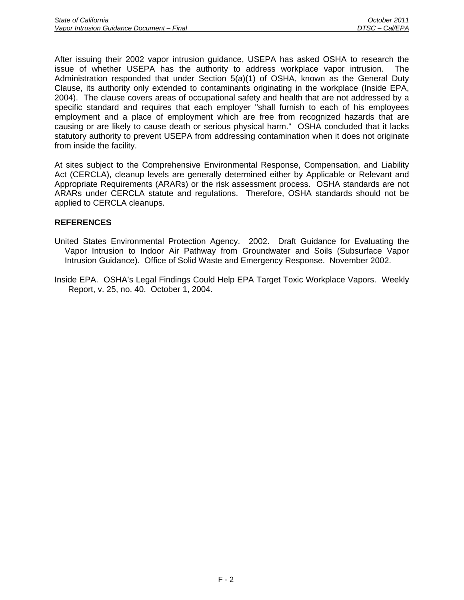After issuing their 2002 vapor intrusion guidance, USEPA has asked OSHA to research the issue of whether USEPA has the authority to address workplace vapor intrusion. The Administration responded that under Section 5(a)(1) of OSHA, known as the General Duty Clause, its authority only extended to contaminants originating in the workplace (Inside EPA, 2004). The clause covers areas of occupational safety and health that are not addressed by a specific standard and requires that each employer "shall furnish to each of his employees employment and a place of employment which are free from recognized hazards that are causing or are likely to cause death or serious physical harm." OSHA concluded that it lacks statutory authority to prevent USEPA from addressing contamination when it does not originate from inside the facility.

At sites subject to the Comprehensive Environmental Response, Compensation, and Liability Act (CERCLA), cleanup levels are generally determined either by Applicable or Relevant and Appropriate Requirements (ARARs) or the risk assessment process. OSHA standards are not ARARs under CERCLA statute and regulations. Therefore, OSHA standards should not be applied to CERCLA cleanups.

- United States Environmental Protection Agency. 2002. Draft Guidance for Evaluating the Vapor Intrusion to Indoor Air Pathway from Groundwater and Soils (Subsurface Vapor Intrusion Guidance). Office of Solid Waste and Emergency Response. November 2002.
- Inside EPA. OSHA's Legal Findings Could Help EPA Target Toxic Workplace Vapors. Weekly Report, v. 25, no. 40. October 1, 2004.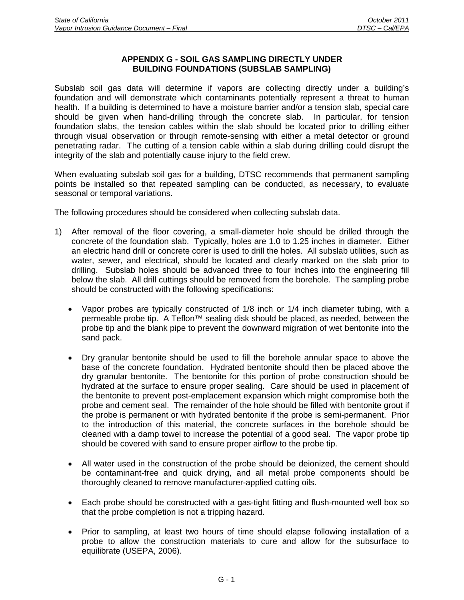#### **APPENDIX G - SOIL GAS SAMPLING DIRECTLY UNDER BUILDING FOUNDATIONS (SUBSLAB SAMPLING)**

Subslab soil gas data will determine if vapors are collecting directly under a building's foundation and will demonstrate which contaminants potentially represent a threat to human health. If a building is determined to have a moisture barrier and/or a tension slab, special care should be given when hand-drilling through the concrete slab. In particular, for tension foundation slabs, the tension cables within the slab should be located prior to drilling either through visual observation or through remote-sensing with either a metal detector or ground penetrating radar. The cutting of a tension cable within a slab during drilling could disrupt the integrity of the slab and potentially cause injury to the field crew.

When evaluating subslab soil gas for a building, DTSC recommends that permanent sampling points be installed so that repeated sampling can be conducted, as necessary, to evaluate seasonal or temporal variations.

The following procedures should be considered when collecting subslab data.

- 1) After removal of the floor covering, a small-diameter hole should be drilled through the concrete of the foundation slab. Typically, holes are 1.0 to 1.25 inches in diameter. Either an electric hand drill or concrete corer is used to drill the holes. All subslab utilities, such as water, sewer, and electrical, should be located and clearly marked on the slab prior to drilling. Subslab holes should be advanced three to four inches into the engineering fill below the slab. All drill cuttings should be removed from the borehole. The sampling probe should be constructed with the following specifications:
	- Vapor probes are typically constructed of 1/8 inch or 1/4 inch diameter tubing, with a permeable probe tip. A Teflon™ sealing disk should be placed, as needed, between the probe tip and the blank pipe to prevent the downward migration of wet bentonite into the sand pack.
	- Dry granular bentonite should be used to fill the borehole annular space to above the base of the concrete foundation. Hydrated bentonite should then be placed above the dry granular bentonite. The bentonite for this portion of probe construction should be hydrated at the surface to ensure proper sealing. Care should be used in placement of the bentonite to prevent post-emplacement expansion which might compromise both the probe and cement seal. The remainder of the hole should be filled with bentonite grout if the probe is permanent or with hydrated bentonite if the probe is semi-permanent. Prior to the introduction of this material, the concrete surfaces in the borehole should be cleaned with a damp towel to increase the potential of a good seal. The vapor probe tip should be covered with sand to ensure proper airflow to the probe tip.
	- All water used in the construction of the probe should be deionized, the cement should be contaminant-free and quick drying, and all metal probe components should be thoroughly cleaned to remove manufacturer-applied cutting oils.
	- Each probe should be constructed with a gas-tight fitting and flush-mounted well box so that the probe completion is not a tripping hazard.
	- Prior to sampling, at least two hours of time should elapse following installation of a probe to allow the construction materials to cure and allow for the subsurface to equilibrate (USEPA, 2006).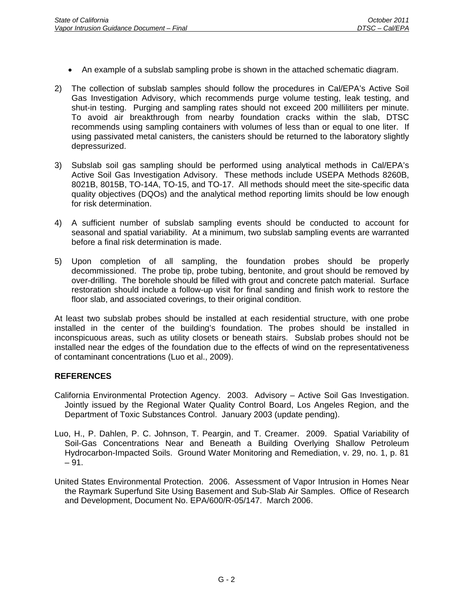- An example of a subslab sampling probe is shown in the attached schematic diagram.
- 2) The collection of subslab samples should follow the procedures in Cal/EPA's Active Soil Gas Investigation Advisory, which recommends purge volume testing, leak testing, and shut-in testing. Purging and sampling rates should not exceed 200 milliliters per minute. To avoid air breakthrough from nearby foundation cracks within the slab, DTSC recommends using sampling containers with volumes of less than or equal to one liter. If using passivated metal canisters, the canisters should be returned to the laboratory slightly depressurized.
- 3) Subslab soil gas sampling should be performed using analytical methods in Cal/EPA's Active Soil Gas Investigation Advisory. These methods include USEPA Methods 8260B, 8021B, 8015B, TO-14A, TO-15, and TO-17. All methods should meet the site-specific data quality objectives (DQOs) and the analytical method reporting limits should be low enough for risk determination.
- 4) A sufficient number of subslab sampling events should be conducted to account for seasonal and spatial variability. At a minimum, two subslab sampling events are warranted before a final risk determination is made.
- 5) Upon completion of all sampling, the foundation probes should be properly decommissioned. The probe tip, probe tubing, bentonite, and grout should be removed by over-drilling. The borehole should be filled with grout and concrete patch material. Surface restoration should include a follow-up visit for final sanding and finish work to restore the floor slab, and associated coverings, to their original condition.

At least two subslab probes should be installed at each residential structure, with one probe installed in the center of the building's foundation. The probes should be installed in inconspicuous areas, such as utility closets or beneath stairs. Subslab probes should not be installed near the edges of the foundation due to the effects of wind on the representativeness of contaminant concentrations (Luo et al., 2009).

- California Environmental Protection Agency. 2003. Advisory Active Soil Gas Investigation. Jointly issued by the Regional Water Quality Control Board, Los Angeles Region, and the Department of Toxic Substances Control. January 2003 (update pending).
- Luo, H., P. Dahlen, P. C. Johnson, T. Peargin, and T. Creamer. 2009. Spatial Variability of Soil-Gas Concentrations Near and Beneath a Building Overlying Shallow Petroleum Hydrocarbon-Impacted Soils. Ground Water Monitoring and Remediation, v. 29, no. 1, p. 81  $-91.$
- United States Environmental Protection. 2006. Assessment of Vapor Intrusion in Homes Near the Raymark Superfund Site Using Basement and Sub-Slab Air Samples. Office of Research and Development, Document No. EPA/600/R-05/147. March 2006.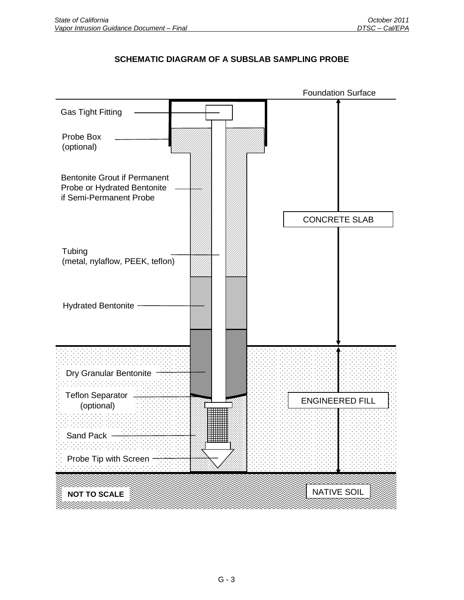# **SCHEMATIC DIAGRAM OF A SUBSLAB SAMPLING PROBE**

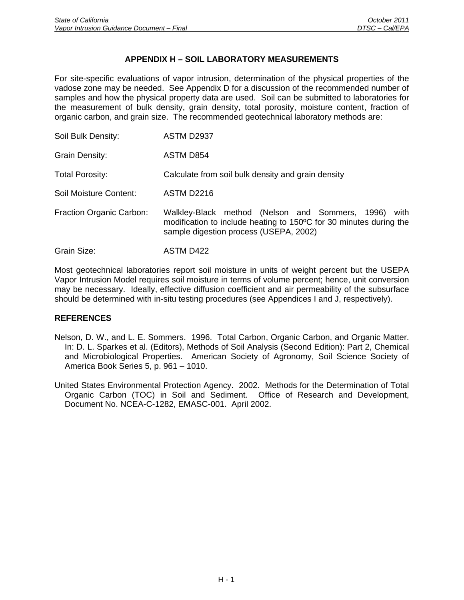## **APPENDIX H – SOIL LABORATORY MEASUREMENTS**

For site-specific evaluations of vapor intrusion, determination of the physical properties of the vadose zone may be needed. See Appendix D for a discussion of the recommended number of samples and how the physical property data are used. Soil can be submitted to laboratories for the measurement of bulk density, grain density, total porosity, moisture content, fraction of organic carbon, and grain size. The recommended geotechnical laboratory methods are:

| Soil Bulk Density:       | ASTM D2937                                                                                                                                                              |
|--------------------------|-------------------------------------------------------------------------------------------------------------------------------------------------------------------------|
| Grain Density:           | ASTM D854                                                                                                                                                               |
| <b>Total Porosity:</b>   | Calculate from soil bulk density and grain density                                                                                                                      |
| Soil Moisture Content:   | ASTM D2216                                                                                                                                                              |
| Fraction Organic Carbon: | Walkley-Black method (Nelson and Sommers, 1996)<br>with<br>modification to include heating to 150°C for 30 minutes during the<br>sample digestion process (USEPA, 2002) |
| Grain Size:              | ASTM D422                                                                                                                                                               |

Most geotechnical laboratories report soil moisture in units of weight percent but the USEPA Vapor Intrusion Model requires soil moisture in terms of volume percent; hence, unit conversion may be necessary. Ideally, effective diffusion coefficient and air permeability of the subsurface should be determined with in-situ testing procedures (see Appendices I and J, respectively).

- Nelson, D. W., and L. E. Sommers. 1996. Total Carbon, Organic Carbon, and Organic Matter. In: D. L. Sparkes et al. (Editors), Methods of Soil Analysis (Second Edition): Part 2, Chemical and Microbiological Properties. American Society of Agronomy, Soil Science Society of America Book Series 5, p. 961 – 1010.
- United States Environmental Protection Agency. 2002. Methods for the Determination of Total Organic Carbon (TOC) in Soil and Sediment. Office of Research and Development, Document No. NCEA-C-1282, EMASC-001. April 2002.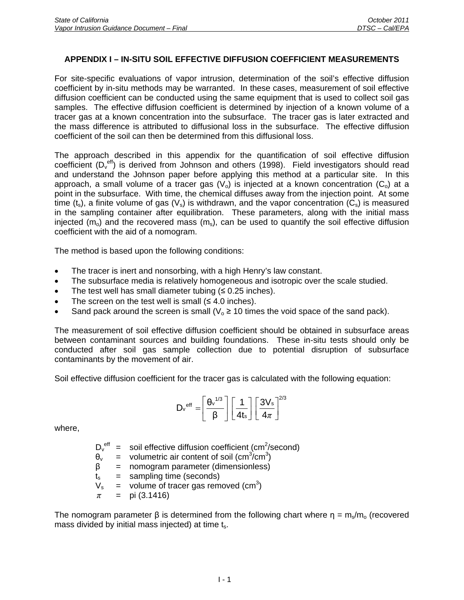## **APPENDIX I – IN-SITU SOIL EFFECTIVE DIFFUSION COEFFICIENT MEASUREMENTS**

For site-specific evaluations of vapor intrusion, determination of the soil's effective diffusion coefficient by in-situ methods may be warranted. In these cases, measurement of soil effective diffusion coefficient can be conducted using the same equipment that is used to collect soil gas samples. The effective diffusion coefficient is determined by injection of a known volume of a tracer gas at a known concentration into the subsurface. The tracer gas is later extracted and the mass difference is attributed to diffusional loss in the subsurface. The effective diffusion coefficient of the soil can then be determined from this diffusional loss.

The approach described in this appendix for the quantification of soil effective diffusion coefficient  $(D_v^{\text{eff}})$  is derived from Johnson and others (1998). Field investigators should read and understand the Johnson paper before applying this method at a particular site. In this approach, a small volume of a tracer gas  $(V_0)$  is injected at a known concentration  $(C_0)$  at a point in the subsurface. With time, the chemical diffuses away from the injection point. At some time  $(t_s)$ , a finite volume of gas  $(V_s)$  is withdrawn, and the vapor concentration  $(C_s)$  is measured in the sampling container after equilibration. These parameters, along with the initial mass injected ( $m_0$ ) and the recovered mass ( $m_s$ ), can be used to quantify the soil effective diffusion coefficient with the aid of a nomogram.

The method is based upon the following conditions:

- The tracer is inert and nonsorbing, with a high Henry's law constant.
- The subsurface media is relatively homogeneous and isotropic over the scale studied.
- The test well has small diameter tubing  $(≤ 0.25$  inches).
- The screen on the test well is small  $(≤ 4.0$  inches).
- Sand pack around the screen is small ( $V_0 \ge 10$  times the void space of the sand pack).

The measurement of soil effective diffusion coefficient should be obtained in subsurface areas between contaminant sources and building foundations. These in-situ tests should only be conducted after soil gas sample collection due to potential disruption of subsurface contaminants by the movement of air.

Soil effective diffusion coefficient for the tracer gas is calculated with the following equation:

$$
D_v^{\text{eff}} = \left[\frac{\theta_v^{1/3}}{\beta}\right] \left[\frac{1}{4t_s}\right] \left[\frac{3V_s}{4\pi}\right]^{2/3}
$$

where,

 $D_v^{\text{eff}}$  = soil effective diffusion coefficient (cm<sup>2</sup>/second)  $\theta_{v}$  = volumetric air content of soil (cm<sup>3</sup>/cm<sup>3</sup>)  $β = nomogram parameter (dimensionless)$  $t_s$  = sampling time (seconds)  $V_s$  = volume of tracer gas removed (cm<sup>3</sup>) *π* = pi (3.1416)

The nomogram parameter  $\beta$  is determined from the following chart where  $\eta = m_s/m_o$  (recovered mass divided by initial mass injected) at time  $t_s$ .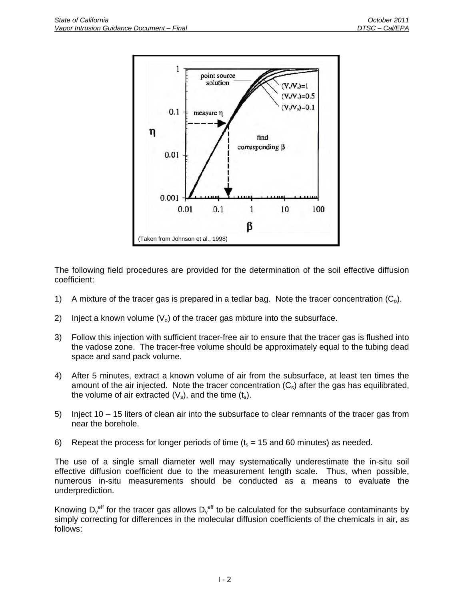

The following field procedures are provided for the determination of the soil effective diffusion coefficient:

- 1) A mixture of the tracer gas is prepared in a tedlar bag. Note the tracer concentration  $(C_0)$ .
- 2) Inject a known volume  $(V_0)$  of the tracer gas mixture into the subsurface.
- 3) Follow this injection with sufficient tracer-free air to ensure that the tracer gas is flushed into the vadose zone. The tracer-free volume should be approximately equal to the tubing dead space and sand pack volume.
- 4) After 5 minutes, extract a known volume of air from the subsurface, at least ten times the amount of the air injected. Note the tracer concentration  $(C_{\rm s})$  after the gas has equilibrated, the volume of air extracted  $(V_s)$ , and the time  $(t_s)$ .
- 5) Inject 10 15 liters of clean air into the subsurface to clear remnants of the tracer gas from near the borehole.
- 6) Repeat the process for longer periods of time  $(t_s = 15 \text{ and } 60 \text{ minutes})$  as needed.

The use of a single small diameter well may systematically underestimate the in-situ soil effective diffusion coefficient due to the measurement length scale. Thus, when possible, numerous in-situ measurements should be conducted as a means to evaluate the underprediction.

Knowing D<sub>v</sub><sup>eff</sup> for the tracer gas allows D<sub>v</sub><sup>eff</sup> to be calculated for the subsurface contaminants by simply correcting for differences in the molecular diffusion coefficients of the chemicals in air, as follows: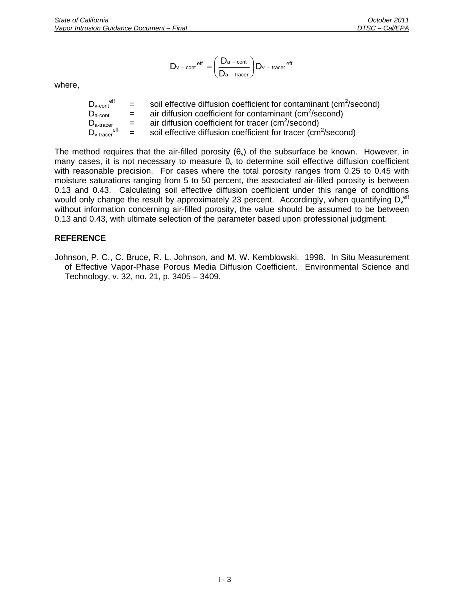$$
D_{v\,-\,cont}^{\,\,eff}\,\,=\left(\frac{D_{a\,-\,cont}}{D_{a\,-\,tracer}}\right)D_{v\,-\,tracer}^{\,\,eff}
$$

where,

| $D_{v\text{-cont}}^{\text{eff}}$                                | $=$ $-$ | soil effective diffusion coefficient for contaminant (cm <sup>2</sup> /second) |
|-----------------------------------------------------------------|---------|--------------------------------------------------------------------------------|
| $D_{a\text{-cont}}$                                             | $=$     | air diffusion coefficient for contaminant ( $\text{cm}^2/\text{second}$ )      |
| $D_{\text{a-tracer}}$                                           | $=$ $-$ | air diffusion coefficient for tracer ( $\text{cm}^2/\text{second}$ )           |
| $\mathsf{D}_{\mathsf{v}\text{-} \mathsf{trace}}^{\mathsf{eff}}$ | $=$ $-$ | soil effective diffusion coefficient for tracer (cm <sup>2</sup> /second)      |

The method requires that the air-filled porosity  $(\theta_v)$  of the subsurface be known. However, in many cases, it is not necessary to measure  $\theta_{v}$  to determine soil effective diffusion coefficient with reasonable precision. For cases where the total porosity ranges from 0.25 to 0.45 with moisture saturations ranging from 5 to 50 percent, the associated air-filled porosity is between 0.13 and 0.43. Calculating soil effective diffusion coefficient under this range of conditions would only change the result by approximately 23 percent. Accordingly, when quantifying D<sub>v</sub><sup>eff</sup> without information concerning air-filled porosity, the value should be assumed to be between 0.13 and 0.43, with ultimate selection of the parameter based upon professional judgment.

## **REFERENCE**

Johnson, P. C., C. Bruce, R. L. Johnson, and M. W. Kemblowski. 1998. In Situ Measurement of Effective Vapor-Phase Porous Media Diffusion Coefficient. Environmental Science and Technology, v. 32, no. 21, p. 3405 – 3409.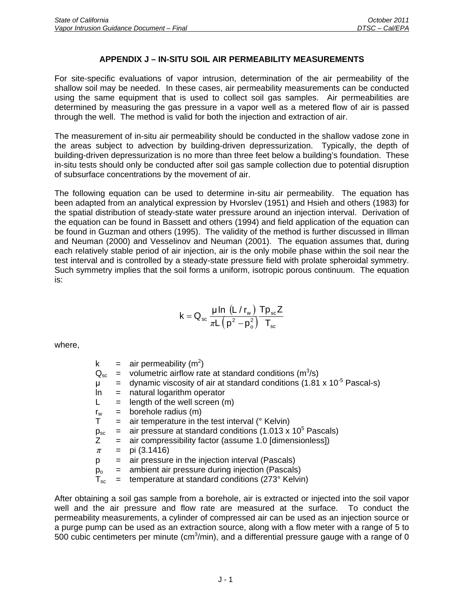# **APPENDIX J – IN-SITU SOIL AIR PERMEABILITY MEASUREMENTS**

For site-specific evaluations of vapor intrusion, determination of the air permeability of the shallow soil may be needed. In these cases, air permeability measurements can be conducted using the same equipment that is used to collect soil gas samples. Air permeabilities are determined by measuring the gas pressure in a vapor well as a metered flow of air is passed through the well. The method is valid for both the injection and extraction of air.

The measurement of in-situ air permeability should be conducted in the shallow vadose zone in the areas subject to advection by building-driven depressurization. Typically, the depth of building-driven depressurization is no more than three feet below a building's foundation. These in-situ tests should only be conducted after soil gas sample collection due to potential disruption of subsurface concentrations by the movement of air.

The following equation can be used to determine in-situ air permeability. The equation has been adapted from an analytical expression by Hvorslev (1951) and Hsieh and others (1983) for the spatial distribution of steady-state water pressure around an injection interval. Derivation of the equation can be found in Bassett and others (1994) and field application of the equation can be found in Guzman and others (1995). The validity of the method is further discussed in Illman and Neuman (2000) and Vesselinov and Neuman (2001). The equation assumes that, during each relatively stable period of air injection, air is the only mobile phase within the soil near the test interval and is controlled by a steady-state pressure field with prolate spheroidal symmetry. Such symmetry implies that the soil forms a uniform, isotropic porous continuum. The equation is:

$$
k=Q_{\rm sc}\,\frac{\mu\, ln\,\left(L\,/\,r_{\rm w}\right)}{\pi L\left(\,p^2-p_{\rm o}^2\right)}\frac{T p_{\rm sc}Z}{T_{\rm sc}}
$$

where,

| k            |     | $=$ air permeability (m <sup>2</sup> )                                                 |
|--------------|-----|----------------------------------------------------------------------------------------|
| $Q_{sc}$     |     | $=$ volumetric airflow rate at standard conditions ( $m^3/s$ )                         |
| μ            |     | $=$ dynamic viscosity of air at standard conditions (1.81 x 10 <sup>-5</sup> Pascal-s) |
| In.          | $=$ | natural logarithm operator                                                             |
|              | $=$ | length of the well screen (m)                                                          |
| $r_{w}$      |     | $=$ borehole radius $(m)$                                                              |
|              |     | air temperature in the test interval (° Kelvin)                                        |
| $p_{sc}$     | $=$ | air pressure at standard conditions (1.013 x $10^5$ Pascals)                           |
| Ζ            | $=$ | air compressibility factor (assume 1.0 [dimensionless])                                |
| π            | $=$ | pi (3.1416)                                                                            |
| р            | $=$ | air pressure in the injection interval (Pascals)                                       |
| $p_{o}$      | $=$ | ambient air pressure during injection (Pascals)                                        |
| $T_{\rm sc}$ |     | temperature at standard conditions (273° Kelvin)                                       |
|              |     |                                                                                        |

After obtaining a soil gas sample from a borehole, air is extracted or injected into the soil vapor well and the air pressure and flow rate are measured at the surface. To conduct the permeability measurements, a cylinder of compressed air can be used as an injection source or a purge pump can be used as an extraction source, along with a flow meter with a range of 5 to 500 cubic centimeters per minute (cm $3$ /min), and a differential pressure gauge with a range of 0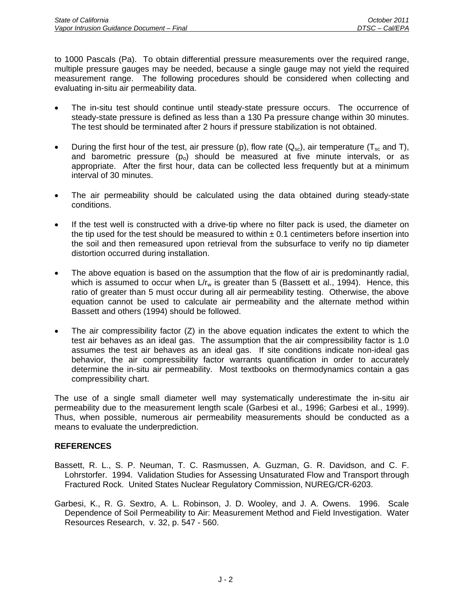to 1000 Pascals (Pa). To obtain differential pressure measurements over the required range, multiple pressure gauges may be needed, because a single gauge may not yield the required measurement range. The following procedures should be considered when collecting and evaluating in-situ air permeability data.

- The in-situ test should continue until steady-state pressure occurs. The occurrence of steady-state pressure is defined as less than a 130 Pa pressure change within 30 minutes. The test should be terminated after 2 hours if pressure stabilization is not obtained.
- During the first hour of the test, air pressure (p), flow rate ( $Q_{sc}$ ), air temperature ( $T_{sc}$  and T), and barometric pressure  $(p_0)$  should be measured at five minute intervals, or as appropriate. After the first hour, data can be collected less frequently but at a minimum interval of 30 minutes.
- The air permeability should be calculated using the data obtained during steady-state conditions.
- If the test well is constructed with a drive-tip where no filter pack is used, the diameter on the tip used for the test should be measured to within  $\pm$  0.1 centimeters before insertion into the soil and then remeasured upon retrieval from the subsurface to verify no tip diameter distortion occurred during installation.
- The above equation is based on the assumption that the flow of air is predominantly radial, which is assumed to occur when  $L/r_w$  is greater than 5 (Bassett et al., 1994). Hence, this ratio of greater than 5 must occur during all air permeability testing. Otherwise, the above equation cannot be used to calculate air permeability and the alternate method within Bassett and others (1994) should be followed.
- The air compressibility factor  $(Z)$  in the above equation indicates the extent to which the test air behaves as an ideal gas. The assumption that the air compressibility factor is 1.0 assumes the test air behaves as an ideal gas. If site conditions indicate non-ideal gas behavior, the air compressibility factor warrants quantification in order to accurately determine the in-situ air permeability. Most textbooks on thermodynamics contain a gas compressibility chart.

The use of a single small diameter well may systematically underestimate the in-situ air permeability due to the measurement length scale (Garbesi et al., 1996; Garbesi et al., 1999). Thus, when possible, numerous air permeability measurements should be conducted as a means to evaluate the underprediction.

- Bassett, R. L., S. P. Neuman, T. C. Rasmussen, A. Guzman, G. R. Davidson, and C. F. Lohrstorfer. 1994. Validation Studies for Assessing Unsaturated Flow and Transport through Fractured Rock. United States Nuclear Regulatory Commission, NUREG/CR-6203.
- Garbesi, K., R. G. Sextro, A. L. Robinson, J. D. Wooley, and J. A. Owens. 1996. Scale Dependence of Soil Permeability to Air: Measurement Method and Field Investigation. Water Resources Research, v. 32, p. 547 - 560.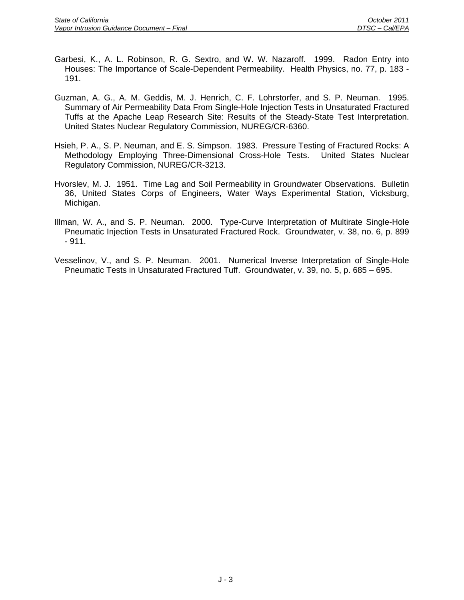- Garbesi, K., A. L. Robinson, R. G. Sextro, and W. W. Nazaroff. 1999. Radon Entry into Houses: The Importance of Scale-Dependent Permeability. Health Physics, no. 77, p. 183 - 191.
- Guzman, A. G., A. M. Geddis, M. J. Henrich, C. F. Lohrstorfer, and S. P. Neuman. 1995. Summary of Air Permeability Data From Single-Hole Injection Tests in Unsaturated Fractured Tuffs at the Apache Leap Research Site: Results of the Steady-State Test Interpretation. United States Nuclear Regulatory Commission, NUREG/CR-6360.
- Hsieh, P. A., S. P. Neuman, and E. S. Simpson. 1983. Pressure Testing of Fractured Rocks: A Methodology Employing Three-Dimensional Cross-Hole Tests. United States Nuclear Regulatory Commission, NUREG/CR-3213.
- Hvorslev, M. J. 1951. Time Lag and Soil Permeability in Groundwater Observations. Bulletin 36, United States Corps of Engineers, Water Ways Experimental Station, Vicksburg, Michigan.
- Illman, W. A., and S. P. Neuman. 2000. Type-Curve Interpretation of Multirate Single-Hole Pneumatic Injection Tests in Unsaturated Fractured Rock. Groundwater, v. 38, no. 6, p. 899 - 911.
- Vesselinov, V., and S. P. Neuman. 2001. Numerical Inverse Interpretation of Single-Hole Pneumatic Tests in Unsaturated Fractured Tuff. Groundwater, v. 39, no. 5, p. 685 – 695.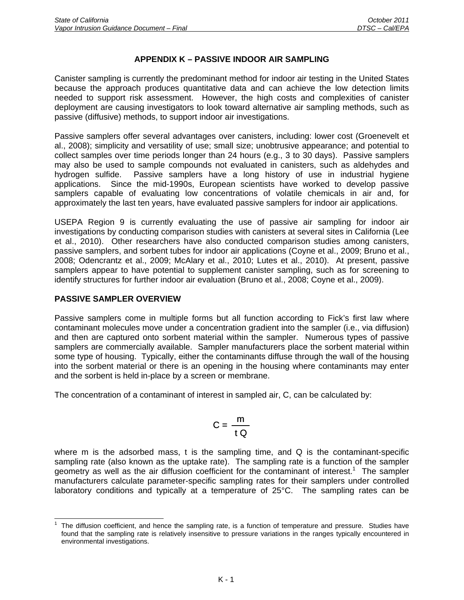## **APPENDIX K – PASSIVE INDOOR AIR SAMPLING**

Canister sampling is currently the predominant method for indoor air testing in the United States because the approach produces quantitative data and can achieve the low detection limits needed to support risk assessment. However, the high costs and complexities of canister deployment are causing investigators to look toward alternative air sampling methods, such as passive (diffusive) methods, to support indoor air investigations.

Passive samplers offer several advantages over canisters, including: lower cost (Groenevelt et al., 2008); simplicity and versatility of use; small size; unobtrusive appearance; and potential to collect samples over time periods longer than 24 hours (e.g., 3 to 30 days). Passive samplers may also be used to sample compounds not evaluated in canisters, such as aldehydes and hydrogen sulfide. Passive samplers have a long history of use in industrial hygiene applications. Since the mid-1990s, European scientists have worked to develop passive samplers capable of evaluating low concentrations of volatile chemicals in air and, for approximately the last ten years, have evaluated passive samplers for indoor air applications.

USEPA Region 9 is currently evaluating the use of passive air sampling for indoor air investigations by conducting comparison studies with canisters at several sites in California (Lee et al., 2010). Other researchers have also conducted comparison studies among canisters, passive samplers, and sorbent tubes for indoor air applications (Coyne et al., 2009; Bruno et al., 2008; Odencrantz et al., 2009; McAlary et al., 2010; Lutes et al., 2010). At present, passive samplers appear to have potential to supplement canister sampling, such as for screening to identify structures for further indoor air evaluation (Bruno et al., 2008; Coyne et al., 2009).

#### **PASSIVE SAMPLER OVERVIEW**

Passive samplers come in multiple forms but all function according to Fick's first law where contaminant molecules move under a concentration gradient into the sampler (i.e., via diffusion) and then are captured onto sorbent material within the sampler. Numerous types of passive samplers are commercially available. Sampler manufacturers place the sorbent material within some type of housing. Typically, either the contaminants diffuse through the wall of the housing into the sorbent material or there is an opening in the housing where contaminants may enter and the sorbent is held in-place by a screen or membrane.

The concentration of a contaminant of interest in sampled air, C, can be calculated by:

$$
C = \frac{m}{t Q}
$$

where m is the adsorbed mass, t is the sampling time, and  $Q$  is the contaminant-specific sampling rate (also known as the uptake rate). The sampling rate is a function of the sampler geometry as well as the air diffusion coefficient for the contaminant of interest.<sup>1</sup> The sampler manufacturers calculate parameter-specific sampling rates for their samplers under controlled laboratory conditions and typically at a temperature of 25°C. The sampling rates can be

 $\overline{a}$ 1 The diffusion coefficient, and hence the sampling rate, is a function of temperature and pressure. Studies have found that the sampling rate is relatively insensitive to pressure variations in the ranges typically encountered in environmental investigations.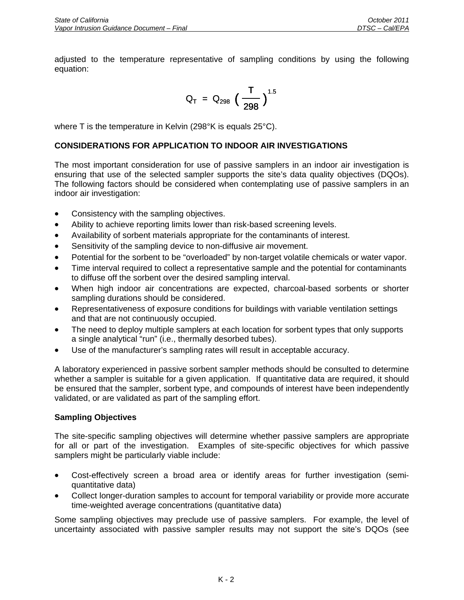adjusted to the temperature representative of sampling conditions by using the following equation:

$$
Q_T = Q_{298} \left(\frac{T}{298}\right)^{1.5}
$$

where T is the temperature in Kelvin (298°K is equals 25°C).

# **CONSIDERATIONS FOR APPLICATION TO INDOOR AIR INVESTIGATIONS**

The most important consideration for use of passive samplers in an indoor air investigation is ensuring that use of the selected sampler supports the site's data quality objectives (DQOs). The following factors should be considered when contemplating use of passive samplers in an indoor air investigation:

- Consistency with the sampling objectives.
- Ability to achieve reporting limits lower than risk-based screening levels.
- Availability of sorbent materials appropriate for the contaminants of interest.
- Sensitivity of the sampling device to non-diffusive air movement.
- Potential for the sorbent to be "overloaded" by non-target volatile chemicals or water vapor.
- Time interval required to collect a representative sample and the potential for contaminants to diffuse off the sorbent over the desired sampling interval.
- When high indoor air concentrations are expected, charcoal-based sorbents or shorter sampling durations should be considered.
- Representativeness of exposure conditions for buildings with variable ventilation settings and that are not continuously occupied.
- The need to deploy multiple samplers at each location for sorbent types that only supports a single analytical "run" (i.e., thermally desorbed tubes).
- Use of the manufacturer's sampling rates will result in acceptable accuracy.

A laboratory experienced in passive sorbent sampler methods should be consulted to determine whether a sampler is suitable for a given application. If quantitative data are required, it should be ensured that the sampler, sorbent type, and compounds of interest have been independently validated, or are validated as part of the sampling effort.

## **Sampling Objectives**

The site-specific sampling objectives will determine whether passive samplers are appropriate for all or part of the investigation. Examples of site-specific objectives for which passive samplers might be particularly viable include:

- Cost-effectively screen a broad area or identify areas for further investigation (semiquantitative data)
- Collect longer-duration samples to account for temporal variability or provide more accurate time-weighted average concentrations (quantitative data)

Some sampling objectives may preclude use of passive samplers. For example, the level of uncertainty associated with passive sampler results may not support the site's DQOs (see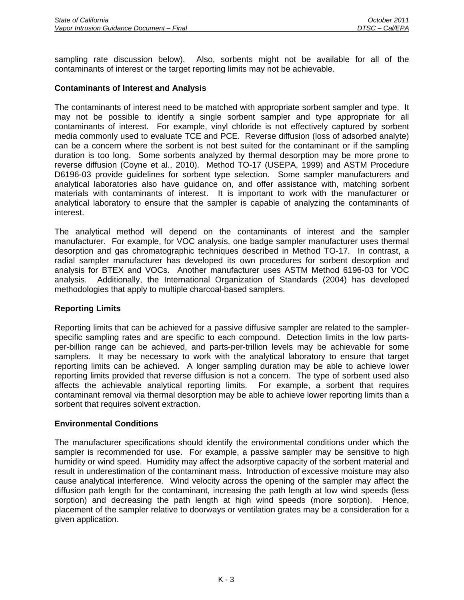sampling rate discussion below). Also, sorbents might not be available for all of the contaminants of interest or the target reporting limits may not be achievable.

## **Contaminants of Interest and Analysis**

The contaminants of interest need to be matched with appropriate sorbent sampler and type. It may not be possible to identify a single sorbent sampler and type appropriate for all contaminants of interest. For example, vinyl chloride is not effectively captured by sorbent media commonly used to evaluate TCE and PCE. Reverse diffusion (loss of adsorbed analyte) can be a concern where the sorbent is not best suited for the contaminant or if the sampling duration is too long. Some sorbents analyzed by thermal desorption may be more prone to reverse diffusion (Coyne et al., 2010). Method TO-17 (USEPA, 1999) and ASTM Procedure D6196-03 provide guidelines for sorbent type selection. Some sampler manufacturers and analytical laboratories also have guidance on, and offer assistance with, matching sorbent materials with contaminants of interest. It is important to work with the manufacturer or analytical laboratory to ensure that the sampler is capable of analyzing the contaminants of interest.

The analytical method will depend on the contaminants of interest and the sampler manufacturer. For example, for VOC analysis, one badge sampler manufacturer uses thermal desorption and gas chromatographic techniques described in Method TO-17. In contrast, a radial sampler manufacturer has developed its own procedures for sorbent desorption and analysis for BTEX and VOCs. Another manufacturer uses ASTM Method 6196-03 for VOC analysis. Additionally, the International Organization of Standards (2004) has developed methodologies that apply to multiple charcoal-based samplers.

## **Reporting Limits**

Reporting limits that can be achieved for a passive diffusive sampler are related to the samplerspecific sampling rates and are specific to each compound. Detection limits in the low partsper-billion range can be achieved, and parts-per-trillion levels may be achievable for some samplers. It may be necessary to work with the analytical laboratory to ensure that target reporting limits can be achieved. A longer sampling duration may be able to achieve lower reporting limits provided that reverse diffusion is not a concern. The type of sorbent used also affects the achievable analytical reporting limits. For example, a sorbent that requires contaminant removal via thermal desorption may be able to achieve lower reporting limits than a sorbent that requires solvent extraction.

## **Environmental Conditions**

The manufacturer specifications should identify the environmental conditions under which the sampler is recommended for use. For example, a passive sampler may be sensitive to high humidity or wind speed. Humidity may affect the adsorptive capacity of the sorbent material and result in underestimation of the contaminant mass. Introduction of excessive moisture may also cause analytical interference. Wind velocity across the opening of the sampler may affect the diffusion path length for the contaminant, increasing the path length at low wind speeds (less sorption) and decreasing the path length at high wind speeds (more sorption). Hence, placement of the sampler relative to doorways or ventilation grates may be a consideration for a given application.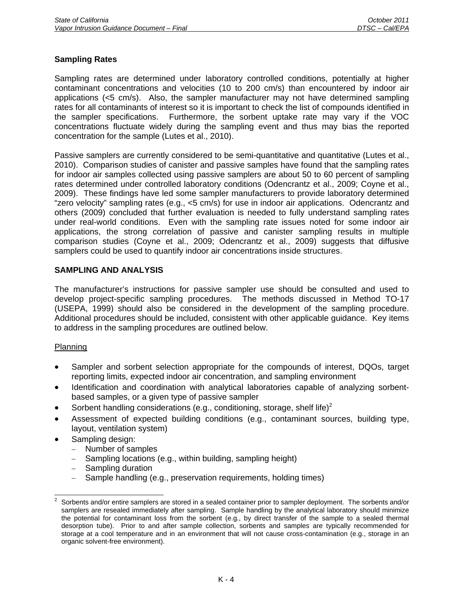# **Sampling Rates**

Sampling rates are determined under laboratory controlled conditions, potentially at higher contaminant concentrations and velocities (10 to 200 cm/s) than encountered by indoor air applications  $\langle$ <5 cm/s). Also, the sampler manufacturer may not have determined sampling rates for all contaminants of interest so it is important to check the list of compounds identified in the sampler specifications. Furthermore, the sorbent uptake rate may vary if the VOC concentrations fluctuate widely during the sampling event and thus may bias the reported concentration for the sample (Lutes et al., 2010).

Passive samplers are currently considered to be semi-quantitative and quantitative (Lutes et al., 2010). Comparison studies of canister and passive samples have found that the sampling rates for indoor air samples collected using passive samplers are about 50 to 60 percent of sampling rates determined under controlled laboratory conditions (Odencrantz et al., 2009; Coyne et al., 2009). These findings have led some sampler manufacturers to provide laboratory determined "zero velocity" sampling rates (e.g., <5 cm/s) for use in indoor air applications. Odencrantz and others (2009) concluded that further evaluation is needed to fully understand sampling rates under real-world conditions. Even with the sampling rate issues noted for some indoor air applications, the strong correlation of passive and canister sampling results in multiple comparison studies (Coyne et al., 2009; Odencrantz et al., 2009) suggests that diffusive samplers could be used to quantify indoor air concentrations inside structures.

#### **SAMPLING AND ANALYSIS**

The manufacturer's instructions for passive sampler use should be consulted and used to develop project-specific sampling procedures. The methods discussed in Method TO-17 (USEPA, 1999) should also be considered in the development of the sampling procedure. Additional procedures should be included, consistent with other applicable guidance. Key items to address in the sampling procedures are outlined below.

## Planning

- Sampler and sorbent selection appropriate for the compounds of interest, DQOs, target reporting limits, expected indoor air concentration, and sampling environment
- Identification and coordination with analytical laboratories capable of analyzing sorbentbased samples, or a given type of passive sampler
- Sorbent handling considerations (e.g., conditioning, storage, shelf life)<sup>2</sup>
- Assessment of expected building conditions (e.g., contaminant sources, building type, layout, ventilation system)
- Sampling design:
	- − Number of samples
	- − Sampling locations (e.g., within building, sampling height)
	- − Sampling duration
	- − Sample handling (e.g., preservation requirements, holding times)

 $\frac{1}{2}$  Sorbents and/or entire samplers are stored in a sealed container prior to sampler deployment. The sorbents and/or samplers are resealed immediately after sampling. Sample handling by the analytical laboratory should minimize the potential for contaminant loss from the sorbent (e.g., by direct transfer of the sample to a sealed thermal desorption tube). Prior to and after sample collection, sorbents and samples are typically recommended for storage at a cool temperature and in an environment that will not cause cross-contamination (e.g., storage in an organic solvent-free environment).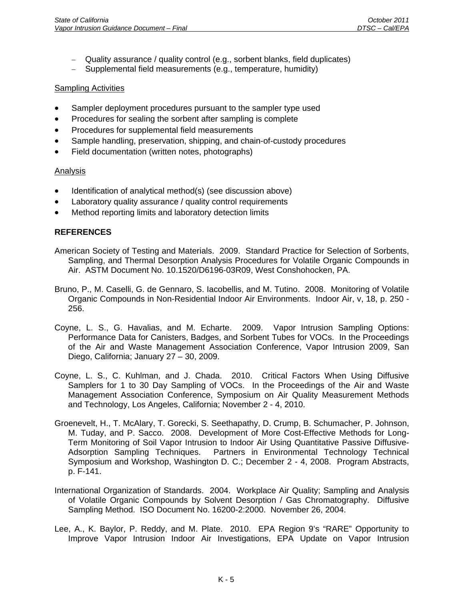- − Quality assurance / quality control (e.g., sorbent blanks, field duplicates)
- − Supplemental field measurements (e.g., temperature, humidity)

#### **Sampling Activities**

- Sampler deployment procedures pursuant to the sampler type used
- Procedures for sealing the sorbent after sampling is complete
- Procedures for supplemental field measurements
- Sample handling, preservation, shipping, and chain-of-custody procedures
- Field documentation (written notes, photographs)

## Analysis

- Identification of analytical method(s) (see discussion above)
- Laboratory quality assurance / quality control requirements
- Method reporting limits and laboratory detection limits

# **REFERENCES**

- American Society of Testing and Materials. 2009. Standard Practice for Selection of Sorbents, Sampling, and Thermal Desorption Analysis Procedures for Volatile Organic Compounds in Air. ASTM Document No. 10.1520/D6196-03R09, West Conshohocken, PA.
- Bruno, P., M. Caselli, G. de Gennaro, S. Iacobellis, and M. Tutino. 2008. Monitoring of Volatile Organic Compounds in Non-Residential Indoor Air Environments. Indoor Air, v, 18, p. 250 - 256.
- Coyne, L. S., G. Havalias, and M. Echarte. 2009. Vapor Intrusion Sampling Options: Performance Data for Canisters, Badges, and Sorbent Tubes for VOCs. In the Proceedings of the Air and Waste Management Association Conference, Vapor Intrusion 2009, San Diego, California; January 27 – 30, 2009.
- Coyne, L. S., C. Kuhlman, and J. Chada. 2010. Critical Factors When Using Diffusive Samplers for 1 to 30 Day Sampling of VOCs. In the Proceedings of the Air and Waste Management Association Conference, Symposium on Air Quality Measurement Methods and Technology, Los Angeles, California; November 2 - 4, 2010.
- Groenevelt, H., T. McAlary, T. Gorecki, S. Seethapathy, D. Crump, B. Schumacher, P. Johnson, M. Tuday, and P. Sacco. 2008. Development of More Cost-Effective Methods for Long-Term Monitoring of Soil Vapor Intrusion to Indoor Air Using Quantitative Passive Diffusive-Adsorption Sampling Techniques. Partners in Environmental Technology Technical Symposium and Workshop, Washington D. C.; December 2 - 4, 2008. Program Abstracts, p. F-141.
- International Organization of Standards. 2004. Workplace Air Quality; Sampling and Analysis of Volatile Organic Compounds by Solvent Desorption / Gas Chromatography. Diffusive Sampling Method. ISO Document No. 16200-2:2000. November 26, 2004.
- Lee, A., K. Baylor, P. Reddy, and M. Plate. 2010. EPA Region 9's "RARE" Opportunity to Improve Vapor Intrusion Indoor Air Investigations, EPA Update on Vapor Intrusion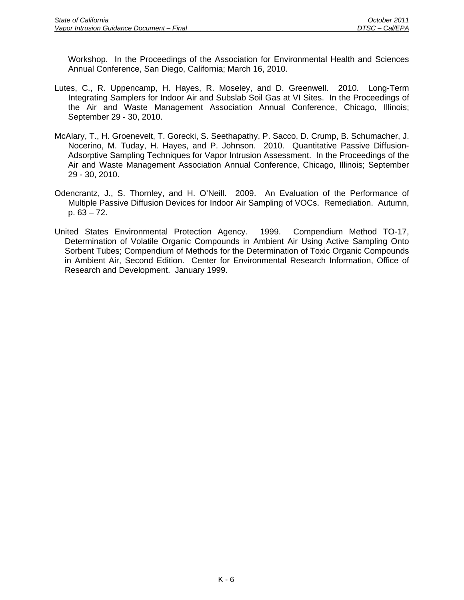Workshop. In the Proceedings of the Association for Environmental Health and Sciences Annual Conference, San Diego, California; March 16, 2010.

- Lutes, C., R. Uppencamp, H. Hayes, R. Moseley, and D. Greenwell. 2010. Long-Term Integrating Samplers for Indoor Air and Subslab Soil Gas at VI Sites. In the Proceedings of the Air and Waste Management Association Annual Conference, Chicago, Illinois; September 29 - 30, 2010.
- McAlary, T., H. Groenevelt, T. Gorecki, S. Seethapathy, P. Sacco, D. Crump, B. Schumacher, J. Nocerino, M. Tuday, H. Hayes, and P. Johnson. 2010. Quantitative Passive Diffusion-Adsorptive Sampling Techniques for Vapor Intrusion Assessment. In the Proceedings of the Air and Waste Management Association Annual Conference, Chicago, Illinois; September 29 - 30, 2010.
- Odencrantz, J., S. Thornley, and H. O'Neill. 2009. An Evaluation of the Performance of Multiple Passive Diffusion Devices for Indoor Air Sampling of VOCs. Remediation. Autumn, p. 63 – 72.
- United States Environmental Protection Agency. 1999. Compendium Method TO-17, Determination of Volatile Organic Compounds in Ambient Air Using Active Sampling Onto Sorbent Tubes; Compendium of Methods for the Determination of Toxic Organic Compounds in Ambient Air, Second Edition. Center for Environmental Research Information, Office of Research and Development. January 1999.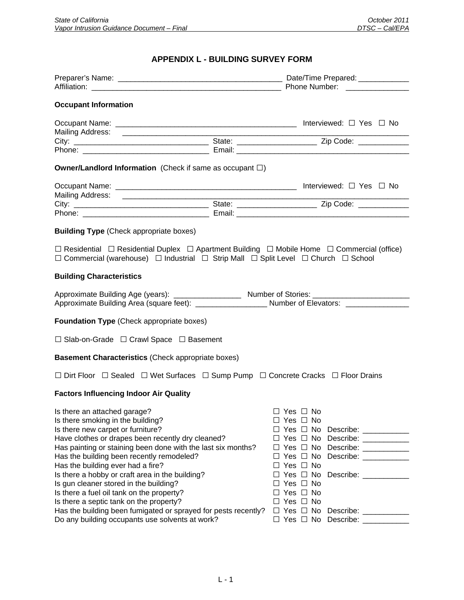# **APPENDIX L - BUILDING SURVEY FORM**

| <b>Occupant Information</b>                                                                                                                                                                                                                                                                                                                                                                                                                                                                                                                                          |                                                                                                                                                                                                                                                                                                                                                                              |  |  |
|----------------------------------------------------------------------------------------------------------------------------------------------------------------------------------------------------------------------------------------------------------------------------------------------------------------------------------------------------------------------------------------------------------------------------------------------------------------------------------------------------------------------------------------------------------------------|------------------------------------------------------------------------------------------------------------------------------------------------------------------------------------------------------------------------------------------------------------------------------------------------------------------------------------------------------------------------------|--|--|
|                                                                                                                                                                                                                                                                                                                                                                                                                                                                                                                                                                      |                                                                                                                                                                                                                                                                                                                                                                              |  |  |
|                                                                                                                                                                                                                                                                                                                                                                                                                                                                                                                                                                      |                                                                                                                                                                                                                                                                                                                                                                              |  |  |
|                                                                                                                                                                                                                                                                                                                                                                                                                                                                                                                                                                      |                                                                                                                                                                                                                                                                                                                                                                              |  |  |
| <b>Owner/Landlord Information</b> (Check if same as occupant $\square$ )                                                                                                                                                                                                                                                                                                                                                                                                                                                                                             |                                                                                                                                                                                                                                                                                                                                                                              |  |  |
|                                                                                                                                                                                                                                                                                                                                                                                                                                                                                                                                                                      |                                                                                                                                                                                                                                                                                                                                                                              |  |  |
|                                                                                                                                                                                                                                                                                                                                                                                                                                                                                                                                                                      |                                                                                                                                                                                                                                                                                                                                                                              |  |  |
|                                                                                                                                                                                                                                                                                                                                                                                                                                                                                                                                                                      |                                                                                                                                                                                                                                                                                                                                                                              |  |  |
| <b>Building Type</b> (Check appropriate boxes)                                                                                                                                                                                                                                                                                                                                                                                                                                                                                                                       |                                                                                                                                                                                                                                                                                                                                                                              |  |  |
| $\Box$ Commercial (warehouse) $\Box$ Industrial $\Box$ Strip Mall $\Box$ Split Level $\Box$ Church $\Box$ School                                                                                                                                                                                                                                                                                                                                                                                                                                                     | $\Box$ Residential $\Box$ Residential Duplex $\Box$ Apartment Building $\Box$ Mobile Home $\Box$ Commercial (office)                                                                                                                                                                                                                                                         |  |  |
| <b>Building Characteristics</b>                                                                                                                                                                                                                                                                                                                                                                                                                                                                                                                                      |                                                                                                                                                                                                                                                                                                                                                                              |  |  |
|                                                                                                                                                                                                                                                                                                                                                                                                                                                                                                                                                                      | Approximate Building Area (square feet): ______________________ Number of Elevators: ______________                                                                                                                                                                                                                                                                          |  |  |
| <b>Foundation Type (Check appropriate boxes)</b>                                                                                                                                                                                                                                                                                                                                                                                                                                                                                                                     |                                                                                                                                                                                                                                                                                                                                                                              |  |  |
| $\Box$ Slab-on-Grade $\Box$ Crawl Space $\Box$ Basement                                                                                                                                                                                                                                                                                                                                                                                                                                                                                                              |                                                                                                                                                                                                                                                                                                                                                                              |  |  |
| <b>Basement Characteristics (Check appropriate boxes)</b>                                                                                                                                                                                                                                                                                                                                                                                                                                                                                                            |                                                                                                                                                                                                                                                                                                                                                                              |  |  |
|                                                                                                                                                                                                                                                                                                                                                                                                                                                                                                                                                                      | □ Dirt Floor □ Sealed □ Wet Surfaces □ Sump Pump □ Concrete Cracks □ Floor Drains                                                                                                                                                                                                                                                                                            |  |  |
| <b>Factors Influencing Indoor Air Quality</b>                                                                                                                                                                                                                                                                                                                                                                                                                                                                                                                        |                                                                                                                                                                                                                                                                                                                                                                              |  |  |
| Is there an attached garage?<br>Is there smoking in the building?<br>Is there new carpet or furniture?<br>Have clothes or drapes been recently dry cleaned?<br>Has painting or staining been done with the last six months?<br>Has the building been recently remodeled?<br>Has the building ever had a fire?<br>Is there a hobby or craft area in the building?<br>Is gun cleaner stored in the building?<br>Is there a fuel oil tank on the property?<br>Is there a septic tank on the property?<br>Has the building been fumigated or sprayed for pests recently? | $\Box$ Yes $\Box$ No<br>$\Box$ Yes $\Box$ No<br>$\Box$ Yes $\Box$ No Describe: __________<br>$\Box$ Yes $\Box$ No Describe: __________<br>$\Box$ Yes $\Box$ No Describe: __________<br>$\Box$ Yes $\Box$ No<br>$\Box$ Yes $\Box$ No Describe: __________<br>$\Box$ Yes $\Box$ No<br>$\Box$ Yes $\Box$ No<br>$\Box$ Yes $\Box$ No<br>$\Box$ Yes $\Box$ No Describe: _________ |  |  |
| Do any building occupants use solvents at work?                                                                                                                                                                                                                                                                                                                                                                                                                                                                                                                      | $\Box$ Yes $\Box$ No Describe: _________                                                                                                                                                                                                                                                                                                                                     |  |  |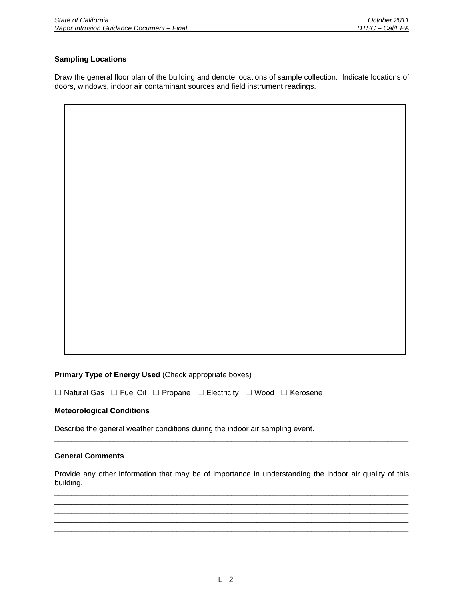#### **Sampling Locations**

Draw the general floor plan of the building and denote locations of sample collection. Indicate locations of doors, windows, indoor air contaminant sources and field instrument readings.

#### **Primary Type of Energy Used** (Check appropriate boxes)

**□** Natural Gas **□** Fuel Oil **□** Propane **□** Electricity **□** Wood **□** Kerosene

#### **Meteorological Conditions**

Describe the general weather conditions during the indoor air sampling event.

#### **General Comments**

Provide any other information that may be of importance in understanding the indoor air quality of this building. \_\_\_\_\_\_\_\_\_\_\_\_\_\_\_\_\_\_\_\_\_\_\_\_\_\_\_\_\_\_\_\_\_\_\_\_\_\_\_\_\_\_\_\_\_\_\_\_\_\_\_\_\_\_\_\_\_\_\_\_\_\_\_\_\_\_\_\_\_\_\_\_\_\_\_\_\_\_\_\_\_\_\_\_

 $\Box$  $\Box$ \_\_\_\_\_\_\_\_\_\_\_\_\_\_\_\_\_\_\_\_\_\_\_\_\_\_\_\_\_\_\_\_\_\_\_\_\_\_\_\_\_\_\_\_\_\_\_\_\_\_\_\_\_\_\_\_\_\_\_\_\_\_\_\_\_\_\_\_\_\_\_\_\_\_\_\_\_\_\_\_\_\_\_\_ \_\_\_\_\_\_\_\_\_\_\_\_\_\_\_\_\_\_\_\_\_\_\_\_\_\_\_\_\_\_\_\_\_\_\_\_\_\_\_\_\_\_\_\_\_\_\_\_\_\_\_\_\_\_\_\_\_\_\_\_\_\_\_\_\_\_\_\_\_\_\_\_\_\_\_\_\_\_\_\_\_\_\_\_

\_\_\_\_\_\_\_\_\_\_\_\_\_\_\_\_\_\_\_\_\_\_\_\_\_\_\_\_\_\_\_\_\_\_\_\_\_\_\_\_\_\_\_\_\_\_\_\_\_\_\_\_\_\_\_\_\_\_\_\_\_\_\_\_\_\_\_\_\_\_\_\_\_\_\_\_\_\_\_\_\_\_\_\_